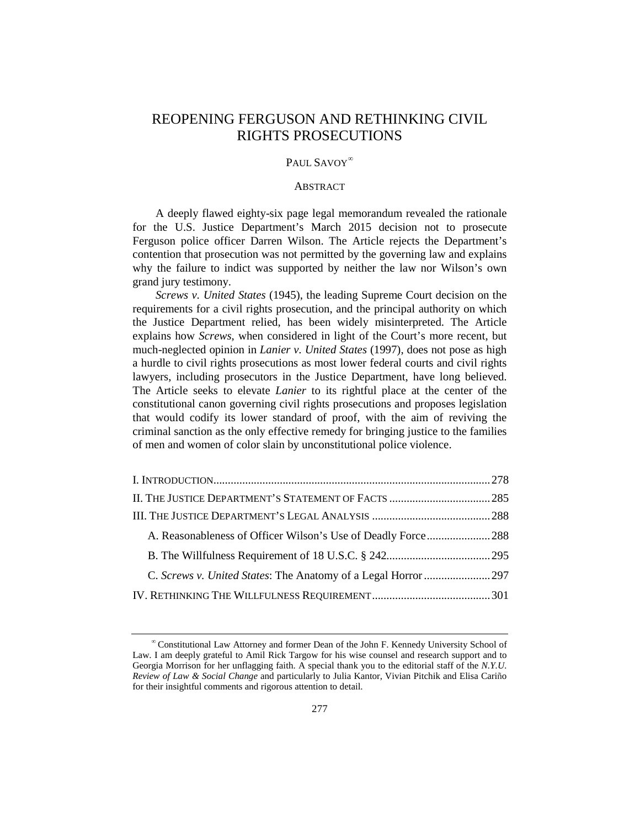# REOPENING FERGUSON AND RETHINKING CIVIL RIGHTS PROSECUTIONS

#### PAUL SAVOY<sup>[∞](#page-0-0)</sup>

#### ABSTRACT

A deeply flawed eighty-six page legal memorandum revealed the rationale for the U.S. Justice Department's March 2015 decision not to prosecute Ferguson police officer Darren Wilson. The Article rejects the Department's contention that prosecution was not permitted by the governing law and explains why the failure to indict was supported by neither the law nor Wilson's own grand jury testimony.

*Screws v. United States* (1945), the leading Supreme Court decision on the requirements for a civil rights prosecution, and the principal authority on which the Justice Department relied, has been widely misinterpreted. The Article explains how *Screws*, when considered in light of the Court's more recent, but much-neglected opinion in *Lanier v. United States* (1997), does not pose as high a hurdle to civil rights prosecutions as most lower federal courts and civil rights lawyers, including prosecutors in the Justice Department, have long believed. The Article seeks to elevate *Lanier* to its rightful place at the center of the constitutional canon governing civil rights prosecutions and proposes legislation that would codify its lower standard of proof, with the aim of reviving the criminal sanction as the only effective remedy for bringing justice to the families of men and women of color slain by unconstitutional police violence.

<span id="page-0-0"></span><sup>∞</sup>Constitutional Law Attorney and former Dean of the John F. Kennedy University School of Law. I am deeply grateful to Amil Rick Targow for his wise counsel and research support and to Georgia Morrison for her unflagging faith. A special thank you to the editorial staff of the *N.Y.U. Review of Law & Social Change* and particularly to Julia Kantor, Vivian Pitchik and Elisa Cariño for their insightful comments and rigorous attention to detail.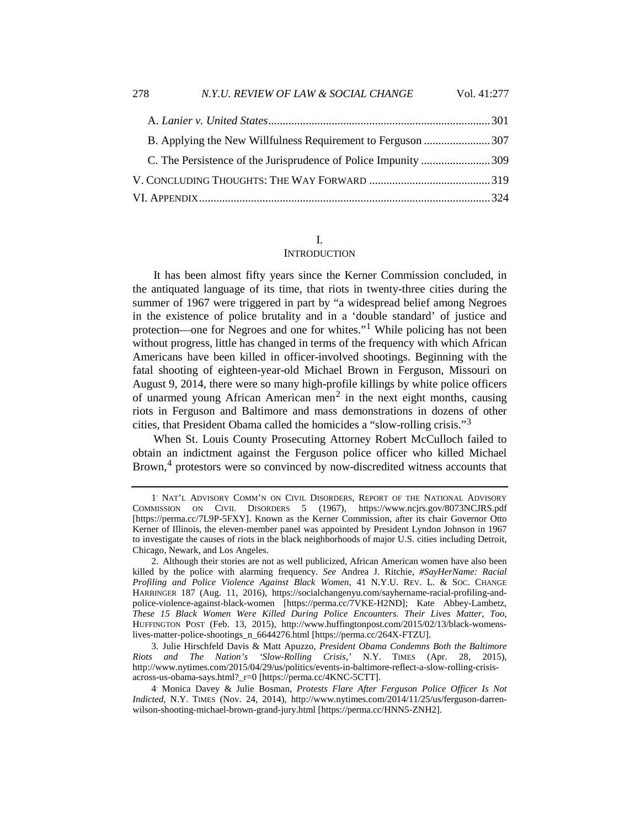| C. The Persistence of the Jurisprudence of Police Impunity 309 |  |
|----------------------------------------------------------------|--|
|                                                                |  |
|                                                                |  |

# I.

## **INTRODUCTION**

It has been almost fifty years since the Kerner Commission concluded, in the antiquated language of its time, that riots in twenty-three cities during the summer of 1967 were triggered in part by "a widespread belief among Negroes in the existence of police brutality and in a 'double standard' of justice and protection—one for Negroes and one for whites."[1](#page-1-0) While policing has not been without progress, little has changed in terms of the frequency with which African Americans have been killed in officer-involved shootings. Beginning with the fatal shooting of eighteen-year-old Michael Brown in Ferguson, Missouri on August 9, 2014, there were so many high-profile killings by white police officers of unarmed young African American men<sup>[2](#page-1-1)</sup> in the next eight months, causing riots in Ferguson and Baltimore and mass demonstrations in dozens of other cities, that President Obama called the homicides a "slow-rolling crisis."[3](#page-1-2)

When St. Louis County Prosecuting Attorney Robert McCulloch failed to obtain an indictment against the Ferguson police officer who killed Michael Brown,[4](#page-1-3) protestors were so convinced by now-discredited witness accounts that

<span id="page-1-0"></span><sup>1</sup>. NAT'L ADVISORY COMM'N ON CIVIL DISORDERS, REPORT OF THE NATIONAL ADVISORY COMMISSION ON CIVIL DISORDERS 5 (1967), https://www.ncjrs.gov/8073NCJRS.pdf [https://perma.cc/7L9P-5FXY]. Known as the Kerner Commission, after its chair Governor Otto Kerner of Illinois, the eleven-member panel was appointed by President Lyndon Johnson in 1967 to investigate the causes of riots in the black neighborhoods of major U.S. cities including Detroit, Chicago, Newark, and Los Angeles.

<span id="page-1-1"></span><sup>2.</sup> Although their stories are not as well publicized, African American women have also been killed by the police with alarming frequency. *See* Andrea J. Ritchie, *#SayHerName: Racial Profiling and Police Violence Against Black Women*, 41 N.Y.U. REV. L. & SOC. CHANGE HARBINGER 187 (Aug. 11, 2016), https://socialchangenyu.com/sayhername-racial-profiling-andpolice-violence-against-black-women [https://perma.cc/7VKE-H2ND]; Kate Abbey-Lambetz, *These 15 Black Women Were Killed During Police Encounters. Their Lives Matter, Too*, HUFFINGTON POST (Feb. 13, 2015), http://www.huffingtonpost.com/2015/02/13/black-womenslives-matter-police-shootings\_n\_6644276.html [https://perma.cc/264X-FTZU].

<span id="page-1-2"></span><sup>3.</sup> Julie Hirschfeld Davis & Matt Apuzzo, *President Obama Condemns Both the Baltimore Riots and The Nation's 'Slow-Rolling Crisis*,*'* N.Y. TIMES (Apr. 28, 2015), http://www.nytimes.com/2015/04/29/us/politics/events-in-baltimore-reflect-a-slow-rolling-crisisacross-us-obama-says.html?\_r=0 [https://perma.cc/4KNC-5CTT].

<span id="page-1-3"></span><sup>4</sup>. Monica Davey & Julie Bosman, *Protests Flare After Ferguson Police Officer Is Not Indicted*, N.Y. TIMES (Nov. 24, 2014), http://www.nytimes.com/2014/11/25/us/ferguson-darrenwilson-shooting-michael-brown-grand-jury.html [https://perma.cc/HNN5-ZNH2].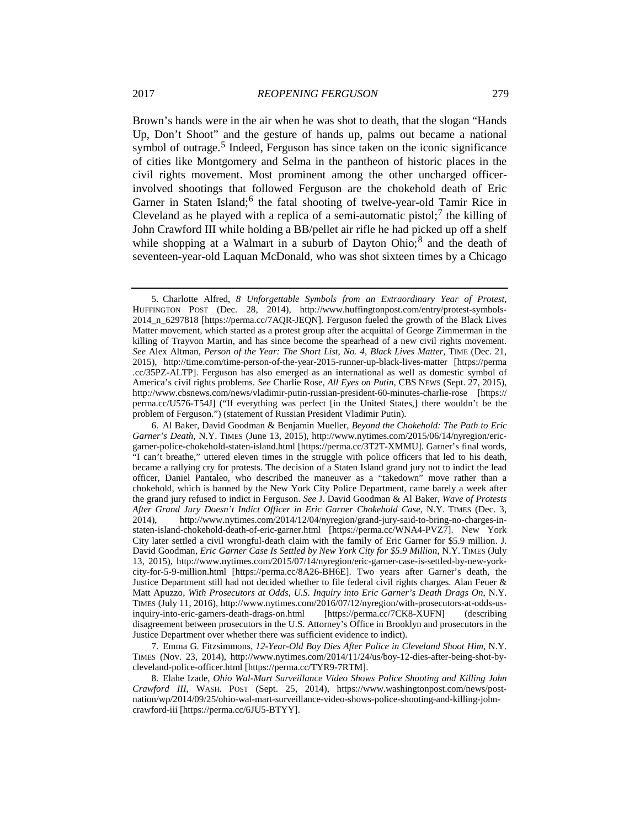<span id="page-2-4"></span>Brown's hands were in the air when he was shot to death, that the slogan "Hands Up, Don't Shoot" and the gesture of hands up, palms out became a national symbol of outrage.<sup>[5](#page-2-0)</sup> Indeed, Ferguson has since taken on the iconic significance of cities like Montgomery and Selma in the pantheon of historic places in the civil rights movement. Most prominent among the other uncharged officerinvolved shootings that followed Ferguson are the chokehold death of Eric Garner in Staten Island;<sup>[6](#page-2-1)</sup> the fatal shooting of twelve-year-old Tamir Rice in Cleveland as he played with a replica of a semi-automatic pistol;<sup>[7](#page-2-2)</sup> the killing of John Crawford III while holding a BB/pellet air rifle he had picked up off a shelf while shopping at a Walmart in a suburb of Dayton Ohio; $\delta$  and the death of seventeen-year-old Laquan McDonald, who was shot sixteen times by a Chicago

<span id="page-2-2"></span>7. Emma G. Fitzsimmons, *12-Year-Old Boy Dies After Police in Cleveland Shoot Him*, N.Y. TIMES (Nov. 23, 2014), http://www.nytimes.com/2014/11/24/us/boy-12-dies-after-being-shot-bycleveland-police-officer.html [https://perma.cc/TYR9-7RTM].

<span id="page-2-0"></span><sup>5.</sup> Charlotte Alfred, *8 Unforgettable Symbols from an Extraordinary Year of Protest*, HUFFINGTON POST (Dec. 28, 2014), [http://www.huffingtonpost.com/entry/protest-symbols-](http://www.huffingtonpost.com/entry/protest-symbols-2014_n_6297818)[2014\\_n\\_6297818](http://www.huffingtonpost.com/entry/protest-symbols-2014_n_6297818) [https://perma.cc/7AQR-JEQN]. Ferguson fueled the growth of the Black Lives Matter movement, which started as a protest group after the acquittal of George Zimmerman in the killing of Trayvon Martin, and has since become the spearhead of a new civil rights movement. See Alex Altman, *Person of the Year: The Short List, No. 4, Black Lives Matter*, TIME (Dec. 21, 2015), http://time.com/time-person-of-the-year-2015-runner-up-black-lives-matter [https://perma .cc/35PZ-ALTP]. Ferguson has also emerged as an international as well as domestic symbol of America's civil rights problems. *See* Charlie Rose, *All Eyes on Putin*, CBS NEWS (Sept. 27, 2015), http://www.cbsnews.com/news/vladimir-putin-russian-president-60-minutes-charlie-rose [https:// perma.cc/U576-T54J] ("If everything was perfect [in the United States,] there wouldn't be the problem of Ferguson.") (statement of Russian President Vladimir Putin).

<span id="page-2-1"></span><sup>6.</sup> Al Baker, David Goodman & Benjamin Mueller, *Beyond the Chokehold: The Path to Eric Garner's Death*, N.Y. TIMES (June 13, 2015), http://www.nytimes.com/2015/06/14/nyregion/ericgarner-police-chokehold-staten-island.html [https://perma.cc/3T2T-XMMU]. Garner's final words, "I can't breathe," uttered eleven times in the struggle with police officers that led to his death, became a rallying cry for protests. The decision of a Staten Island grand jury not to indict the lead officer, Daniel Pantaleo, who described the maneuver as a "takedown" move rather than a chokehold, which is banned by the New York City Police Department, came barely a week after the grand jury refused to indict in Ferguson. *See* J. David Goodman & Al Baker, *Wave of Protests After Grand Jury Doesn't Indict Officer in Eric Garner Chokehold Case*, N.Y. TIMES (Dec. 3, 2014), http://www.nytimes.com/2014/12/04/nyregion/grand-jury-said-to-bring-no-charges-instaten-island-chokehold-death-of-eric-garner.html [https://perma.cc/WNA4-PVZ7]. New York City later settled a civil wrongful-death claim with the family of Eric Garner for \$5.9 million. J. David Goodman, *Eric Garner Case Is Settled by New York City for \$5.9 Million*, N.Y. TIMES (July 13, 2015), http://www.nytimes.com/2015/07/14/nyregion/eric-garner-case-is-settled-by-new-yorkcity-for-5-9-million.html [https://perma.cc/8A26-BH6E]. Two years after Garner's death, the Justice Department still had not decided whether to file federal civil rights charges. Alan Feuer & Matt Apuzzo, *With Prosecutors at Odds, U.S. Inquiry into Eric Garner's Death Drags On*, N.Y. TIMES (July 11, 2016), http://www.nytimes.com/2016/07/12/nyregion/with-prosecutors-at-odds-usinquiry-into-eric-garners-death-drags-on.html [https://perma.cc/7CK8-XUFN] (describing disagreement between prosecutors in the U.S. Attorney's Office in Brooklyn and prosecutors in the Justice Department over whether there was sufficient evidence to indict).

<span id="page-2-3"></span><sup>8.</sup> Elahe Izade, *Ohio Wal-Mart Surveillance Video Shows Police Shooting and Killing John Crawford III*, WASH. POST (Sept. 25, 2014), https://www.washingtonpost.com/news/postnation/wp/2014/09/25/ohio-wal-mart-surveillance-video-shows-police-shooting-and-killing-johncrawford-iii [https://perma.cc/6JU5-BTYY].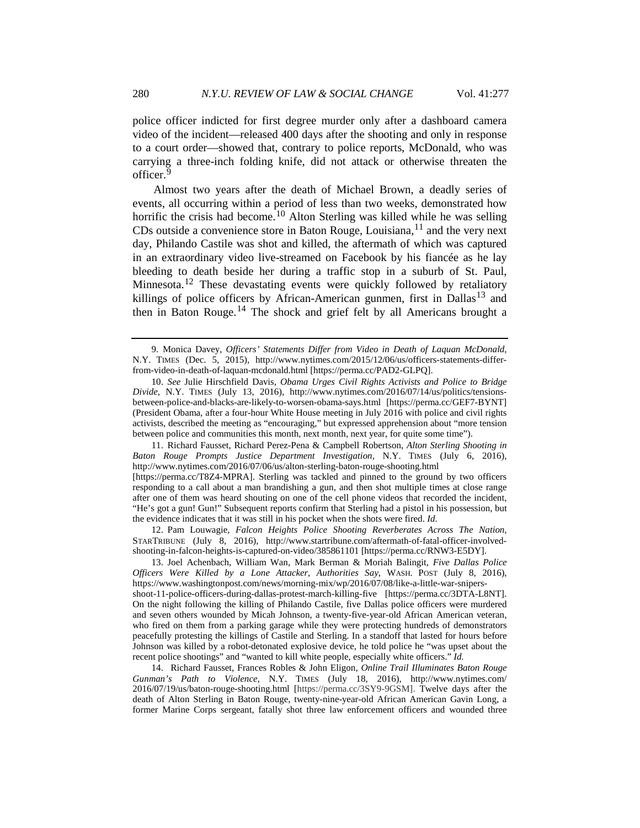police officer indicted for first degree murder only after a dashboard camera video of the incident—released 400 days after the shooting and only in response to a court order—showed that, contrary to police reports, McDonald, who was carrying a three-inch folding knife, did not attack or otherwise threaten the officer.[9](#page-3-0)

<span id="page-3-6"></span>Almost two years after the death of Michael Brown, a deadly series of events, all occurring within a period of less than two weeks, demonstrated how horrific the crisis had become.<sup>[10](#page-3-1)</sup> Alton Sterling was killed while he was selling CDs outside a convenience store in Baton Rouge, Louisiana, $^{11}$  $^{11}$  $^{11}$  and the very next day, Philando Castile was shot and killed, the aftermath of which was captured in an extraordinary video live-streamed on Facebook by his fiancée as he lay bleeding to death beside her during a traffic stop in a suburb of St. Paul, Minnesota.<sup>[12](#page-3-3)</sup> These devastating events were quickly followed by retaliatory killings of police officers by African-American gunmen, first in Dallas<sup>[13](#page-3-4)</sup> and then in Baton Rouge.[14](#page-3-5) The shock and grief felt by all Americans brought a

<span id="page-3-2"></span>11. Richard Fausset, Richard Perez-Pena & Campbell Robertson, *Alton Sterling Shooting in Baton Rouge Prompts Justice Department Investigation*, N.Y. TIMES (July 6, 2016), http://www.nytimes.com/2016/07/06/us/alton-sterling-baton-rouge-shooting.html [https://perma.cc/T8Z4-MPRA]. Sterling was tackled and pinned to the ground by two officers responding to a call about a man brandishing a gun, and then shot multiple times at close range after one of them was heard shouting on one of the cell phone videos that recorded the incident, "He's got a gun! Gun!" Subsequent reports confirm that Sterling had a pistol in his possession, but the evidence indicates that it was still in his pocket when the shots were fired. *Id.*

<span id="page-3-3"></span>12. Pam Louwagie, *Falcon Heights Police Shooting Reverberates Across The Nation*, STARTRIBUNE (July 8, 2016), http://www.startribune.com/aftermath-of-fatal-officer-involvedshooting-in-falcon-heights-is-captured-on-video/385861101 [https://perma.cc/RNW3-E5DY].

<span id="page-3-4"></span>13. Joel Achenbach, William Wan, Mark Berman & Moriah Balingit, *Five Dallas Police Officers Were Killed by a Lone Attacker, Authorities Say*, WASH. POST (July 8, 2016), https://www.washingtonpost.com/news/morning-mix/wp/2016/07/08/like-a-little-war-snipersshoot-11-police-officers-during-dallas-protest-march-killing-five [https://perma.cc/3DTA-L8NT]. On the night following the killing of Philando Castile, five Dallas police officers were murdered and seven others wounded by Micah Johnson, a twenty-five-year-old African American veteran, who fired on them from a parking garage while they were protecting hundreds of demonstrators peacefully protesting the killings of Castile and Sterling. In a standoff that lasted for hours before Johnson was killed by a robot-detonated explosive device, he told police he "was upset about the recent police shootings" and "wanted to kill white people, especially white officers." *Id.*

<span id="page-3-5"></span>14. Richard Fausset, Frances Robles & John Eligon, *Online Trail Illuminates Baton Rouge Gunman's Path to Violence*, N.Y. TIMES (July 18, 2016), http://www.nytimes.com/ 2016/07/19/us/baton-rouge-shooting.html [https://perma.cc/3SY9-9GSM]. Twelve days after the death of Alton Sterling in Baton Rouge, twenty-nine-year-old African American Gavin Long, a former Marine Corps sergeant, fatally shot three law enforcement officers and wounded three

<span id="page-3-0"></span><sup>9.</sup> Monica Davey, *Officers' Statements Differ from Video in Death of Laquan McDonald*, N.Y. TIMES (Dec. 5, 2015), http://www.nytimes.com/2015/12/06/us/officers-statements-differfrom-video-in-death-of-laquan-mcdonald.html [https://perma.cc/PAD2-GLPQ].

<span id="page-3-1"></span><sup>10.</sup> *See* Julie Hirschfield Davis, *Obama Urges Civil Rights Activists and Police to Bridge Divide*, N.Y. TIMES (July 13, 2016), http://www.nytimes.com/2016/07/14/us/politics/tensionsbetween-police-and-blacks-are-likely-to-worsen-obama-says.html [https://perma.cc/GEF7-BYNT] (President Obama, after a four-hour White House meeting in July 2016 with police and civil rights activists, described the meeting as "encouraging," but expressed apprehension about "more tension between police and communities this month, next month, next year, for quite some time").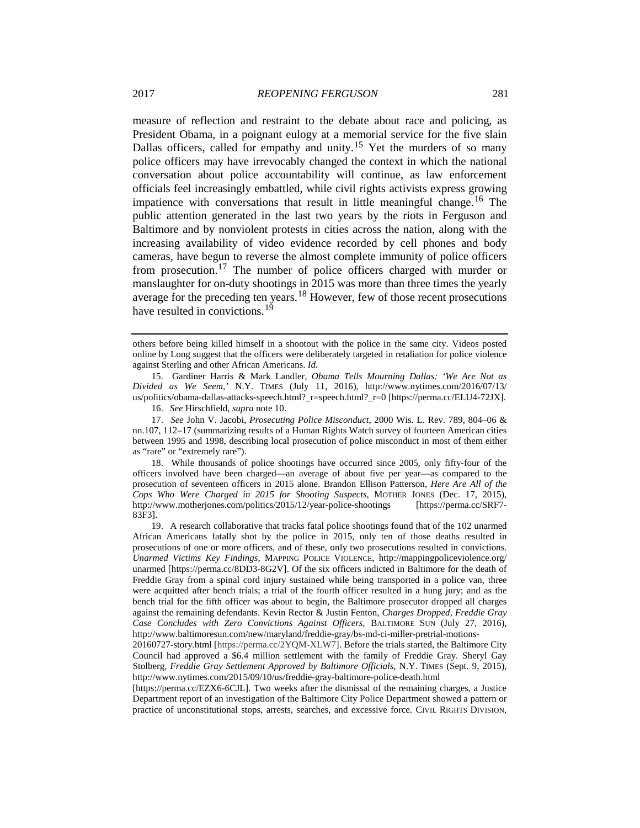measure of reflection and restraint to the debate about race and policing, as President Obama, in a poignant eulogy at a memorial service for the five slain Dallas officers, called for empathy and unity.<sup>[15](#page-4-0)</sup> Yet the murders of so many police officers may have irrevocably changed the context in which the national conversation about police accountability will continue, as law enforcement officials feel increasingly embattled, while civil rights activists express growing impatience with conversations that result in little meaningful change.<sup>[16](#page-4-1)</sup> The public attention generated in the last two years by the riots in Ferguson and Baltimore and by nonviolent protests in cities across the nation, along with the increasing availability of video evidence recorded by cell phones and body cameras, have begun to reverse the almost complete immunity of police officers from prosecution.<sup>[17](#page-4-2)</sup> The number of police officers charged with murder or manslaughter for on-duty shootings in 2015 was more than three times the yearly average for the preceding ten years. $18$  However, few of those recent prosecutions have resulted in convictions.<sup>[19](#page-4-4)</sup>

<span id="page-4-0"></span>15. Gardiner Harris & Mark Landler, *Obama Tells Mourning Dallas: 'We Are Not as Divided as We Seem*,*'* N.Y. TIMES (July 11, 2016), http://www.nytimes.com/2016/07/13/ us/politics/obama-dallas-attacks-speech.html?\_r=speech.html?\_r=0 [https://perma.cc/ELU4-72JX].

<span id="page-4-3"></span>18. While thousands of police shootings have occurred since 2005, only fifty-four of the officers involved have been charged—an average of about five per year—as compared to the prosecution of seventeen officers in 2015 alone. Brandon Ellison Patterson, *Here Are All of the Cops Who Were Charged in 2015 for Shooting Suspects*, MOTHER JONES (Dec. 17, 2015), http://www.motherjones.com/politics/2015/12/year-police-shootings [https://perma.cc/SRF7- 83F3].

<span id="page-4-4"></span>19. A research collaborative that tracks fatal police shootings found that of the 102 unarmed African Americans fatally shot by the police in 2015, only ten of those deaths resulted in prosecutions of one or more officers, and of these, only two prosecutions resulted in convictions. *Unarmed Victims Key Findings*, MAPPING POLICE VIOLENCE, http://mappingpoliceviolence.org/ unarmed [https://perma.cc/8DD3-8G2V]. Of the six officers indicted in Baltimore for the death of Freddie Gray from a spinal cord injury sustained while being transported in a police van, three were acquitted after bench trials; a trial of the fourth officer resulted in a hung jury; and as the bench trial for the fifth officer was about to begin, the Baltimore prosecutor dropped all charges against the remaining defendants. Kevin Rector & Justin Fenton, *Charges Dropped, Freddie Gray Case Concludes with Zero Convictions Against Officers*, BALTIMORE SUN (July 27, 2016), http://www.baltimoresun.com/new/maryland/freddie-gray/bs-md-ci-miller-pretrial-motions-

[https://perma.cc/EZX6-6CJL]. Two weeks after the dismissal of the remaining charges, a Justice Department report of an investigation of the Baltimore City Police Department showed a pattern or practice of unconstitutional stops, arrests, searches, and excessive force. CIVIL RIGHTS DIVISION,

<span id="page-4-5"></span>others before being killed himself in a shootout with the police in the same city. Videos posted online by Long suggest that the officers were deliberately targeted in retaliation for police violence against Sterling and other African Americans. *Id.*

<sup>16.</sup> *See* Hirschfield, *supra* not[e 10.](#page-3-6)

<span id="page-4-2"></span><span id="page-4-1"></span><sup>17.</sup> *See* John V. Jacobi, *Prosecuting Police Misconduct*, 2000 Wis. L. Rev. 789, 804–06 & nn.107, 112–17 (summarizing results of a Human Rights Watch survey of fourteen American cities between 1995 and 1998, describing local prosecution of police misconduct in most of them either as "rare" or "extremely rare").

<sup>20160727-</sup>story.html [https://perma.cc/2YQM-XLW7]. Before the trials started, the Baltimore City Council had approved a \$6.4 million settlement with the family of Freddie Gray. Sheryl Gay Stolberg, *Freddie Gray Settlement Approved by Baltimore Officials*, N.Y. TIMES (Sept. 9, 2015), http://www.nytimes.com/2015/09/10/us/freddie-gray-baltimore-police-death.html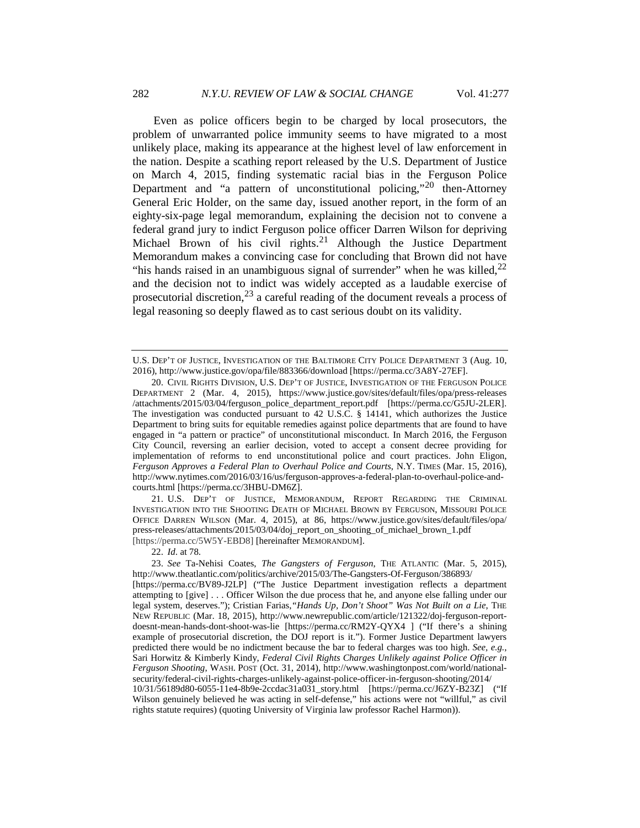<span id="page-5-5"></span><span id="page-5-4"></span>Even as police officers begin to be charged by local prosecutors, the problem of unwarranted police immunity seems to have migrated to a most unlikely place, making its appearance at the highest level of law enforcement in the nation. Despite a scathing report released by the U.S. Department of Justice on March 4, 2015, finding systematic racial bias in the Ferguson Police Department and "a pattern of unconstitutional policing,"  $^{20}$  $^{20}$  $^{20}$  then-Attorney General Eric Holder, on the same day, issued another report, in the form of an eighty-six-page legal memorandum, explaining the decision not to convene a federal grand jury to indict Ferguson police officer Darren Wilson for depriving Michael Brown of his civil rights.<sup>[21](#page-5-1)</sup> Although the Justice Department Memorandum makes a convincing case for concluding that Brown did not have "his hands raised in an unambiguous signal of surrender" when he was killed,  $2^2$ and the decision not to indict was widely accepted as a laudable exercise of prosecutorial discretion, $^{23}$  $^{23}$  $^{23}$  a careful reading of the document reveals a process of legal reasoning so deeply flawed as to cast serious doubt on its validity.

<span id="page-5-1"></span>21. U.S. DEP'T OF JUSTICE, MEMORANDUM, REPORT REGARDING THE CRIMINAL INVESTIGATION INTO THE SHOOTING DEATH OF MICHAEL BROWN BY FERGUSON, MISSOURI POLICE OFFICE DARREN WILSON (Mar. 4, 2015), at 86, https://www.justice.gov/sites/default/files/opa/ press-releases/attachments/2015/03/04/doj\_report\_on\_shooting\_of\_michael\_brown\_1.pdf [https://perma.cc/5W5Y-EBD8] [hereinafter MEMORANDUM].

22. *Id*. at 78.

U.S. DEP'T OF JUSTICE, INVESTIGATION OF THE BALTIMORE CITY POLICE DEPARTMENT 3 (Aug. 10, 2016), http://www.justice.gov/opa/file/883366/download [https://perma.cc/3A8Y-27EF].

<span id="page-5-0"></span><sup>20.</sup> CIVIL RIGHTS DIVISION, U.S. DEP'T OF JUSTICE, INVESTIGATION OF THE FERGUSON POLICE DEPARTMENT 2 (Mar. 4, 2015), https://www.justice.gov/sites/default/files/opa/press-releases /attachments/2015/03/04/ferguson\_police\_department\_report.pdf [https://perma.cc/G5JU-2LER]. The investigation was conducted pursuant to 42 U.S.C. § 14141, which authorizes the Justice Department to bring suits for equitable remedies against police departments that are found to have engaged in "a pattern or practice" of unconstitutional misconduct. In March 2016, the Ferguson City Council, reversing an earlier decision, voted to accept a consent decree providing for implementation of reforms to end unconstitutional police and court practices. John Eligon, *Ferguson Approves a Federal Plan to Overhaul Police and Courts*, N.Y. TIMES (Mar. 15, 2016), http://www.nytimes.com/2016/03/16/us/ferguson-approves-a-federal-plan-to-overhaul-police-andcourts.html [https://perma.cc/3HBU-DM6Z].

<span id="page-5-3"></span><span id="page-5-2"></span><sup>23.</sup> *See* Ta-Nehisi Coates, *The Gangsters of Ferguson*, THE ATLANTIC (Mar. 5, 2015), http://www.theatlantic.com/politics/archive/2015/03/The-Gangsters-Of-Ferguson/386893/ [https://perma.cc/BV89-J2LP] ("The Justice Department investigation reflects a department attempting to [give] . . . Officer Wilson the due process that he, and anyone else falling under our legal system, deserves."); Cristian Farias, "Hands Up, Don't Shoot" Was Not Built on a Lie, THE NEW REPUBLIC (Mar. 18, 2015), http://www.newrepublic.com/article/121322/doj-ferguson-reportdoesnt-mean-hands-dont-shoot-was-lie [https://perma.cc/RM2Y-QYX4 ] ("If there's a shining example of prosecutorial discretion, the DOJ report is it."). Former Justice Department lawyers predicted there would be no indictment because the bar to federal charges was too high. *See, e.g.*, Sari Horwitz & Kimberly Kindy, *Federal Civil Rights Charges Unlikely against Police Officer in Ferguson Shooting*, WASH. POST (Oct. 31, 2014), http://www.washingtonpost.com/world/nationalsecurity/federal-civil-rights-charges-unlikely-against-police-officer-in-ferguson-shooting/2014/ 10/31/56189d80-6055-11e4-8b9e-2ccdac31a031\_story.html [https://perma.cc/J6ZY-B23Z] ("If Wilson genuinely believed he was acting in self-defense," his actions were not "willful," as civil rights statute requires) (quoting University of Virginia law professor Rachel Harmon)).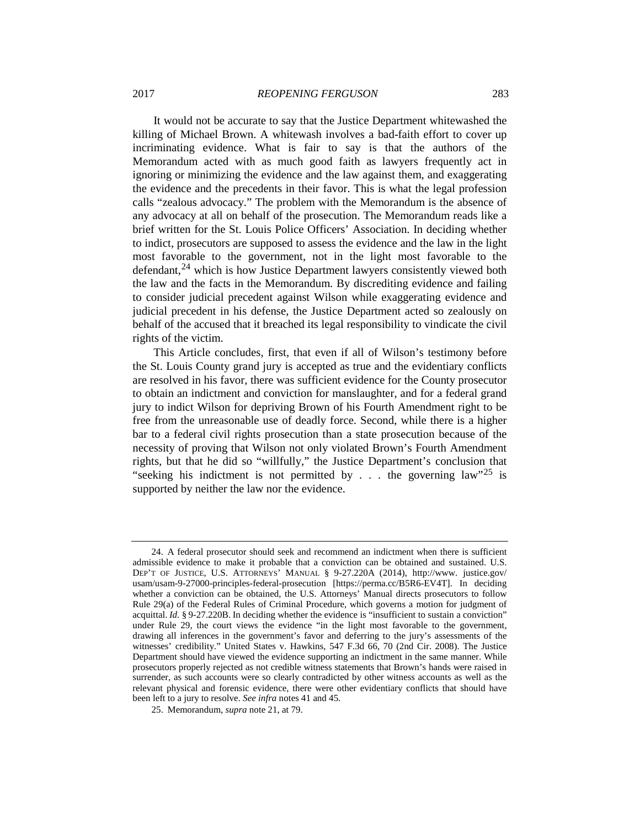## 2017 *REOPENING FERGUSON* 283

It would not be accurate to say that the Justice Department whitewashed the killing of Michael Brown. A whitewash involves a bad-faith effort to cover up incriminating evidence. What is fair to say is that the authors of the Memorandum acted with as much good faith as lawyers frequently act in ignoring or minimizing the evidence and the law against them, and exaggerating the evidence and the precedents in their favor. This is what the legal profession calls "zealous advocacy." The problem with the Memorandum is the absence of any advocacy at all on behalf of the prosecution. The Memorandum reads like a brief written for the St. Louis Police Officers' Association. In deciding whether to indict, prosecutors are supposed to assess the evidence and the law in the light most favorable to the government, not in the light most favorable to the defendant,  $24$  which is how Justice Department lawyers consistently viewed both the law and the facts in the Memorandum. By discrediting evidence and failing to consider judicial precedent against Wilson while exaggerating evidence and judicial precedent in his defense, the Justice Department acted so zealously on behalf of the accused that it breached its legal responsibility to vindicate the civil rights of the victim.

This Article concludes, first, that even if all of Wilson's testimony before the St. Louis County grand jury is accepted as true and the evidentiary conflicts are resolved in his favor, there was sufficient evidence for the County prosecutor to obtain an indictment and conviction for manslaughter, and for a federal grand jury to indict Wilson for depriving Brown of his Fourth Amendment right to be free from the unreasonable use of deadly force. Second, while there is a higher bar to a federal civil rights prosecution than a state prosecution because of the necessity of proving that Wilson not only violated Brown's Fourth Amendment rights, but that he did so "willfully," the Justice Department's conclusion that "seeking his indictment is not permitted by . . . the governing  $law''^{25}$  $law''^{25}$  $law''^{25}$  is supported by neither the law nor the evidence.

<span id="page-6-0"></span><sup>24.</sup> A federal prosecutor should seek and recommend an indictment when there is sufficient admissible evidence to make it probable that a conviction can be obtained and sustained. U.S. DEP'T OF JUSTICE, U.S. ATTORNEYS' MANUAL § 9-27.220A (2014), http://www. justice.gov/ usam/usam-9-27000-principles-federal-prosecution [https://perma.cc/B5R6-EV4T]. In deciding whether a conviction can be obtained, the U.S. Attorneys' Manual directs prosecutors to follow Rule 29(a) of the Federal Rules of Criminal Procedure, which governs a motion for judgment of acquittal. *Id*. § 9-27.220B. In deciding whether the evidence is "insufficient to sustain a conviction" under Rule 29, the court views the evidence "in the light most favorable to the government, drawing all inferences in the government's favor and deferring to the jury's assessments of the witnesses' credibility." United States v. Hawkins, 547 F.3d 66, 70 (2nd Cir. 2008). The Justice Department should have viewed the evidence supporting an indictment in the same manner. While prosecutors properly rejected as not credible witness statements that Brown's hands were raised in surrender, as such accounts were so clearly contradicted by other witness accounts as well as the relevant physical and forensic evidence, there were other evidentiary conflicts that should have been left to a jury to resolve. *See infra* notes 41 and 45.

<span id="page-6-1"></span><sup>25.</sup> Memorandum, *supra* not[e 21,](#page-5-4) at 79.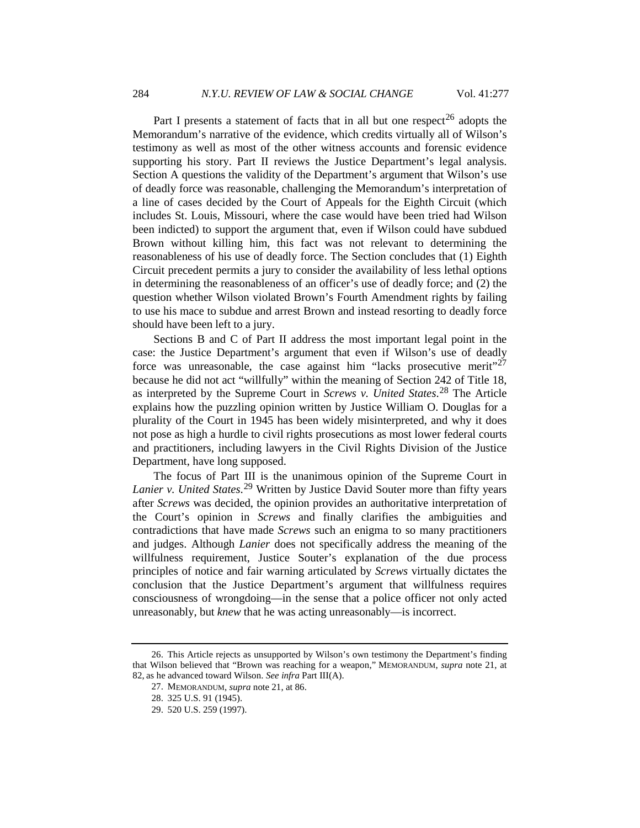Part I presents a statement of facts that in all but one respect<sup>[26](#page-7-0)</sup> adopts the Memorandum's narrative of the evidence, which credits virtually all of Wilson's testimony as well as most of the other witness accounts and forensic evidence supporting his story. Part II reviews the Justice Department's legal analysis. Section A questions the validity of the Department's argument that Wilson's use of deadly force was reasonable, challenging the Memorandum's interpretation of a line of cases decided by the Court of Appeals for the Eighth Circuit (which includes St. Louis, Missouri, where the case would have been tried had Wilson been indicted) to support the argument that, even if Wilson could have subdued Brown without killing him, this fact was not relevant to determining the reasonableness of his use of deadly force. The Section concludes that (1) Eighth Circuit precedent permits a jury to consider the availability of less lethal options in determining the reasonableness of an officer's use of deadly force; and (2) the question whether Wilson violated Brown's Fourth Amendment rights by failing to use his mace to subdue and arrest Brown and instead resorting to deadly force should have been left to a jury.

Sections B and C of Part II address the most important legal point in the case: the Justice Department's argument that even if Wilson's use of deadly force was unreasonable, the case against him "lacks prosecutive merit"<sup>[27](#page-7-1)</sup> because he did not act "willfully" within the meaning of Section 242 of Title 18, as interpreted by the Supreme Court in *Screws v. United States*. [28](#page-7-2) The Article explains how the puzzling opinion written by Justice William O. Douglas for a plurality of the Court in 1945 has been widely misinterpreted, and why it does not pose as high a hurdle to civil rights prosecutions as most lower federal courts and practitioners, including lawyers in the Civil Rights Division of the Justice Department, have long supposed.

The focus of Part III is the unanimous opinion of the Supreme Court in *Lanier v. United States*. [29](#page-7-3) Written by Justice David Souter more than fifty years after *Screws* was decided, the opinion provides an authoritative interpretation of the Court's opinion in *Screws* and finally clarifies the ambiguities and contradictions that have made *Screws* such an enigma to so many practitioners and judges. Although *Lanier* does not specifically address the meaning of the willfulness requirement, Justice Souter's explanation of the due process principles of notice and fair warning articulated by *Screws* virtually dictates the conclusion that the Justice Department's argument that willfulness requires consciousness of wrongdoing—in the sense that a police officer not only acted unreasonably, but *knew* that he was acting unreasonably—is incorrect.

<span id="page-7-3"></span><span id="page-7-2"></span><span id="page-7-1"></span><span id="page-7-0"></span><sup>26.</sup> This Article rejects as unsupported by Wilson's own testimony the Department's finding that Wilson believed that "Brown was reaching for a weapon," MEMORANDUM, *supra* note [21,](#page-5-4) at 82, as he advanced toward Wilson. *See infra* Part III(A).

<sup>27.</sup> MEMORANDUM, *supra* note [21,](#page-5-4) at 86.

<sup>28.</sup> 325 U.S. 91 (1945).

<sup>29.</sup> 520 U.S. 259 (1997).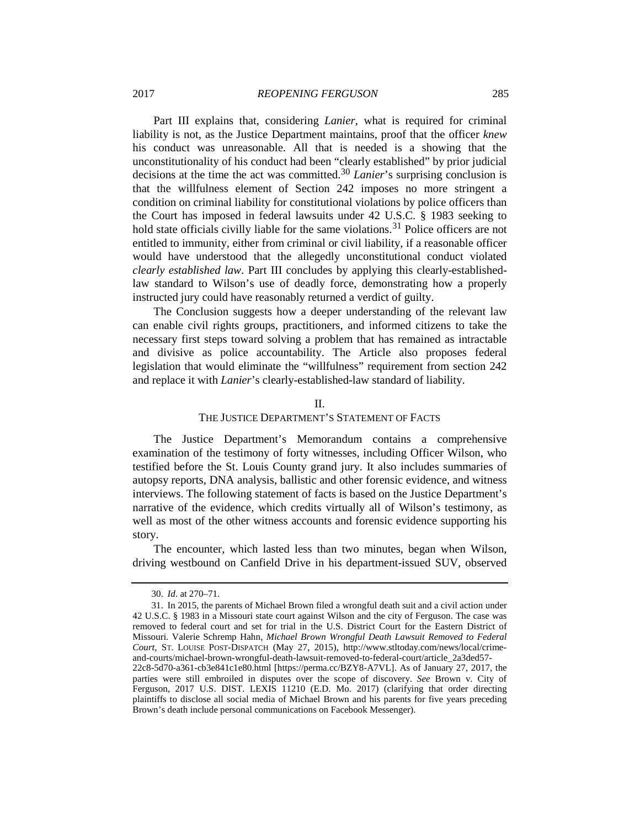Part III explains that, considering *Lanier*, what is required for criminal liability is not, as the Justice Department maintains, proof that the officer *knew* his conduct was unreasonable. All that is needed is a showing that the unconstitutionality of his conduct had been "clearly established" by prior judicial decisions at the time the act was committed.<sup>[30](#page-8-0)</sup> *Lanier*'s surprising conclusion is that the willfulness element of Section 242 imposes no more stringent a condition on criminal liability for constitutional violations by police officers than the Court has imposed in federal lawsuits under 42 U.S.C. § 1983 seeking to hold state officials civilly liable for the same violations.<sup>[31](#page-8-1)</sup> Police officers are not entitled to immunity, either from criminal or civil liability, if a reasonable officer would have understood that the allegedly unconstitutional conduct violated *clearly established law*. Part III concludes by applying this clearly-establishedlaw standard to Wilson's use of deadly force, demonstrating how a properly instructed jury could have reasonably returned a verdict of guilty.

The Conclusion suggests how a deeper understanding of the relevant law can enable civil rights groups, practitioners, and informed citizens to take the necessary first steps toward solving a problem that has remained as intractable and divisive as police accountability. The Article also proposes federal legislation that would eliminate the "willfulness" requirement from section 242 and replace it with *Lanier*'s clearly-established-law standard of liability.

## II.

## THE JUSTICE DEPARTMENT'S STATEMENT OF FACTS

The Justice Department's Memorandum contains a comprehensive examination of the testimony of forty witnesses, including Officer Wilson, who testified before the St. Louis County grand jury. It also includes summaries of autopsy reports, DNA analysis, ballistic and other forensic evidence, and witness interviews. The following statement of facts is based on the Justice Department's narrative of the evidence, which credits virtually all of Wilson's testimony, as well as most of the other witness accounts and forensic evidence supporting his story.

The encounter, which lasted less than two minutes, began when Wilson, driving westbound on Canfield Drive in his department-issued SUV, observed

<sup>30.</sup> *Id*. at 270–71.

<span id="page-8-1"></span><span id="page-8-0"></span><sup>31.</sup> In 2015, the parents of Michael Brown filed a wrongful death suit and a civil action under 42 U.S.C. § 1983 in a Missouri state court against Wilson and the city of Ferguson. The case was removed to federal court and set for trial in the U.S. District Court for the Eastern District of Missouri. Valerie Schremp Hahn, *Michael Brown Wrongful Death Lawsuit Removed to Federal Court*, ST. LOUISE POST-DISPATCH (May 27, 2015), http://www.stltoday.com/news/local/crimeand-courts/michael-brown-wrongful-death-lawsuit-removed-to-federal-court/article\_2a3ded57-

<sup>22</sup>c8-5d70-a361-cb3e841c1e80.html [https://perma.cc/BZY8-A7VL]. As of January 27, 2017, the parties were still embroiled in disputes over the scope of discovery. *See* Brown v. City of Ferguson, 2017 U.S. DIST. LEXIS 11210 (E.D. Mo. 2017) (clarifying that order directing plaintiffs to disclose all social media of Michael Brown and his parents for five years preceding Brown's death include personal communications on Facebook Messenger).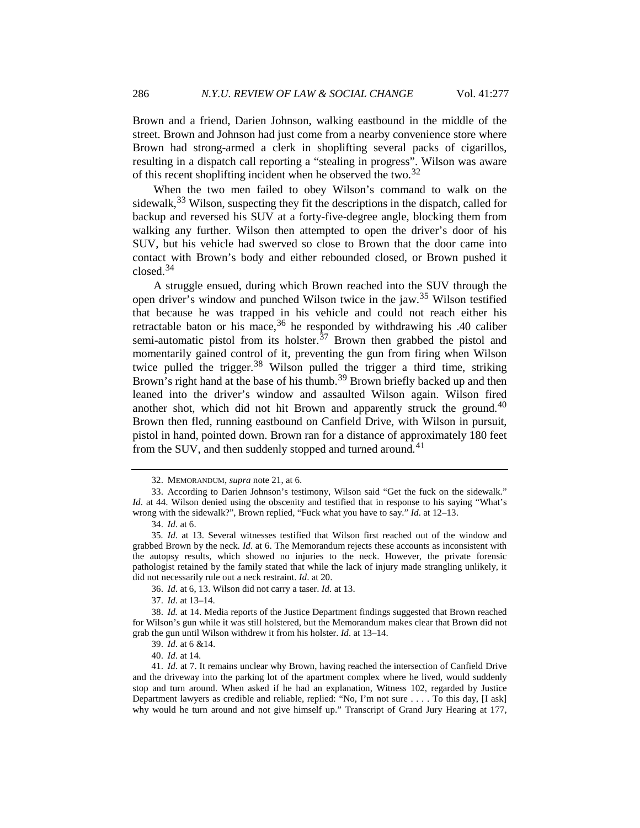Brown and a friend, Darien Johnson, walking eastbound in the middle of the street. Brown and Johnson had just come from a nearby convenience store where Brown had strong-armed a clerk in shoplifting several packs of cigarillos, resulting in a dispatch call reporting a "stealing in progress". Wilson was aware of this recent shoplifting incident when he observed the two.[32](#page-9-0)

When the two men failed to obey Wilson's command to walk on the sidewalk,  $33$  Wilson, suspecting they fit the descriptions in the dispatch, called for backup and reversed his SUV at a forty-five-degree angle, blocking them from walking any further. Wilson then attempted to open the driver's door of his SUV, but his vehicle had swerved so close to Brown that the door came into contact with Brown's body and either rebounded closed, or Brown pushed it closed.[34](#page-9-2)

A struggle ensued, during which Brown reached into the SUV through the open driver's window and punched Wilson twice in the jaw.[35](#page-9-3) Wilson testified that because he was trapped in his vehicle and could not reach either his retractable baton or his mace,  $36$  he responded by withdrawing his .40 caliber semi-automatic pistol from its holster. $37$  Brown then grabbed the pistol and momentarily gained control of it, preventing the gun from firing when Wilson twice pulled the trigger.<sup>[38](#page-9-6)</sup> Wilson pulled the trigger a third time, striking Brown's right hand at the base of his thumb.<sup>[39](#page-9-7)</sup> Brown briefly backed up and then leaned into the driver's window and assaulted Wilson again. Wilson fired another shot, which did not hit Brown and apparently struck the ground.<sup>[40](#page-9-8)</sup> Brown then fled, running eastbound on Canfield Drive, with Wilson in pursuit, pistol in hand, pointed down. Brown ran for a distance of approximately 180 feet from the SUV, and then suddenly stopped and turned around.<sup>[41](#page-9-9)</sup>

37. *Id*. at 13–14.

<span id="page-9-6"></span><span id="page-9-5"></span><span id="page-9-4"></span>38. *Id.* at 14. Media reports of the Justice Department findings suggested that Brown reached for Wilson's gun while it was still holstered, but the Memorandum makes clear that Brown did not grab the gun until Wilson withdrew it from his holster. *Id*. at 13–14.

<span id="page-9-10"></span><sup>32.</sup> MEMORANDUM, *supra* note [21,](#page-5-4) at 6.

<span id="page-9-1"></span><span id="page-9-0"></span><sup>33.</sup> According to Darien Johnson's testimony, Wilson said "Get the fuck on the sidewalk." *Id*. at 44. Wilson denied using the obscenity and testified that in response to his saying "What's wrong with the sidewalk?", Brown replied, "Fuck what you have to say." *Id*. at 12–13.

<sup>34.</sup> *Id*. at 6.

<span id="page-9-3"></span><span id="page-9-2"></span><sup>35</sup>*. Id*. at 13. Several witnesses testified that Wilson first reached out of the window and grabbed Brown by the neck. *Id*. at 6. The Memorandum rejects these accounts as inconsistent with the autopsy results, which showed no injuries to the neck. However, the private forensic pathologist retained by the family stated that while the lack of injury made strangling unlikely, it did not necessarily rule out a neck restraint. *Id*. at 20.

<sup>36.</sup> *Id*. at 6, 13. Wilson did not carry a taser. *Id.* at 13.

<sup>39.</sup> *Id*. at 6 &14.

<sup>40.</sup> *Id*. at 14.

<span id="page-9-9"></span><span id="page-9-8"></span><span id="page-9-7"></span><sup>41.</sup> *Id*. at 7. It remains unclear why Brown, having reached the intersection of Canfield Drive and the driveway into the parking lot of the apartment complex where he lived, would suddenly stop and turn around. When asked if he had an explanation, Witness 102, regarded by Justice Department lawyers as credible and reliable, replied: "No, I'm not sure . . . . To this day, [I ask] why would he turn around and not give himself up." Transcript of Grand Jury Hearing at 177,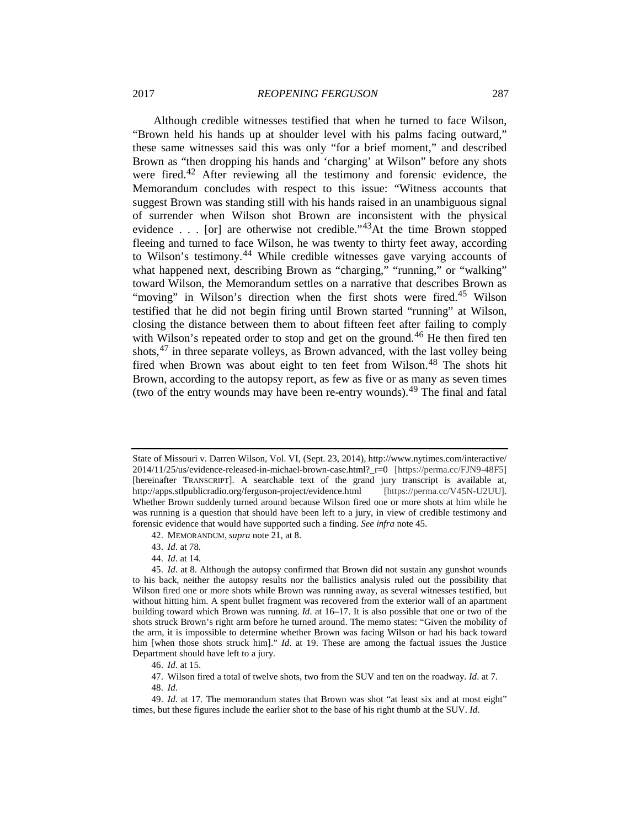Although credible witnesses testified that when he turned to face Wilson, "Brown held his hands up at shoulder level with his palms facing outward," these same witnesses said this was only "for a brief moment," and described Brown as "then dropping his hands and 'charging' at Wilson" before any shots were fired.<sup>[42](#page-10-0)</sup> After reviewing all the testimony and forensic evidence, the Memorandum concludes with respect to this issue: "Witness accounts that suggest Brown was standing still with his hands raised in an unambiguous signal of surrender when Wilson shot Brown are inconsistent with the physical evidence . . . [or] are otherwise not credible."<sup>43</sup>At the time Brown stopped fleeing and turned to face Wilson, he was twenty to thirty feet away, according to Wilson's testimony.[44](#page-10-2) While credible witnesses gave varying accounts of what happened next, describing Brown as "charging," "running," or "walking" toward Wilson, the Memorandum settles on a narrative that describes Brown as "moving" in Wilson's direction when the first shots were fired.<sup>[45](#page-10-3)</sup> Wilson testified that he did not begin firing until Brown started "running" at Wilson, closing the distance between them to about fifteen feet after failing to comply with Wilson's repeated order to stop and get on the ground.<sup>[46](#page-10-4)</sup> He then fired ten shots,<sup>[47](#page-10-5)</sup> in three separate volleys, as Brown advanced, with the last volley being fired when Brown was about eight to ten feet from Wilson.[48](#page-10-6) The shots hit Brown, according to the autopsy report, as few as five or as many as seven times (two of the entry wounds may have been re-entry wounds).<sup>[49](#page-10-7)</sup> The final and fatal

44. *Id*. at 14.

48. *Id*.

State of Missouri v. Darren Wilson, Vol. VI, (Sept. 23, 2014), http://www.nytimes.com/interactive/ 2014/11/25/us/evidence-released-in-michael-brown-case.html?\_r=0 [https://perma.cc/FJN9-48F5] [hereinafter TRANSCRIPT]. A searchable text of the grand jury transcript is available at, http://apps.stlpublicradio.org/ferguson-project/evidence.html [https://perma.cc/V45N-U2UU]. Whether Brown suddenly turned around because Wilson fired one or more shots at him while he was running is a question that should have been left to a jury, in view of credible testimony and forensic evidence that would have supported such a finding. *See infra* note 45.

<sup>42.</sup> MEMORANDUM, *supra* not[e 21,](#page-5-4) at 8.

<sup>43.</sup> *Id*. at 78.

<span id="page-10-3"></span><span id="page-10-2"></span><span id="page-10-1"></span><span id="page-10-0"></span><sup>45.</sup> *Id*. at 8. Although the autopsy confirmed that Brown did not sustain any gunshot wounds to his back, neither the autopsy results nor the ballistics analysis ruled out the possibility that Wilson fired one or more shots while Brown was running away, as several witnesses testified, but without hitting him. A spent bullet fragment was recovered from the exterior wall of an apartment building toward which Brown was running. *Id*. at 16–17. It is also possible that one or two of the shots struck Brown's right arm before he turned around. The memo states: "Given the mobility of the arm, it is impossible to determine whether Brown was facing Wilson or had his back toward him [when those shots struck him]." *Id*. at 19. These are among the factual issues the Justice Department should have left to a jury.

<sup>46.</sup> *Id*. at 15.

<sup>47.</sup> Wilson fired a total of twelve shots, two from the SUV and ten on the roadway. *Id*. at 7.

<span id="page-10-7"></span><span id="page-10-6"></span><span id="page-10-5"></span><span id="page-10-4"></span><sup>49.</sup> *Id*. at 17. The memorandum states that Brown was shot "at least six and at most eight" times, but these figures include the earlier shot to the base of his right thumb at the SUV. *Id*.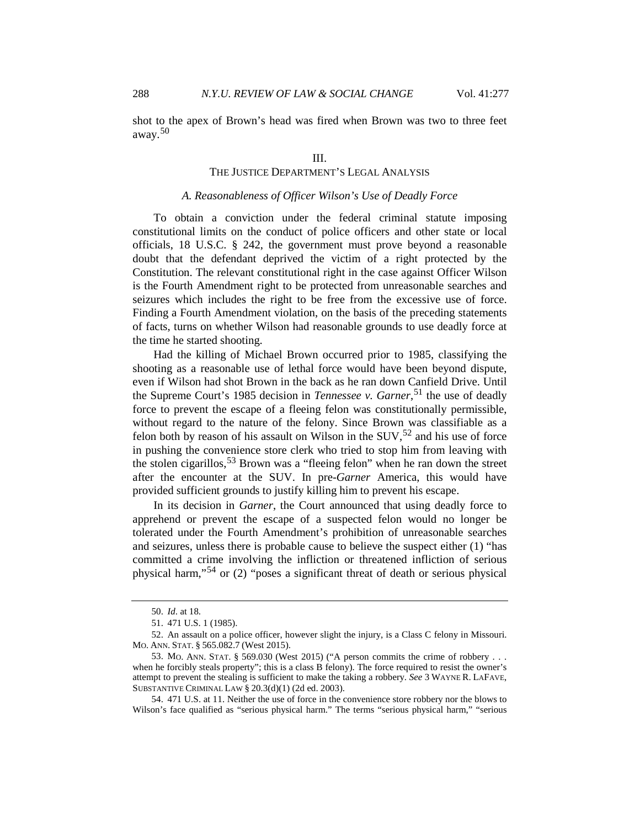shot to the apex of Brown's head was fired when Brown was two to three feet away.[50](#page-11-0)

## THE JUSTICE DEPARTMENT'S LEGAL ANALYSIS

## *A. Reasonableness of Officer Wilson's Use of Deadly Force*

To obtain a conviction under the federal criminal statute imposing constitutional limits on the conduct of police officers and other state or local officials, 18 U.S.C. § 242, the government must prove beyond a reasonable doubt that the defendant deprived the victim of a right protected by the Constitution. The relevant constitutional right in the case against Officer Wilson is the Fourth Amendment right to be protected from unreasonable searches and seizures which includes the right to be free from the excessive use of force. Finding a Fourth Amendment violation, on the basis of the preceding statements of facts, turns on whether Wilson had reasonable grounds to use deadly force at the time he started shooting.

Had the killing of Michael Brown occurred prior to 1985, classifying the shooting as a reasonable use of lethal force would have been beyond dispute, even if Wilson had shot Brown in the back as he ran down Canfield Drive. Until the Supreme Court's 1985 decision in *Tennessee v. Garner*, [51](#page-11-1) the use of deadly force to prevent the escape of a fleeing felon was constitutionally permissible, without regard to the nature of the felony. Since Brown was classifiable as a felon both by reason of his assault on Wilson in the  $SUV$ ,  $52$  and his use of force in pushing the convenience store clerk who tried to stop him from leaving with the stolen cigarillos,[53](#page-11-3) Brown was a "fleeing felon" when he ran down the street after the encounter at the SUV. In pre-*Garner* America, this would have provided sufficient grounds to justify killing him to prevent his escape.

<span id="page-11-5"></span>In its decision in *Garner*, the Court announced that using deadly force to apprehend or prevent the escape of a suspected felon would no longer be tolerated under the Fourth Amendment's prohibition of unreasonable searches and seizures, unless there is probable cause to believe the suspect either (1) "has committed a crime involving the infliction or threatened infliction of serious physical harm,"[54](#page-11-4) or (2) "poses a significant threat of death or serious physical

<sup>50.</sup> *Id*. at 18.

<sup>51.</sup> 471 U.S. 1 (1985).

<span id="page-11-2"></span><span id="page-11-1"></span><span id="page-11-0"></span><sup>52.</sup> An assault on a police officer, however slight the injury, is a Class C felony in Missouri. MO. ANN. STAT. § 565.082.7 (West 2015).

<span id="page-11-3"></span><sup>53.</sup> MO. ANN. STAT. § 569.030 (West 2015) ("A person commits the crime of robbery . . . when he forcibly steals property"; this is a class B felony). The force required to resist the owner's attempt to prevent the stealing is sufficient to make the taking a robbery. *See* 3 WAYNE R. LAFAVE, SUBSTANTIVE CRIMINAL LAW § 20.3(d)(1) (2d ed. 2003).

<span id="page-11-4"></span><sup>54.</sup> 471 U.S. at 11. Neither the use of force in the convenience store robbery nor the blows to Wilson's face qualified as "serious physical harm." The terms "serious physical harm," "serious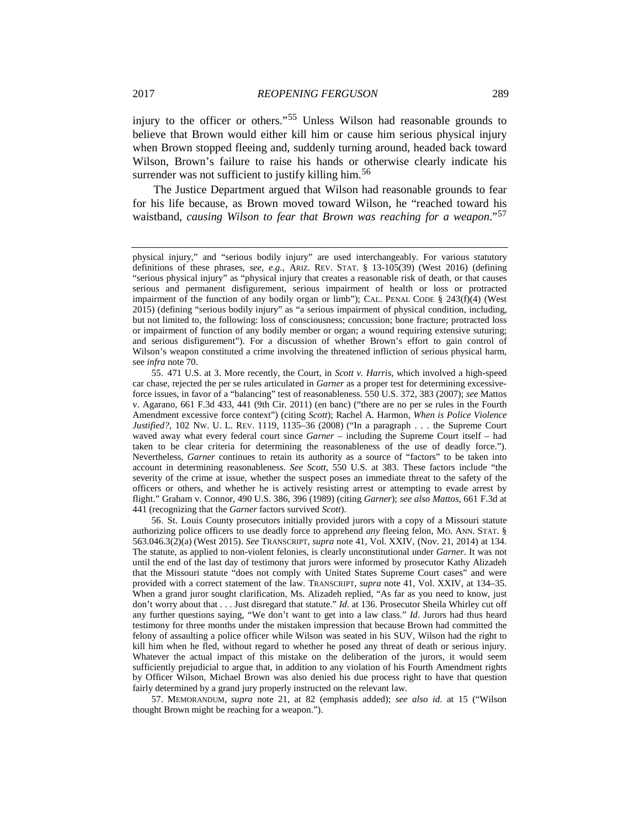<span id="page-12-3"></span>injury to the officer or others."[55](#page-12-0) Unless Wilson had reasonable grounds to believe that Brown would either kill him or cause him serious physical injury when Brown stopped fleeing and, suddenly turning around, headed back toward Wilson, Brown's failure to raise his hands or otherwise clearly indicate his surrender was not sufficient to justify killing him.<sup>[56](#page-12-1)</sup>

The Justice Department argued that Wilson had reasonable grounds to fear for his life because, as Brown moved toward Wilson, he "reached toward his waistband, *causing Wilson to fear that Brown was reaching for a weapon*."[57](#page-12-2)

<span id="page-12-2"></span>57. MEMORANDUM, *supra* note [21,](#page-5-4) at 82 (emphasis added); *see also id*. at 15 ("Wilson thought Brown might be reaching for a weapon.").

physical injury," and "serious bodily injury" are used interchangeably. For various statutory definitions of these phrases, *see, e.g.*, ARIZ. REV. STAT. § 13-105(39) (West 2016) (defining "serious physical injury" as "physical injury that creates a reasonable risk of death, or that causes serious and permanent disfigurement, serious impairment of health or loss or protracted impairment of the function of any bodily organ or limb"); CAL. PENAL CODE § 243(f)(4) (West 2015) (defining "serious bodily injury" as "a serious impairment of physical condition, including, but not limited to, the following: loss of consciousness; concussion; bone fracture; protracted loss or impairment of function of any bodily member or organ; a wound requiring extensive suturing; and serious disfigurement"). For a discussion of whether Brown's effort to gain control of Wilson's weapon constituted a crime involving the threatened infliction of serious physical harm, see *infra* not[e 70.](#page-15-0)

<span id="page-12-0"></span><sup>55.</sup> 471 U.S. at 3. More recently, the Court, in *Scott v. Harris*, which involved a high-speed car chase, rejected the per se rules articulated in *Garner* as a proper test for determining excessiveforce issues, in favor of a "balancing" test of reasonableness. 550 U.S. 372, 383 (2007); *see* Mattos v. Agarano, 661 F.3d 433, 441 (9th Cir. 2011) (en banc) ("there are no per se rules in the Fourth Amendment excessive force context") (citing *Scott*); Rachel A. Harmon, *When is Police Violence Justified?*, 102 NW. U. L. REV. 1119, 1135–36 (2008) ("In a paragraph . . . the Supreme Court waved away what every federal court since *Garner* – including the Supreme Court itself – had taken to be clear criteria for determining the reasonableness of the use of deadly force."). Nevertheless, *Garner* continues to retain its authority as a source of "factors" to be taken into account in determining reasonableness. *See Scott*, 550 U.S. at 383. These factors include "the severity of the crime at issue, whether the suspect poses an immediate threat to the safety of the officers or others, and whether he is actively resisting arrest or attempting to evade arrest by flight." Graham v. Connor, 490 U.S. 386, 396 (1989) (citing *Garner*); *see also Mattos*, 661 F.3d at 441 (recognizing that the *Garner* factors survived *Scott*).

<span id="page-12-1"></span><sup>56.</sup> St. Louis County prosecutors initially provided jurors with a copy of a Missouri statute authorizing police officers to use deadly force to apprehend *any* fleeing felon, MO. ANN. STAT. § 563.046.3(2)(a) (West 2015). *See* TRANSCRIPT, *supra* note [41,](#page-9-10) Vol. XXIV, (Nov. 21, 2014) at 134. The statute, as applied to non-violent felonies, is clearly unconstitutional under *Garner*. It was not until the end of the last day of testimony that jurors were informed by prosecutor Kathy Alizadeh that the Missouri statute "does not comply with United States Supreme Court cases" and were provided with a correct statement of the law. TRANSCRIPT, *supra* note [41,](#page-9-10) Vol. XXIV, at 134–35. When a grand juror sought clarification, Ms. Alizadeh replied, "As far as you need to know, just don't worry about that . . . Just disregard that statute." *Id*. at 136. Prosecutor Sheila Whirley cut off any further questions saying, "We don't want to get into a law class." *Id*. Jurors had thus heard testimony for three months under the mistaken impression that because Brown had committed the felony of assaulting a police officer while Wilson was seated in his SUV, Wilson had the right to kill him when he fled, without regard to whether he posed any threat of death or serious injury. Whatever the actual impact of this mistake on the deliberation of the jurors, it would seem sufficiently prejudicial to argue that, in addition to any violation of his Fourth Amendment rights by Officer Wilson, Michael Brown was also denied his due process right to have that question fairly determined by a grand jury properly instructed on the relevant law.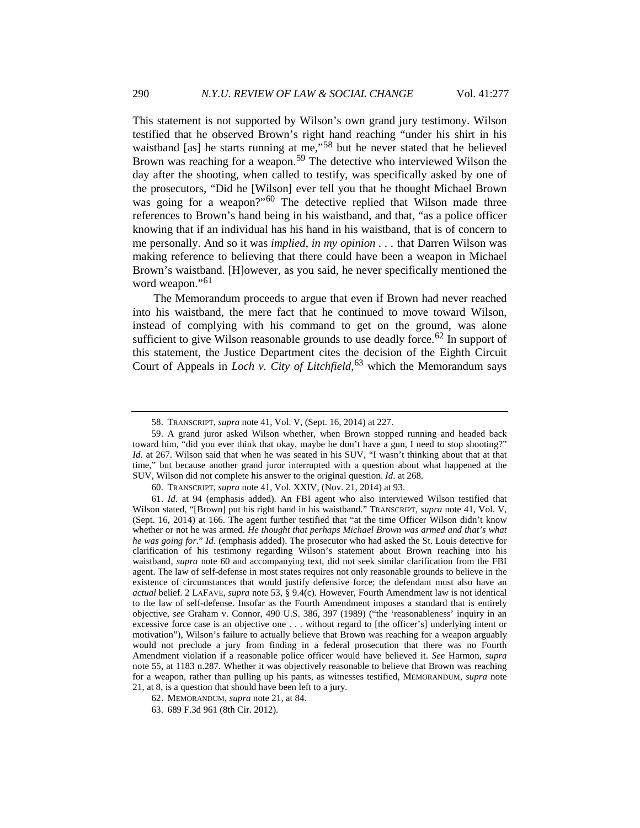<span id="page-13-0"></span>This statement is not supported by Wilson's own grand jury testimony. Wilson testified that he observed Brown's right hand reaching "under his shirt in his waistband [as] he starts running at me,"<sup>[58](#page-13-1)</sup> but he never stated that he believed Brown was reaching for a weapon.<sup>[59](#page-13-2)</sup> The detective who interviewed Wilson the day after the shooting, when called to testify, was specifically asked by one of the prosecutors, "Did he [Wilson] ever tell you that he thought Michael Brown was going for a weapon?"<sup>[60](#page-13-3)</sup> The detective replied that Wilson made three references to Brown's hand being in his waistband, and that, "as a police officer knowing that if an individual has his hand in his waistband, that is of concern to me personally. And so it was *implied*, *in my opinion . . .* that Darren Wilson was making reference to believing that there could have been a weapon in Michael Brown's waistband. [H]owever, as you said, he never specifically mentioned the word weapon."<sup>[61](#page-13-4)</sup>

The Memorandum proceeds to argue that even if Brown had never reached into his waistband, the mere fact that he continued to move toward Wilson, instead of complying with his command to get on the ground, was alone sufficient to give Wilson reasonable grounds to use deadly force.<sup>[62](#page-13-5)</sup> In support of this statement, the Justice Department cites the decision of the Eighth Circuit Court of Appeals in *Loch v. City of Litchfield*, [63](#page-13-6) which the Memorandum says

<sup>58.</sup> TRANSCRIPT, *supra* not[e 41,](#page-9-10) Vol. V, (Sept. 16, 2014) at 227.

<span id="page-13-2"></span><span id="page-13-1"></span><sup>59.</sup> A grand juror asked Wilson whether, when Brown stopped running and headed back toward him, "did you ever think that okay, maybe he don't have a gun, I need to stop shooting?" *Id*. at 267. Wilson said that when he was seated in his SUV, "I wasn't thinking about that at that time," but because another grand juror interrupted with a question about what happened at the SUV, Wilson did not complete his answer to the original question. *Id*. at 268.

<sup>60.</sup> TRANSCRIPT, *supra* not[e 41,](#page-9-10) Vol. XXIV, (Nov. 21, 2014) at 93.

<span id="page-13-4"></span><span id="page-13-3"></span><sup>61.</sup> *Id*. at 94 (emphasis added). An FBI agent who also interviewed Wilson testified that Wilson stated, "[Brown] put his right hand in his waistband." TRANSCRIPT, *supra* note [41,](#page-9-10) Vol. V, (Sept. 16, 2014) at 166. The agent further testified that "at the time Officer Wilson didn't know whether or not he was armed. *He thought that perhaps Michael Brown was armed and that's what he was going for.*" *Id.* (emphasis added). The prosecutor who had asked the St. Louis detective for clarification of his testimony regarding Wilson's statement about Brown reaching into his waistband, *supra* note [60](#page-13-0) and accompanying text, did not seek similar clarification from the FBI agent. The law of self-defense in most states requires not only reasonable grounds to believe in the existence of circumstances that would justify defensive force; the defendant must also have an *actual* belief. 2 LAFAVE, *supra* note [53,](#page-11-5) § 9.4(c). However, Fourth Amendment law is not identical to the law of self-defense. Insofar as the Fourth Amendment imposes a standard that is entirely objective, *see* Graham v. Connor, 490 U.S. 386, 397 (1989) ("the 'reasonableness' inquiry in an excessive force case is an objective one . . . without regard to [the officer's] underlying intent or motivation"), Wilson's failure to actually believe that Brown was reaching for a weapon arguably would not preclude a jury from finding in a federal prosecution that there was no Fourth Amendment violation if a reasonable police officer would have believed it. *See* Harmon, *supra* note 55, at 1183 n.287. Whether it was objectively reasonable to believe that Brown was reaching for a weapon, rather than pulling up his pants, as witnesses testified, MEMORANDUM, *supra* note [21,](#page-5-4) at 8, is a question that should have been left to a jury.

<sup>62.</sup> MEMORANDUM, *supra* note [21,](#page-5-4) at 84.

<span id="page-13-6"></span><span id="page-13-5"></span><sup>63.</sup> 689 F.3d 961 (8th Cir. 2012).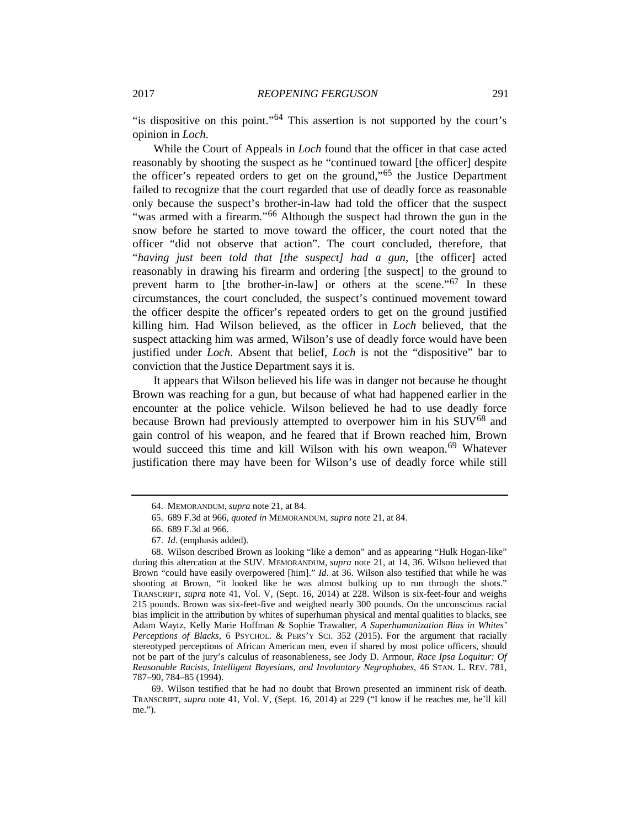"is dispositive on this point."[64](#page-14-0) This assertion is not supported by the court's opinion in *Loch*.

While the Court of Appeals in *Loch* found that the officer in that case acted reasonably by shooting the suspect as he "continued toward [the officer] despite the officer's repeated orders to get on the ground,"[65](#page-14-1) the Justice Department failed to recognize that the court regarded that use of deadly force as reasonable only because the suspect's brother-in-law had told the officer that the suspect "was armed with a firearm*.*"[66](#page-14-2) Although the suspect had thrown the gun in the snow before he started to move toward the officer, the court noted that the officer "did not observe that action". The court concluded, therefore, that "*having just been told that [the suspect] had a gun*, [the officer] acted reasonably in drawing his firearm and ordering [the suspect] to the ground to prevent harm to [the brother-in-law] or others at the scene."<sup>[67](#page-14-3)</sup> In these circumstances, the court concluded, the suspect's continued movement toward the officer despite the officer's repeated orders to get on the ground justified killing him. Had Wilson believed, as the officer in *Loch* believed, that the suspect attacking him was armed, Wilson's use of deadly force would have been justified under *Loch*. Absent that belief, *Loch* is not the "dispositive" bar to conviction that the Justice Department says it is.

It appears that Wilson believed his life was in danger not because he thought Brown was reaching for a gun, but because of what had happened earlier in the encounter at the police vehicle. Wilson believed he had to use deadly force because Brown had previously attempted to overpower him in his  $\text{SUV}^{68}$  $\text{SUV}^{68}$  $\text{SUV}^{68}$  and gain control of his weapon, and he feared that if Brown reached him, Brown would succeed this time and kill Wilson with his own weapon.<sup>[69](#page-14-5)</sup> Whatever justification there may have been for Wilson's use of deadly force while still

<sup>64.</sup> MEMORANDUM, *supra* not[e 21,](#page-5-4) at 84.

<sup>65.</sup> 689 F.3d at 966, *quoted in* MEMORANDUM, *supra* note [21,](#page-5-4) at 84.

<sup>66.</sup> 689 F.3d at 966.

<sup>67.</sup> *Id*. (emphasis added).

<span id="page-14-4"></span><span id="page-14-3"></span><span id="page-14-2"></span><span id="page-14-1"></span><span id="page-14-0"></span><sup>68.</sup> Wilson described Brown as looking "like a demon" and as appearing "Hulk Hogan-like" during this altercation at the SUV. MEMORANDUM, *supra* note [21,](#page-5-4) at 14, 36. Wilson believed that Brown "could have easily overpowered [him]." *Id*. at 36. Wilson also testified that while he was shooting at Brown, "it looked like he was almost bulking up to run through the shots." TRANSCRIPT, *supra* note [41,](#page-9-10) Vol. V, (Sept. 16, 2014) at 228. Wilson is six-feet-four and weighs 215 pounds. Brown was six-feet-five and weighed nearly 300 pounds. On the unconscious racial bias implicit in the attribution by whites of superhuman physical and mental qualities to blacks, see Adam Waytz, Kelly Marie Hoffman & Sophie Trawalter, *A Superhumanization Bias in Whites' Perceptions of Blacks*, 6 PSYCHOL. & PERS'Y SCI. 352 (2015). For the argument that racially stereotyped perceptions of African American men, even if shared by most police officers, should not be part of the jury's calculus of reasonableness, see Jody D. Armour, *Race Ipsa Loquitur: Of Reasonable Racists, Intelligent Bayesians, and Involuntary Negrophobes*, 46 STAN. L. REV. 781, 787–90, 784–85 (1994).

<span id="page-14-5"></span><sup>69.</sup> Wilson testified that he had no doubt that Brown presented an imminent risk of death. TRANSCRIPT, *supra* note [41,](#page-9-10) Vol. V, (Sept. 16, 2014) at 229 ("I know if he reaches me, he'll kill me.").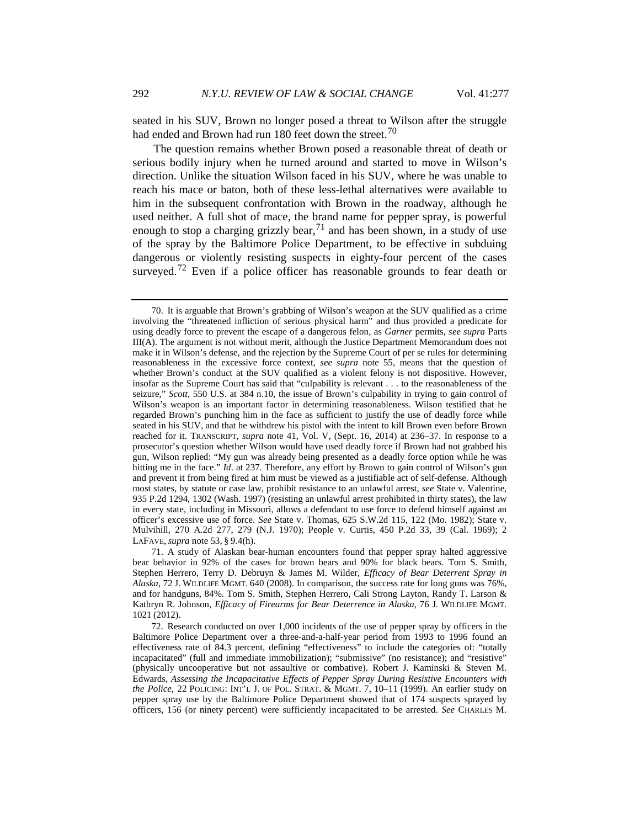<span id="page-15-0"></span>seated in his SUV, Brown no longer posed a threat to Wilson after the struggle had ended and Brown had run 180 feet down the street.<sup>[70](#page-15-1)</sup>

The question remains whether Brown posed a reasonable threat of death or serious bodily injury when he turned around and started to move in Wilson's direction. Unlike the situation Wilson faced in his SUV, where he was unable to reach his mace or baton, both of these less-lethal alternatives were available to him in the subsequent confrontation with Brown in the roadway, although he used neither. A full shot of mace, the brand name for pepper spray, is powerful enough to stop a charging grizzly bear,  $71$  and has been shown, in a study of use of the spray by the Baltimore Police Department, to be effective in subduing dangerous or violently resisting suspects in eighty-four percent of the cases surveyed.<sup>[72](#page-15-3)</sup> Even if a police officer has reasonable grounds to fear death or

<span id="page-15-4"></span><span id="page-15-1"></span><sup>70.</sup> It is arguable that Brown's grabbing of Wilson's weapon at the SUV qualified as a crime involving the "threatened infliction of serious physical harm" and thus provided a predicate for using deadly force to prevent the escape of a dangerous felon, as *Garner* permits, *see supra* Parts III(A). The argument is not without merit, although the Justice Department Memorandum does not make it in Wilson's defense, and the rejection by the Supreme Court of per se rules for determining reasonableness in the excessive force context, *see supra* note [55,](#page-12-3) means that the question of whether Brown's conduct at the SUV qualified as a violent felony is not dispositive. However, insofar as the Supreme Court has said that "culpability is relevant . . . to the reasonableness of the seizure," *Scott*, 550 U.S. at 384 n.10, the issue of Brown's culpability in trying to gain control of Wilson's weapon is an important factor in determining reasonableness. Wilson testified that he regarded Brown's punching him in the face as sufficient to justify the use of deadly force while seated in his SUV, and that he withdrew his pistol with the intent to kill Brown even before Brown reached for it. TRANSCRIPT, *supra* note [41,](#page-9-10) Vol. V, (Sept. 16, 2014) at 236–37. In response to a prosecutor's question whether Wilson would have used deadly force if Brown had not grabbed his gun, Wilson replied: "My gun was already being presented as a deadly force option while he was hitting me in the face." *Id*. at 237. Therefore, any effort by Brown to gain control of Wilson's gun and prevent it from being fired at him must be viewed as a justifiable act of self-defense. Although most states, by statute or case law, prohibit resistance to an unlawful arrest, *see* State v. Valentine, 935 P.2d 1294, 1302 (Wash. 1997) (resisting an unlawful arrest prohibited in thirty states), the law in every state, including in Missouri, allows a defendant to use force to defend himself against an officer's excessive use of force. *See* State v. Thomas, 625 S.W.2d 115, 122 (Mo. 1982); State v. Mulvihill, 270 A.2d 277, 279 (N.J. 1970); People v. Curtis, 450 P.2d 33, 39 (Cal. 1969); 2 LAFAVE, *supra* not[e 53,](#page-11-5) § 9.4(h).

<span id="page-15-2"></span><sup>71.</sup> A study of Alaskan bear-human encounters found that pepper spray halted aggressive bear behavior in 92% of the cases for brown bears and 90% for black bears. Tom S. Smith, Stephen Herrero, Terry D. Debruyn & James M. Wilder, *Efficacy of Bear Deterrent Spray in Alaska*, 72 J. WILDLIFE MGMT. 640 (2008). In comparison, the success rate for long guns was 76%, and for handguns, 84%. Tom S. Smith, Stephen Herrero, Cali Strong Layton, Randy T. Larson & Kathryn R. Johnson, *Efficacy of Firearms for Bear Deterrence in Alaska*, 76 J. WILDLIFE MGMT. 1021 (2012).

<span id="page-15-3"></span><sup>72.</sup> Research conducted on over 1,000 incidents of the use of pepper spray by officers in the Baltimore Police Department over a three-and-a-half-year period from 1993 to 1996 found an effectiveness rate of 84.3 percent, defining "effectiveness" to include the categories of: "totally incapacitated" (full and immediate immobilization); "submissive" (no resistance); and "resistive" (physically uncooperative but not assaultive or combative). Robert J. Kaminski & Steven M. Edwards, *Assessing the Incapacitative Effects of Pepper Spray During Resistive Encounters with the Police*, 22 POLICING: INT'L J. OF POL. STRAT. & MGMT. 7, 10–11 (1999). An earlier study on pepper spray use by the Baltimore Police Department showed that of 174 suspects sprayed by officers, 156 (or ninety percent) were sufficiently incapacitated to be arrested. *See* CHARLES M.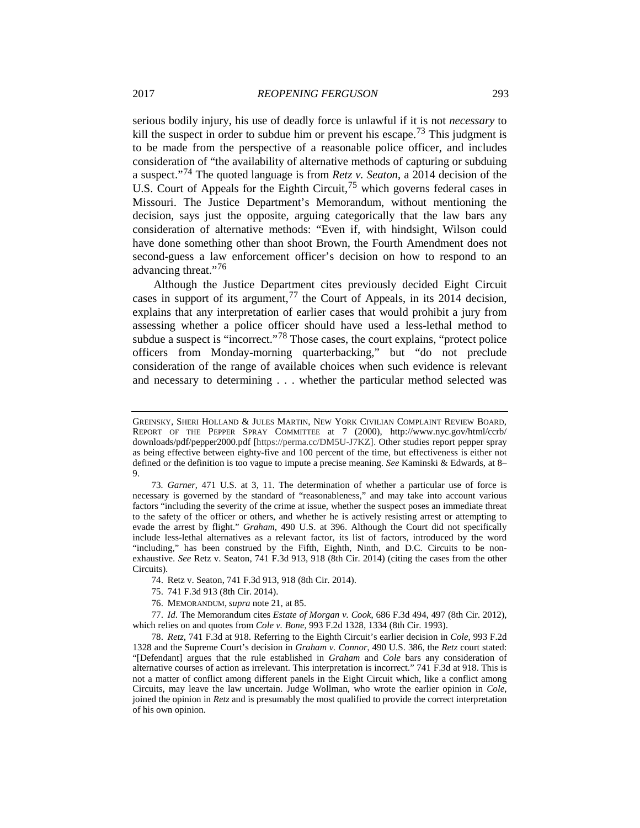serious bodily injury, his use of deadly force is unlawful if it is not *necessary* to kill the suspect in order to subdue him or prevent his escape.<sup>[73](#page-16-0)</sup> This judgment is to be made from the perspective of a reasonable police officer, and includes consideration of "the availability of alternative methods of capturing or subduing a suspect."[74](#page-16-1) The quoted language is from *Retz v. Seaton*, a 2014 decision of the U.S. Court of Appeals for the Eighth Circuit,<sup>[75](#page-16-2)</sup> which governs federal cases in Missouri. The Justice Department's Memorandum, without mentioning the decision, says just the opposite, arguing categorically that the law bars any consideration of alternative methods: "Even if, with hindsight, Wilson could have done something other than shoot Brown, the Fourth Amendment does not second-guess a law enforcement officer's decision on how to respond to an advancing threat."<sup>[76](#page-16-3)</sup>

Although the Justice Department cites previously decided Eight Circuit cases in support of its argument,  $77$  the Court of Appeals, in its 2014 decision, explains that any interpretation of earlier cases that would prohibit a jury from assessing whether a police officer should have used a less-lethal method to subdue a suspect is "incorrect."<sup>[78](#page-16-5)</sup> Those cases, the court explains, "protect police officers from Monday-morning quarterbacking," but "do not preclude consideration of the range of available choices when such evidence is relevant and necessary to determining . . . whether the particular method selected was

74. Retz v. Seaton, 741 F.3d 913, 918 (8th Cir. 2014).

76. MEMORANDUM, *supra* not[e 21,](#page-5-4) at 85.

<span id="page-16-4"></span><span id="page-16-3"></span><span id="page-16-2"></span><span id="page-16-1"></span>77. *Id*. The Memorandum cites *Estate of Morgan v. Cook*, 686 F.3d 494, 497 (8th Cir. 2012), which relies on and quotes from *Cole v. Bone*, 993 F.2d 1328, 1334 (8th Cir. 1993).

<span id="page-16-5"></span>78. *Retz*, 741 F.3d at 918. Referring to the Eighth Circuit's earlier decision in *Cole*, 993 F.2d 1328 and the Supreme Court's decision in *Graham v. Connor*, 490 U.S. 386, the *Retz* court stated: "[Defendant] argues that the rule established in *Graham* and *Cole* bars any consideration of alternative courses of action as irrelevant. This interpretation is incorrect." 741 F.3d at 918. This is not a matter of conflict among different panels in the Eight Circuit which, like a conflict among Circuits, may leave the law uncertain. Judge Wollman, who wrote the earlier opinion in *Cole*, joined the opinion in *Retz* and is presumably the most qualified to provide the correct interpretation of his own opinion.

GREINSKY, SHERI HOLLAND & JULES MARTIN, NEW YORK CIVILIAN COMPLAINT REVIEW BOARD, REPORT OF THE PEPPER SPRAY COMMITTEE at 7 (2000), http://www.nyc.gov/html/ccrb/ downloads/pdf/pepper2000.pdf [https://perma.cc/DM5U-J7KZ]. Other studies report pepper spray as being effective between eighty-five and 100 percent of the time, but effectiveness is either not defined or the definition is too vague to impute a precise meaning. *See* Kaminski & Edwards, at 8– 9.

<span id="page-16-0"></span><sup>73</sup>*. Garner*, 471 U.S. at 3, 11. The determination of whether a particular use of force is necessary is governed by the standard of "reasonableness," and may take into account various factors "including the severity of the crime at issue, whether the suspect poses an immediate threat to the safety of the officer or others, and whether he is actively resisting arrest or attempting to evade the arrest by flight." *Graham*, 490 U.S. at 396. Although the Court did not specifically include less-lethal alternatives as a relevant factor, its list of factors, introduced by the word "including," has been construed by the Fifth, Eighth, Ninth, and D.C. Circuits to be nonexhaustive. *See* Retz v. Seaton, 741 F.3d 913, 918 (8th Cir. 2014) (citing the cases from the other Circuits).

<sup>75.</sup> 741 F.3d 913 (8th Cir. 2014).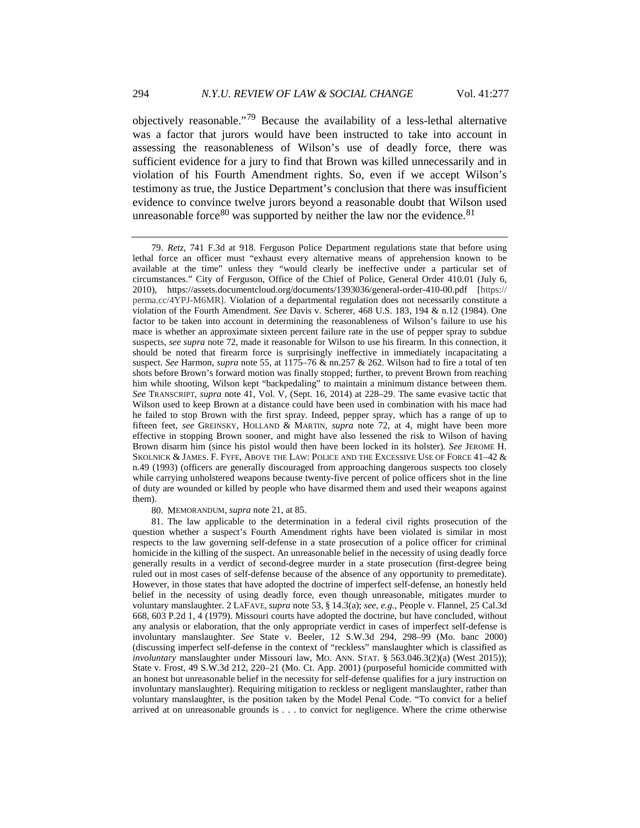objectively reasonable."[79](#page-17-0) Because the availability of a less-lethal alternative was a factor that jurors would have been instructed to take into account in assessing the reasonableness of Wilson's use of deadly force, there was sufficient evidence for a jury to find that Brown was killed unnecessarily and in violation of his Fourth Amendment rights. So, even if we accept Wilson's testimony as true, the Justice Department's conclusion that there was insufficient evidence to convince twelve jurors beyond a reasonable doubt that Wilson used unreasonable force<sup>[80](#page-17-1)</sup> was supported by neither the law nor the evidence.<sup>[81](#page-17-2)</sup>

80. MEMORANDUM, *supra* note [21,](#page-5-4) at 85.

<span id="page-17-2"></span><span id="page-17-1"></span>81. The law applicable to the determination in a federal civil rights prosecution of the question whether a suspect's Fourth Amendment rights have been violated is similar in most respects to the law governing self-defense in a state prosecution of a police officer for criminal homicide in the killing of the suspect. An unreasonable belief in the necessity of using deadly force generally results in a verdict of second-degree murder in a state prosecution (first-degree being ruled out in most cases of self-defense because of the absence of any opportunity to premeditate). However, in those states that have adopted the doctrine of imperfect self-defense, an honestly held belief in the necessity of using deadly force, even though unreasonable, mitigates murder to voluntary manslaughter. 2 LAFAVE, *supra* note [53,](#page-11-5) § 14.3(a); *see, e.g.*, People v. Flannel, 25 Cal.3d 668, 603 P.2d 1, 4 (1979). Missouri courts have adopted the doctrine, but have concluded, without any analysis or elaboration, that the only appropriate verdict in cases of imperfect self-defense is involuntary manslaughter. *See* State v. Beeler, 12 S.W.3d 294, 298–99 (Mo. banc 2000) (discussing imperfect self-defense in the context of "reckless" manslaughter which is classified as *involuntary* manslaughter under Missouri law, MO. ANN. STAT. § 563.046.3(2)(a) (West 2015)); State v. Frost, 49 S.W.3d 212, 220–21 (Mo. Ct. App. 2001) (purposeful homicide committed with an honest but unreasonable belief in the necessity for self-defense qualifies for a jury instruction on involuntary manslaughter). Requiring mitigation to reckless or negligent manslaughter, rather than voluntary manslaughter, is the position taken by the Model Penal Code. "To convict for a belief arrived at on unreasonable grounds is . . . to convict for negligence. Where the crime otherwise

<span id="page-17-3"></span><span id="page-17-0"></span><sup>79.</sup> *Retz*, 741 F.3d at 918. Ferguson Police Department regulations state that before using lethal force an officer must "exhaust every alternative means of apprehension known to be available at the time" unless they "would clearly be ineffective under a particular set of circumstances." City of Ferguson, Office of the Chief of Police, General Order 410.01 (July 6, 2010), https://assets.documentcloud.org/documents/1393036/general-order-410-00.pdf [https:// perma.cc/4YPJ-M6MR]. Violation of a departmental regulation does not necessarily constitute a violation of the Fourth Amendment. *See* Davis v. Scherer, 468 U.S. 183, 194 & n.12 (1984). One factor to be taken into account in determining the reasonableness of Wilson's failure to use his mace is whether an approximate sixteen percent failure rate in the use of pepper spray to subdue suspects, *see supra* not[e 72,](#page-15-4) made it reasonable for Wilson to use his firearm. In this connection, it should be noted that firearm force is surprisingly ineffective in immediately incapacitating a suspect. *See* Harmon, *supra* not[e 55,](#page-12-3) at 1175–76 & nn.257 & 262. Wilson had to fire a total of ten shots before Brown's forward motion was finally stopped; further, to prevent Brown from reaching him while shooting, Wilson kept "backpedaling" to maintain a minimum distance between them. *See* TRANSCRIPT, *supra* note [41,](#page-9-10) Vol. V, (Sept. 16, 2014) at 228–29. The same evasive tactic that Wilson used to keep Brown at a distance could have been used in combination with his mace had he failed to stop Brown with the first spray. Indeed, pepper spray, which has a range of up to fifteen feet, *see* GREINSKY, HOLLAND & MARTIN, *supra* note 72, at 4, might have been more effective in stopping Brown sooner, and might have also lessened the risk to Wilson of having Brown disarm him (since his pistol would then have been locked in its holster). *See* JEROME H. SKOLNICK & JAMES. F. FYFE, ABOVE THE LAW: POLICE AND THE EXCESSIVE USE OF FORCE 41–42 & n.49 (1993) (officers are generally discouraged from approaching dangerous suspects too closely while carrying unholstered weapons because twenty-five percent of police officers shot in the line of duty are wounded or killed by people who have disarmed them and used their weapons against them).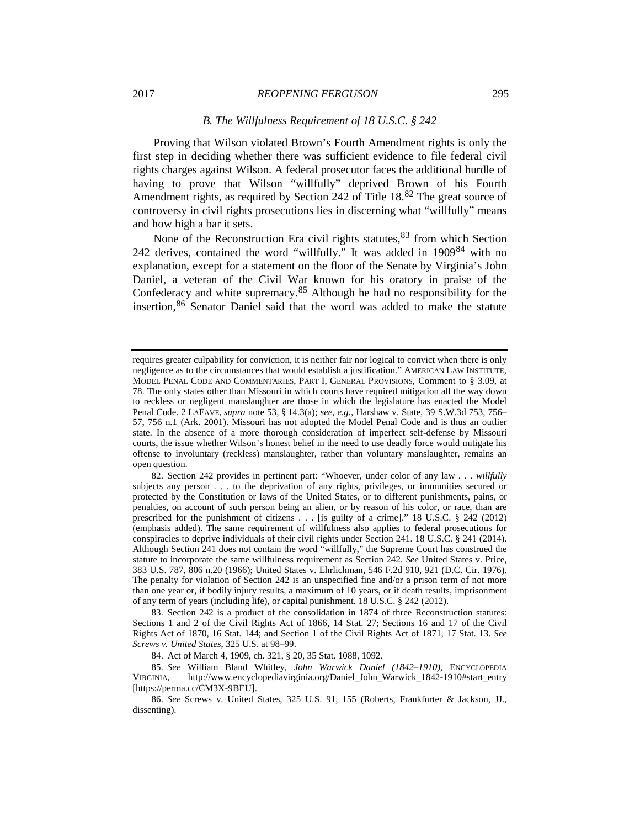#### 2017 *REOPENING FERGUSON* 295

#### <span id="page-18-5"></span>*B. The Willfulness Requirement of 18 U.S.C. § 242*

Proving that Wilson violated Brown's Fourth Amendment rights is only the first step in deciding whether there was sufficient evidence to file federal civil rights charges against Wilson. A federal prosecutor faces the additional hurdle of having to prove that Wilson "willfully" deprived Brown of his Fourth Amendment rights, as required by Section 242 of Title  $18<sup>82</sup>$  $18<sup>82</sup>$  $18<sup>82</sup>$  The great source of controversy in civil rights prosecutions lies in discerning what "willfully" means and how high a bar it sets.

None of the Reconstruction Era civil rights statutes,  $83$  from which Section 242 derives, contained the word "willfully." It was added in 1909[84](#page-18-2) with no explanation, except for a statement on the floor of the Senate by Virginia's John Daniel, a veteran of the Civil War known for his oratory in praise of the Confederacy and white supremacy.[85](#page-18-3) Although he had no responsibility for the insertion,[86](#page-18-4) Senator Daniel said that the word was added to make the statute

<span id="page-18-1"></span>83. Section 242 is a product of the consolidation in 1874 of three Reconstruction statutes: Sections 1 and 2 of the Civil Rights Act of 1866, 14 Stat. 27; Sections 16 and 17 of the Civil Rights Act of 1870, 16 Stat. 144; and Section 1 of the Civil Rights Act of 1871, 17 Stat. 13. *See Screws v. United States*, 325 U.S. at 98–99.

84. Act of March 4, 1909, ch. 321, § 20, 35 Stat. 1088, 1092.

<span id="page-18-3"></span><span id="page-18-2"></span>85. *See* William Bland Whitley, *John Warwick Daniel (1842–1910)*, ENCYCLOPEDIA VIRGINIA, http://www.encyclopediavirginia.org/Daniel\_John\_Warwick\_1842-1910#start\_entry [https://perma.cc/CM3X-9BEU].

<span id="page-18-4"></span>86. *See* Screws v. United States, 325 U.S. 91, 155 (Roberts, Frankfurter & Jackson, JJ., dissenting).

requires greater culpability for conviction, it is neither fair nor logical to convict when there is only negligence as to the circumstances that would establish a justification." AMERICAN LAW INSTITUTE, MODEL PENAL CODE AND COMMENTARIES, PART I, GENERAL PROVISIONS, Comment to § 3.09, at 78. The only states other than Missouri in which courts have required mitigation all the way down to reckless or negligent manslaughter are those in which the legislature has enacted the Model Penal Code. 2 LAFAVE, *supra* note [53,](#page-11-5) § 14.3(a); *see, e.g.*, Harshaw v. State, 39 S.W.3d 753, 756– 57, 756 n.1 (Ark. 2001). Missouri has not adopted the Model Penal Code and is thus an outlier state. In the absence of a more thorough consideration of imperfect self-defense by Missouri courts, the issue whether Wilson's honest belief in the need to use deadly force would mitigate his offense to involuntary (reckless) manslaughter, rather than voluntary manslaughter, remains an open question.

<span id="page-18-0"></span><sup>82.</sup> Section 242 provides in pertinent part: "Whoever, under color of any law . . . *willfully* subjects any person . . . to the deprivation of any rights, privileges, or immunities secured or protected by the Constitution or laws of the United States, or to different punishments, pains, or penalties, on account of such person being an alien, or by reason of his color, or race, than are prescribed for the punishment of citizens . . . [is guilty of a crime]." 18 U.S.C. § 242 (2012) (emphasis added). The same requirement of willfulness also applies to federal prosecutions for conspiracies to deprive individuals of their civil rights under Section 241. 18 U.S.C. § 241 (2014). Although Section 241 does not contain the word "willfully," the Supreme Court has construed the statute to incorporate the same willfulness requirement as Section 242. *See* United States v. Price, 383 U.S. 787, 806 n.20 (1966); United States v. Ehrlichman, 546 F.2d 910, 921 (D.C. Cir. 1976). The penalty for violation of Section 242 is an unspecified fine and/or a prison term of not more than one year or, if bodily injury results, a maximum of 10 years, or if death results, imprisonment of any term of years (including life), or capital punishment. 18 U.S.C. § 242 (2012).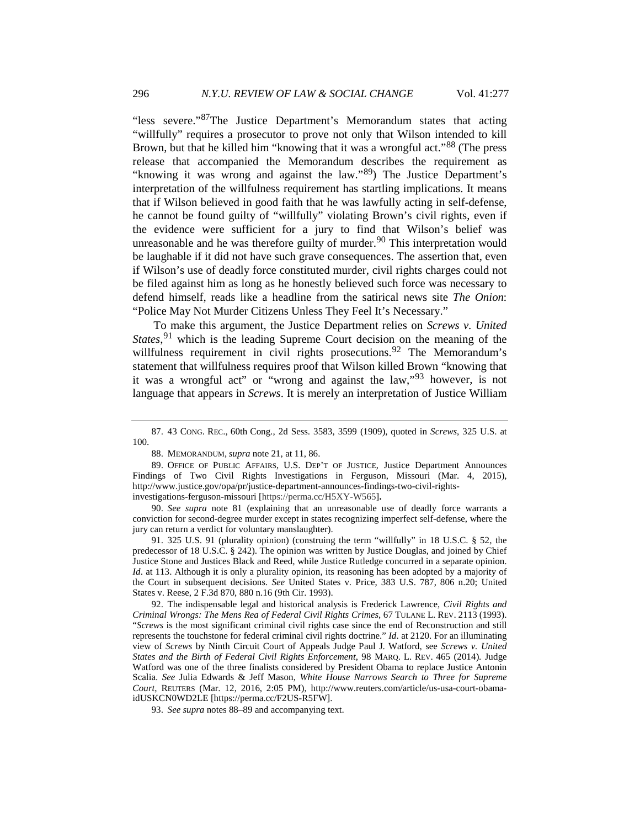"less severe."[87](#page-19-0)The Justice Department's Memorandum states that acting "willfully" requires a prosecutor to prove not only that Wilson intended to kill Brown, but that he killed him "knowing that it was a wrongful act."<sup>[88](#page-19-1)</sup> (The press release that accompanied the Memorandum describes the requirement as "knowing it was wrong and against the law."<sup>89</sup>) The Justice Department's interpretation of the willfulness requirement has startling implications. It means that if Wilson believed in good faith that he was lawfully acting in self-defense, he cannot be found guilty of "willfully" violating Brown's civil rights, even if the evidence were sufficient for a jury to find that Wilson's belief was unreasonable and he was therefore guilty of murder.<sup>[90](#page-19-3)</sup> This interpretation would be laughable if it did not have such grave consequences. The assertion that, even if Wilson's use of deadly force constituted murder, civil rights charges could not be filed against him as long as he honestly believed such force was necessary to defend himself, reads like a headline from the satirical news site *The Onion*: "Police May Not Murder Citizens Unless They Feel It's Necessary."

<span id="page-19-7"></span>To make this argument, the Justice Department relies on *Screws v. United States*, [91](#page-19-4) which is the leading Supreme Court decision on the meaning of the willfulness requirement in civil rights prosecutions.<sup>[92](#page-19-5)</sup> The Memorandum's statement that willfulness requires proof that Wilson killed Brown "knowing that it was a wrongful act" or "wrong and against the law,"[93](#page-19-6) however, is not language that appears in *Screws*. It is merely an interpretation of Justice William

<span id="page-19-3"></span>90. *See supra* note [81](#page-17-3) (explaining that an unreasonable use of deadly force warrants a conviction for second-degree murder except in states recognizing imperfect self-defense, where the jury can return a verdict for voluntary manslaughter).

<span id="page-19-4"></span>91. 325 U.S. 91 (plurality opinion) (construing the term "willfully" in 18 U.S.C. § 52, the predecessor of 18 U.S.C. § 242). The opinion was written by Justice Douglas, and joined by Chief Justice Stone and Justices Black and Reed, while Justice Rutledge concurred in a separate opinion. *Id*. at 113. Although it is only a plurality opinion, its reasoning has been adopted by a majority of the Court in subsequent decisions. *See* United States v. Price, 383 U.S. 787, 806 n.20; United States v. Reese, 2 F.3d 870, 880 n.16 (9th Cir. 1993).

<span id="page-19-5"></span>92. The indispensable legal and historical analysis is Frederick Lawrence, *Civil Rights and Criminal Wrongs: The Mens Rea of Federal Civil Rights Crimes*, 67 TULANE L. REV. 2113 (1993). "*Screws* is the most significant criminal civil rights case since the end of Reconstruction and still represents the touchstone for federal criminal civil rights doctrine." *Id*. at 2120. For an illuminating view of *Screws* by Ninth Circuit Court of Appeals Judge Paul J. Watford, see *Screws v. United States and the Birth of Federal Civil Rights Enforcement*, 98 MARQ. L. REV. 465 (2014). Judge Watford was one of the three finalists considered by President Obama to replace Justice Antonin Scalia. *See* Julia Edwards & Jeff Mason, *White House Narrows Search to Three for Supreme Court*, REUTERS (Mar. 12, 2016, 2:05 PM), http://www.reuters.com/article/us-usa-court-obamaidUSKCN0WD2LE [https://perma.cc/F2US-R5FW].

<span id="page-19-6"></span>93. *See supra* notes 88–89 and accompanying text.

<span id="page-19-0"></span><sup>87.</sup> 43 CONG. REC., 60th Cong., 2d Sess. 3583, 3599 (1909), quoted in *Screws*, 325 U.S. at 100.

<sup>88.</sup> MEMORANDUM, *supra* not[e 21,](#page-5-4) at 11, 86.

<span id="page-19-2"></span><span id="page-19-1"></span><sup>89.</sup> OFFICE OF PUBLIC AFFAIRS, U.S. DEP'T OF JUSTICE, Justice Department Announces Findings of Two Civil Rights Investigations in Ferguson, Missouri (Mar. 4, 2015), http://www.justice.gov/opa/pr/justice-department-announces-findings-two-civil-rightsinvestigations-ferguson-missouri [https://perma.cc/H5XY-W565]**.**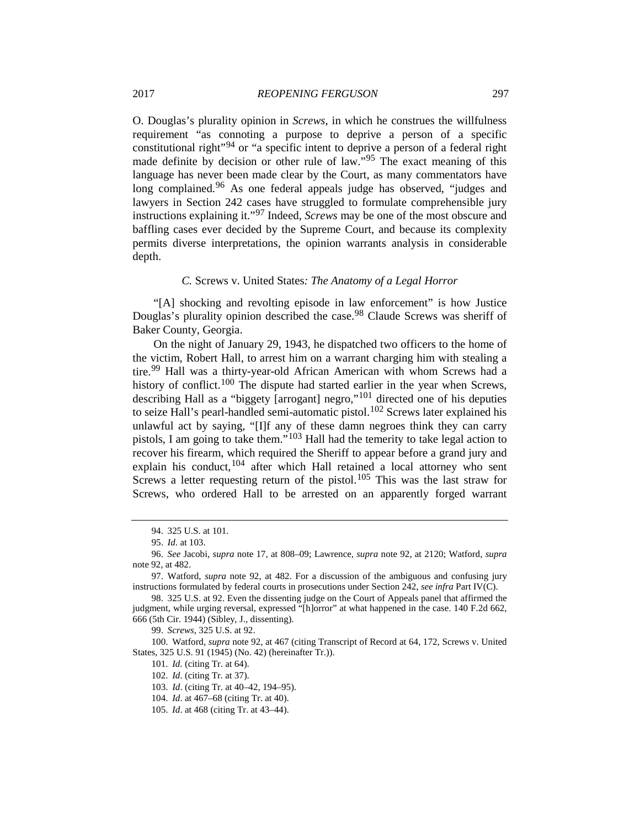O. Douglas's plurality opinion in *Screws*, in which he construes the willfulness requirement "as connoting a purpose to deprive a person of a specific constitutional right"[94](#page-20-0) or "a specific intent to deprive a person of a federal right made definite by decision or other rule of law."<sup>[95](#page-20-1)</sup> The exact meaning of this language has never been made clear by the Court, as many commentators have long complained.<sup>[96](#page-20-2)</sup> As one federal appeals judge has observed, "judges and lawyers in Section 242 cases have struggled to formulate comprehensible jury instructions explaining it."[97](#page-20-3) Indeed, *Screws* may be one of the most obscure and baffling cases ever decided by the Supreme Court, and because its complexity permits diverse interpretations, the opinion warrants analysis in considerable depth.

#### *C.* Screws v. United States*: The Anatomy of a Legal Horror*

"[A] shocking and revolting episode in law enforcement" is how Justice Douglas's plurality opinion described the case.<sup>[98](#page-20-4)</sup> Claude Screws was sheriff of Baker County, Georgia.

On the night of January 29, 1943, he dispatched two officers to the home of the victim, Robert Hall, to arrest him on a warrant charging him with stealing a tire.<sup>[99](#page-20-5)</sup> Hall was a thirty-year-old African American with whom Screws had a history of conflict.<sup>[100](#page-20-6)</sup> The dispute had started earlier in the year when Screws, describing Hall as a "biggety [arrogant] negro,"[101](#page-20-7) directed one of his deputies to seize Hall's pearl-handled semi-automatic pistol. $102$  Screws later explained his unlawful act by saying, "[I]f any of these damn negroes think they can carry pistols, I am going to take them."<sup>[103](#page-20-9)</sup> Hall had the temerity to take legal action to recover his firearm, which required the Sheriff to appear before a grand jury and explain his conduct, $104$  after which Hall retained a local attorney who sent Screws a letter requesting return of the pistol.<sup>[105](#page-20-11)</sup> This was the last straw for Screws, who ordered Hall to be arrested on an apparently forged warrant

<sup>94.</sup> 325 U.S. at 101.

<sup>95.</sup> *Id*. at 103.

<span id="page-20-2"></span><span id="page-20-1"></span><span id="page-20-0"></span><sup>96.</sup> *See* Jacobi, *supra* note [17,](#page-4-5) at 808–09; Lawrence, *supra* note 92, at 2120; Watford, *supra* note 92, at 482.

<span id="page-20-3"></span><sup>97.</sup> Watford, *supra* note [92,](#page-19-7) at 482. For a discussion of the ambiguous and confusing jury instructions formulated by federal courts in prosecutions under Section 242, *see infra* Part IV(C).

<span id="page-20-4"></span><sup>98.</sup> 325 U.S. at 92. Even the dissenting judge on the Court of Appeals panel that affirmed the judgment, while urging reversal, expressed "[h]orror" at what happened in the case. 140 F.2d 662, 666 (5th Cir. 1944) (Sibley, J., dissenting).

<sup>99.</sup> *Screws*, 325 U.S. at [92.](#page-19-7)

<span id="page-20-11"></span><span id="page-20-10"></span><span id="page-20-9"></span><span id="page-20-8"></span><span id="page-20-7"></span><span id="page-20-6"></span><span id="page-20-5"></span><sup>100.</sup> Watford, *supra* note [92,](#page-19-7) at 467 (citing Transcript of Record at 64, 172, Screws v. United States, 325 U.S. 91 (1945) (No. 42) (hereinafter Tr.)).

<sup>101.</sup> *Id.* (citing Tr. at 64).

<sup>102.</sup> *Id*. (citing Tr. at 37).

<sup>103.</sup> *Id*. (citing Tr. at 40–42, 194–95).

<sup>104.</sup> *Id*. at 467–68 (citing Tr. at 40).

<sup>105.</sup> *Id*. at 468 (citing Tr. at 43–44).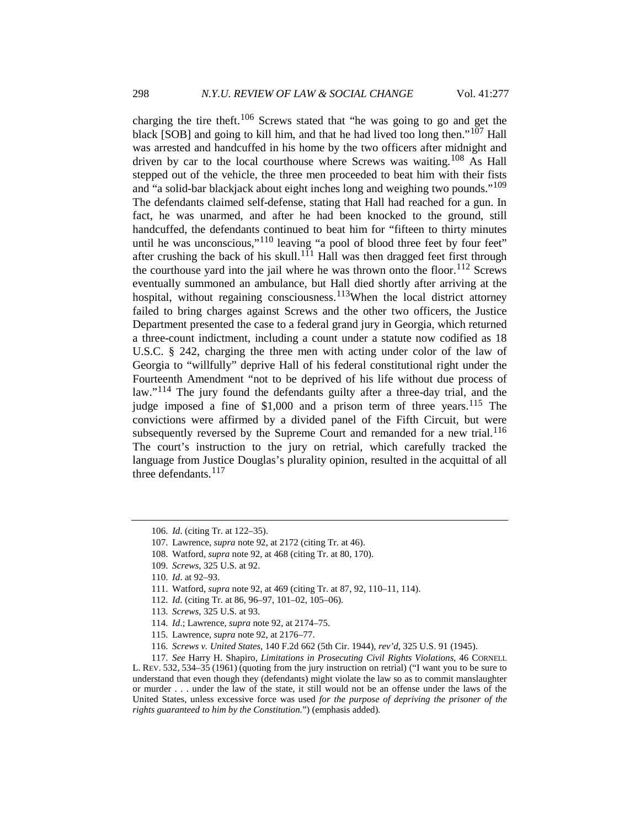charging the tire theft.<sup>[106](#page-21-0)</sup> Screws stated that "he was going to go and get the black [SOB] and going to kill him, and that he had lived too long then."[107](#page-21-1) Hall was arrested and handcuffed in his home by the two officers after midnight and driven by car to the local courthouse where Screws was waiting.<sup>[108](#page-21-2)</sup> As Hall stepped out of the vehicle, the three men proceeded to beat him with their fists and "a solid-bar blackjack about eight inches long and weighing two pounds."<sup>[109](#page-21-3)</sup> The defendants claimed self-defense, stating that Hall had reached for a gun. In fact, he was unarmed, and after he had been knocked to the ground, still handcuffed, the defendants continued to beat him for "fifteen to thirty minutes until he was unconscious,"[110](#page-21-4) leaving "a pool of blood three feet by four feet" after crushing the back of his skull.<sup>[111](#page-21-5)</sup> Hall was then dragged feet first through the courthouse yard into the jail where he was thrown onto the floor.<sup>[112](#page-21-6)</sup> Screws eventually summoned an ambulance, but Hall died shortly after arriving at the hospital, without regaining consciousness.<sup>[113](#page-21-7)</sup>When the local district attorney failed to bring charges against Screws and the other two officers, the Justice Department presented the case to a federal grand jury in Georgia, which returned a three-count indictment, including a count under a statute now codified as 18 U.S.C. § 242, charging the three men with acting under color of the law of Georgia to "willfully" deprive Hall of his federal constitutional right under the Fourteenth Amendment "not to be deprived of his life without due process of law."<sup>[114](#page-21-8)</sup> The jury found the defendants guilty after a three-day trial, and the judge imposed a fine of  $$1,000$  and a prison term of three years.<sup>[115](#page-21-9)</sup> The convictions were affirmed by a divided panel of the Fifth Circuit, but were subsequently reversed by the Supreme Court and remanded for a new trial.<sup>[116](#page-21-10)</sup> The court's instruction to the jury on retrial, which carefully tracked the language from Justice Douglas's plurality opinion, resulted in the acquittal of all three defendants.<sup>[117](#page-21-11)</sup>

<span id="page-21-12"></span><span id="page-21-0"></span><sup>106.</sup> *Id*. (citing Tr. at 122–35).

<span id="page-21-1"></span><sup>107.</sup> Lawrence, *supra* not[e 92,](#page-19-7) at 2172 (citing Tr. at 46).

<span id="page-21-2"></span><sup>108.</sup> Watford, *supra* not[e 92,](#page-19-7) at 468 (citing Tr. at 80, 170).

<span id="page-21-3"></span><sup>109.</sup> *Screws*, 325 U.S. a[t 92.](#page-19-7) 

<span id="page-21-4"></span><sup>110.</sup> *Id*. at 92–93.

<sup>111.</sup> Watford, *supra* note 92, at 469 (citing Tr. at 87, 92, 110–11, 114).

<sup>112.</sup> *Id.* (citing Tr. at 86, 96–97, 101–02, 105–06).

<sup>113.</sup> *Screws*, 325 U.S. at 93.

<sup>114.</sup> *Id*.; Lawrence, *supra* not[e 92,](#page-19-7) at 2174–75.

<sup>115.</sup> Lawrence, *supra* not[e 92,](#page-19-7) at 2176–77.

<sup>116.</sup> *Screws v. United States*, 140 F.2d 662 (5th Cir. 1944), *rev'd*, 325 U.S. 91 (1945).

<span id="page-21-11"></span><span id="page-21-10"></span><span id="page-21-9"></span><span id="page-21-8"></span><span id="page-21-7"></span><span id="page-21-6"></span><span id="page-21-5"></span><sup>117.</sup> *See* Harry H. Shapiro, *Limitations in Prosecuting Civil Rights Violations*, 46 CORNELL L. REV. 532, 534–35 (1961) (quoting from the jury instruction on retrial) ("I want you to be sure to understand that even though they (defendants) might violate the law so as to commit manslaughter or murder . . . under the law of the state, it still would not be an offense under the laws of the United States, unless excessive force was used *for the purpose of depriving the prisoner of the rights guaranteed to him by the Constitution.*") (emphasis added).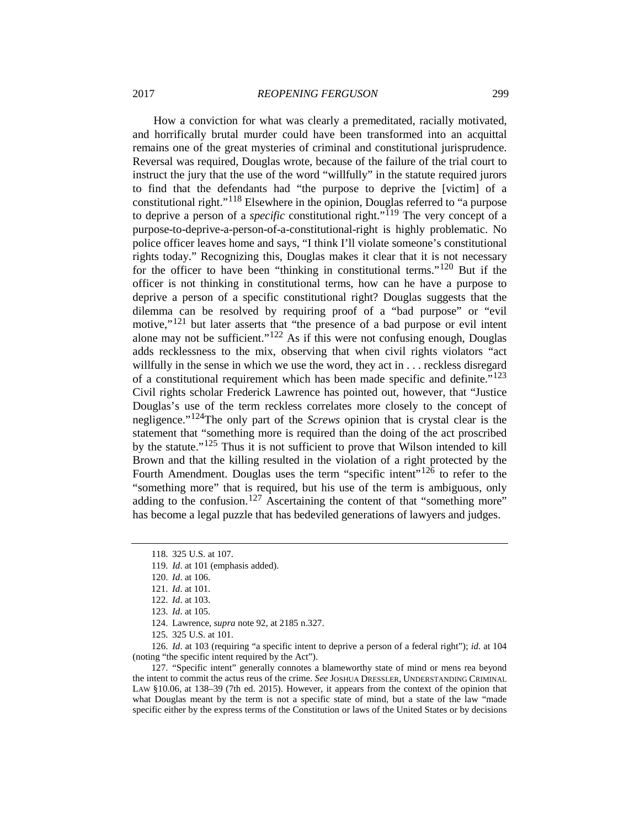How a conviction for what was clearly a premeditated, racially motivated, and horrifically brutal murder could have been transformed into an acquittal remains one of the great mysteries of criminal and constitutional jurisprudence. Reversal was required, Douglas wrote, because of the failure of the trial court to instruct the jury that the use of the word "willfully" in the statute required jurors to find that the defendants had "the purpose to deprive the [victim] of a constitutional right."[118](#page-22-0) Elsewhere in the opinion, Douglas referred to "a purpose to deprive a person of a *specific* constitutional right."<sup>[119](#page-22-1)</sup> The very concept of a purpose-to-deprive-a-person-of-a-constitutional-right is highly problematic. No police officer leaves home and says, "I think I'll violate someone's constitutional rights today." Recognizing this, Douglas makes it clear that it is not necessary for the officer to have been "thinking in constitutional terms."[120](#page-22-2) But if the officer is not thinking in constitutional terms, how can he have a purpose to deprive a person of a specific constitutional right? Douglas suggests that the dilemma can be resolved by requiring proof of a "bad purpose" or "evil motive,"<sup>[121](#page-22-3)</sup> but later asserts that "the presence of a bad purpose or evil intent alone may not be sufficient." $122$  As if this were not confusing enough, Douglas adds recklessness to the mix, observing that when civil rights violators "act willfully in the sense in which we use the word, they act in . . . reckless disregard of a constitutional requirement which has been made specific and definite."<sup>[123](#page-22-5)</sup> Civil rights scholar Frederick Lawrence has pointed out, however, that "Justice Douglas's use of the term reckless correlates more closely to the concept of negligence."[124T](#page-22-6)he only part of the *Screws* opinion that is crystal clear is the statement that "something more is required than the doing of the act proscribed by the statute."[125](#page-22-7) Thus it is not sufficient to prove that Wilson intended to kill Brown and that the killing resulted in the violation of a right protected by the Fourth Amendment. Douglas uses the term "specific intent"<sup>[126](#page-22-8)</sup> to refer to the "something more" that is required, but his use of the term is ambiguous, only adding to the confusion.<sup>[127](#page-22-9)</sup> Ascertaining the content of that "something more" has become a legal puzzle that has bedeviled generations of lawyers and judges.

125. 325 U.S. at 101.

<span id="page-22-8"></span><span id="page-22-7"></span><span id="page-22-6"></span><span id="page-22-5"></span><span id="page-22-4"></span><span id="page-22-3"></span><span id="page-22-2"></span>126. *Id*. at 103 (requiring "a specific intent to deprive a person of a federal right"); *id*. at 104 (noting "the specific intent required by the Act").

<span id="page-22-9"></span>127. "Specific intent" generally connotes a blameworthy state of mind or mens rea beyond the intent to commit the actus reus of the crime. *See* JOSHUA DRESSLER, UNDERSTANDING CRIMINAL LAW §10.06, at 138–39 (7th ed. 2015). However, it appears from the context of the opinion that what Douglas meant by the term is not a specific state of mind, but a state of the law "made specific either by the express terms of the Constitution or laws of the United States or by decisions

<span id="page-22-10"></span><span id="page-22-0"></span><sup>118.</sup> 325 U.S. at 107.

<span id="page-22-1"></span><sup>119.</sup> *Id*. at 101 (emphasis added).

<sup>120.</sup> *Id*. at 106.

<sup>121.</sup> *Id*. at 101.

<sup>122.</sup> *Id*. at 103.

<sup>123.</sup> *Id*. at 105.

<sup>124.</sup> Lawrence, *supra* not[e 92,](#page-19-7) at 2185 n.327.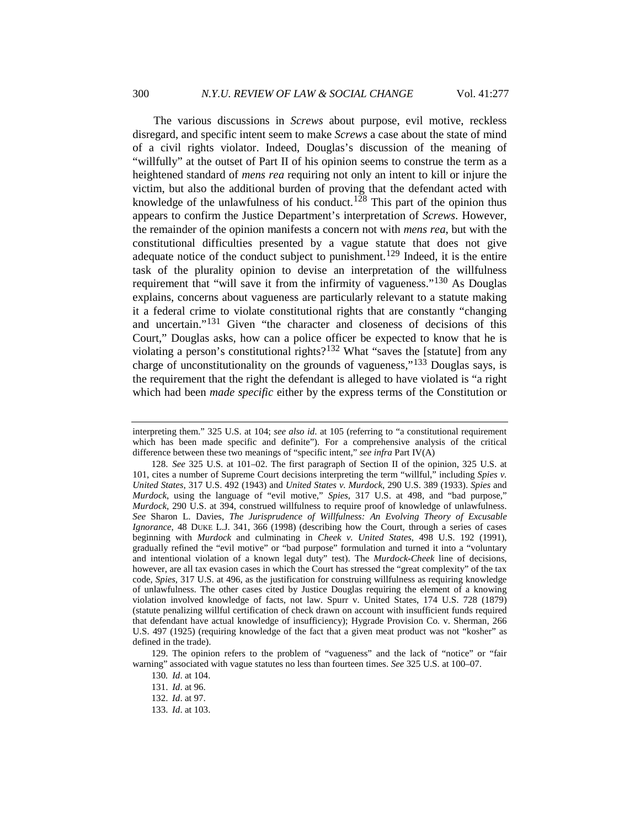<span id="page-23-6"></span>The various discussions in *Screws* about purpose, evil motive, reckless disregard, and specific intent seem to make *Screws* a case about the state of mind of a civil rights violator. Indeed, Douglas's discussion of the meaning of "willfully" at the outset of Part II of his opinion seems to construe the term as a heightened standard of *mens rea* requiring not only an intent to kill or injure the victim, but also the additional burden of proving that the defendant acted with knowledge of the unlawfulness of his conduct.<sup>[128](#page-23-0)</sup> This part of the opinion thus appears to confirm the Justice Department's interpretation of *Screws*. However, the remainder of the opinion manifests a concern not with *mens rea*, but with the constitutional difficulties presented by a vague statute that does not give adequate notice of the conduct subject to punishment.<sup>[129](#page-23-1)</sup> Indeed, it is the entire task of the plurality opinion to devise an interpretation of the willfulness requirement that "will save it from the infirmity of vagueness."[130](#page-23-2) As Douglas explains, concerns about vagueness are particularly relevant to a statute making it a federal crime to violate constitutional rights that are constantly "changing and uncertain."[131](#page-23-3) Given "the character and closeness of decisions of this Court," Douglas asks, how can a police officer be expected to know that he is violating a person's constitutional rights?<sup>[132](#page-23-4)</sup> What "saves the [statute] from any charge of unconstitutionality on the grounds of vagueness,"[133](#page-23-5) Douglas says, is the requirement that the right the defendant is alleged to have violated is "a right which had been *made specific* either by the express terms of the Constitution or

interpreting them." 325 U.S. at 104; *see also id*. at 105 (referring to "a constitutional requirement which has been made specific and definite"). For a comprehensive analysis of the critical difference between these two meanings of "specific intent," *see infra* Part IV(A)

<span id="page-23-0"></span><sup>128.</sup> *See* 325 U.S. at 101–02. The first paragraph of Section II of the opinion, 325 U.S. at 101, cites a number of Supreme Court decisions interpreting the term "willful," including *Spies v. United States*, 317 U.S. 492 (1943) and *United States v. Murdock*, 290 U.S. 389 (1933). *Spies* and *Murdock*, using the language of "evil motive," *Spies*, 317 U.S. at 498, and "bad purpose," *Murdock*, 290 U.S. at 394, construed willfulness to require proof of knowledge of unlawfulness. *See* Sharon L. Davies, *The Jurisprudence of Willfulness: An Evolving Theory of Excusable Ignorance*, 48 DUKE L.J. 341, 366 (1998) (describing how the Court, through a series of cases beginning with *Murdock* and culminating in *Cheek v. United States*, 498 U.S. 192 (1991), gradually refined the "evil motive" or "bad purpose" formulation and turned it into a "voluntary and intentional violation of a known legal duty" test). The *Murdock*-*Cheek* line of decisions, however, are all tax evasion cases in which the Court has stressed the "great complexity" of the tax code, *Spies*, 317 U.S. at 496, as the justification for construing willfulness as requiring knowledge of unlawfulness. The other cases cited by Justice Douglas requiring the element of a knowing violation involved knowledge of facts, not law. Spurr v. United States, 174 U.S. 728 (1879) (statute penalizing willful certification of check drawn on account with insufficient funds required that defendant have actual knowledge of insufficiency); Hygrade Provision Co. v. Sherman, 266 U.S. 497 (1925) (requiring knowledge of the fact that a given meat product was not "kosher" as defined in the trade).

<span id="page-23-5"></span><span id="page-23-4"></span><span id="page-23-3"></span><span id="page-23-2"></span><span id="page-23-1"></span><sup>129.</sup> The opinion refers to the problem of "vagueness" and the lack of "notice" or "fair warning" associated with vague statutes no less than fourteen times. *See* 325 U.S. at 100–07.

<sup>130</sup>*. Id*. at 104.

<sup>131.</sup> *Id*. at 96.

<sup>132.</sup> *Id*. at 97.

<sup>133.</sup> *Id*. at 103.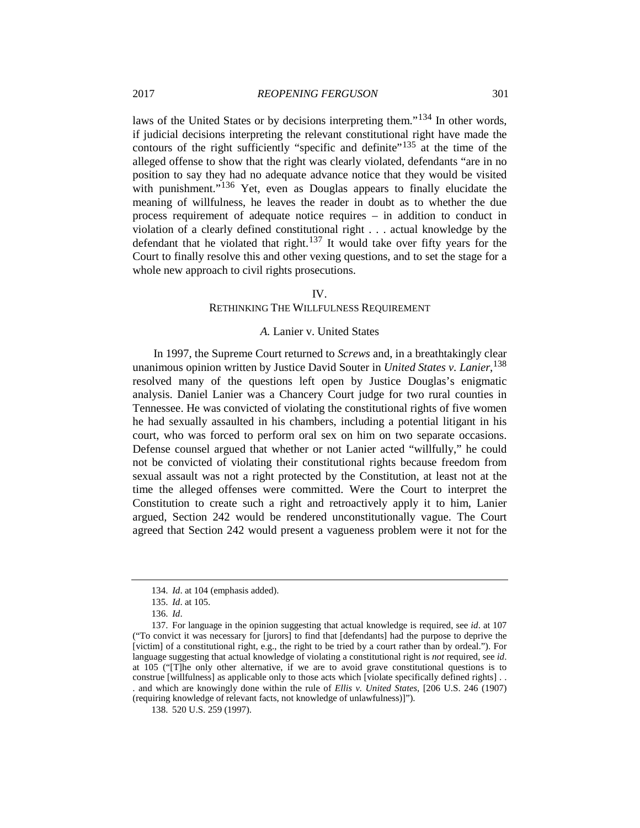laws of the United States or by decisions interpreting them."[134](#page-24-0) In other words, if judicial decisions interpreting the relevant constitutional right have made the contours of the right sufficiently "specific and definite"<sup>[135](#page-24-1)</sup> at the time of the alleged offense to show that the right was clearly violated, defendants "are in no position to say they had no adequate advance notice that they would be visited with punishment."<sup>[136](#page-24-2)</sup> Yet, even as Douglas appears to finally elucidate the meaning of willfulness, he leaves the reader in doubt as to whether the due process requirement of adequate notice requires – in addition to conduct in violation of a clearly defined constitutional right . . . actual knowledge by the defendant that he violated that right.[137](#page-24-3) It would take over fifty years for the Court to finally resolve this and other vexing questions, and to set the stage for a whole new approach to civil rights prosecutions.

## IV.

# RETHINKING THE WILLFULNESS REQUIREMENT

#### *A.* Lanier v. United States

In 1997, the Supreme Court returned to *Screws* and, in a breathtakingly clear unanimous opinion written by Justice David Souter in *United States v. Lanier*, [138](#page-24-4) resolved many of the questions left open by Justice Douglas's enigmatic analysis. Daniel Lanier was a Chancery Court judge for two rural counties in Tennessee. He was convicted of violating the constitutional rights of five women he had sexually assaulted in his chambers, including a potential litigant in his court, who was forced to perform oral sex on him on two separate occasions. Defense counsel argued that whether or not Lanier acted "willfully," he could not be convicted of violating their constitutional rights because freedom from sexual assault was not a right protected by the Constitution, at least not at the time the alleged offenses were committed. Were the Court to interpret the Constitution to create such a right and retroactively apply it to him, Lanier argued, Section 242 would be rendered unconstitutionally vague. The Court agreed that Section 242 would present a vagueness problem were it not for the

<span id="page-24-4"></span>(requiring knowledge of relevant facts, not knowledge of unlawfulness)]").

<sup>134.</sup> *Id*. at 104 (emphasis added).

<sup>135.</sup> *Id*. at 105.

<sup>136.</sup> *Id*.

<span id="page-24-3"></span><span id="page-24-2"></span><span id="page-24-1"></span><span id="page-24-0"></span><sup>137.</sup> For language in the opinion suggesting that actual knowledge is required, see *id*. at 107 ("To convict it was necessary for [jurors] to find that [defendants] had the purpose to deprive the [victim] of a constitutional right, e.g., the right to be tried by a court rather than by ordeal."). For language suggesting that actual knowledge of violating a constitutional right is *not* required, see *id*. at 105 ("[T]he only other alternative, if we are to avoid grave constitutional questions is to construe [willfulness] as applicable only to those acts which [violate specifically defined rights] . . . and which are knowingly done within the rule of *Ellis v. United States*, [206 U.S. 246 (1907)

<sup>138.</sup> 520 U.S. 259 (1997).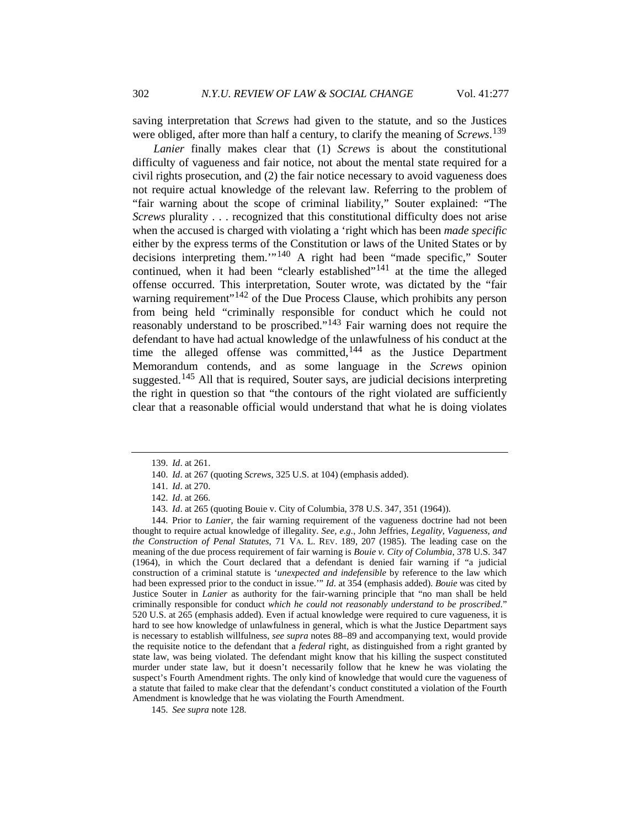saving interpretation that *Screws* had given to the statute, and so the Justices were obliged, after more than half a century, to clarify the meaning of *Screws*. [139](#page-25-0)

*Lanier* finally makes clear that (1) *Screws* is about the constitutional difficulty of vagueness and fair notice, not about the mental state required for a civil rights prosecution, and (2) the fair notice necessary to avoid vagueness does not require actual knowledge of the relevant law. Referring to the problem of "fair warning about the scope of criminal liability," Souter explained: "The *Screws* plurality . . . recognized that this constitutional difficulty does not arise when the accused is charged with violating a 'right which has been *made specific* either by the express terms of the Constitution or laws of the United States or by decisions interpreting them.'"[140](#page-25-1) A right had been "made specific," Souter continued, when it had been "clearly established"<sup>[141](#page-25-2)</sup> at the time the alleged offense occurred. This interpretation, Souter wrote, was dictated by the "fair warning requirement"<sup>[142](#page-25-3)</sup> of the Due Process Clause, which prohibits any person from being held "criminally responsible for conduct which he could not reasonably understand to be proscribed."[143](#page-25-4) Fair warning does not require the defendant to have had actual knowledge of the unlawfulness of his conduct at the time the alleged offense was committed, $144$  as the Justice Department Memorandum contends, and as some language in the *Screws* opinion suggested.<sup>[145](#page-25-6)</sup> All that is required, Souter says, are judicial decisions interpreting the right in question so that "the contours of the right violated are sufficiently clear that a reasonable official would understand that what he is doing violates

<span id="page-25-5"></span><span id="page-25-4"></span><span id="page-25-3"></span><span id="page-25-2"></span><span id="page-25-1"></span><span id="page-25-0"></span>144. Prior to *Lanier*, the fair warning requirement of the vagueness doctrine had not been thought to require actual knowledge of illegality. *See, e.g.*, John Jeffries, *Legality, Vagueness, and the Construction of Penal Statutes*, 71 VA. L. REV. 189, 207 (1985). The leading case on the meaning of the due process requirement of fair warning is *Bouie v. City of Columbia*, 378 U.S. 347 (1964), in which the Court declared that a defendant is denied fair warning if "a judicial construction of a criminal statute is '*unexpected and indefensible* by reference to the law which had been expressed prior to the conduct in issue.'" *Id*. at 354 (emphasis added). *Bouie* was cited by Justice Souter in *Lanier* as authority for the fair-warning principle that "no man shall be held criminally responsible for conduct *which he could not reasonably understand to be proscribed*." 520 U.S. at 265 (emphasis added). Even if actual knowledge were required to cure vagueness, it is hard to see how knowledge of unlawfulness in general, which is what the Justice Department says is necessary to establish willfulness, *see supra* notes 88–89 and accompanying text, would provide the requisite notice to the defendant that a *federal* right, as distinguished from a right granted by state law, was being violated. The defendant might know that his killing the suspect constituted murder under state law, but it doesn't necessarily follow that he knew he was violating the suspect's Fourth Amendment rights. The only kind of knowledge that would cure the vagueness of a statute that failed to make clear that the defendant's conduct constituted a violation of the Fourth Amendment is knowledge that he was violating the Fourth Amendment.

<span id="page-25-6"></span>145. *See supra* note [128.](#page-23-6) 

<sup>139.</sup> *Id*. at 261.

<sup>140.</sup> *Id*. at 267 (quoting *Screws*, 325 U.S. at 104) (emphasis added).

<sup>141.</sup> *Id*. at 270.

<sup>142.</sup> *Id*. at 266.

<sup>143.</sup> *Id*. at 265 (quoting Bouie v. City of Columbia, 378 U.S. 347, 351 (1964)).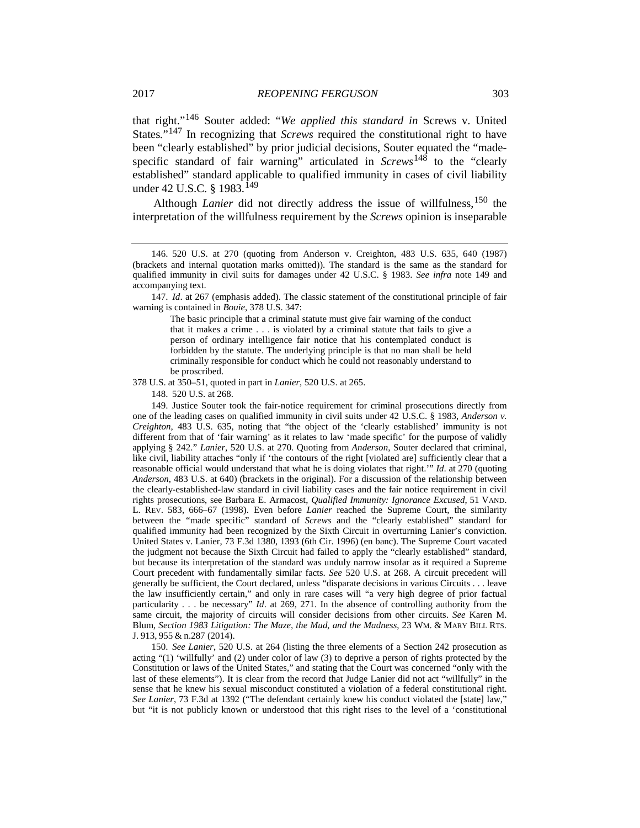that right."[146](#page-26-0) Souter added: "*We applied this standard in* Screws v. United States.<sup>"[147](#page-26-1)</sup> In recognizing that *Screws* required the constitutional right to have been "clearly established" by prior judicial decisions, Souter equated the "madespecific standard of fair warning" articulated in *Screws*[148](#page-26-2) to the "clearly established" standard applicable to qualified immunity in cases of civil liability under 42 U.S.C. § 1983.<sup>[149](#page-26-3)</sup>

<span id="page-26-5"></span>Although *Lanier* did not directly address the issue of willfulness, <sup>[150](#page-26-4)</sup> the interpretation of the willfulness requirement by the *Screws* opinion is inseparable

<span id="page-26-1"></span>147. *Id*. at 267 (emphasis added). The classic statement of the constitutional principle of fair warning is contained in *Bouie*, 378 U.S. 347:

The basic principle that a criminal statute must give fair warning of the conduct that it makes a crime . . . is violated by a criminal statute that fails to give a person of ordinary intelligence fair notice that his contemplated conduct is forbidden by the statute. The underlying principle is that no man shall be held criminally responsible for conduct which he could not reasonably understand to be proscribed.

<span id="page-26-2"></span>378 U.S. at 350–51, quoted in part in *Lanier*, 520 U.S. at 265.

148. 520 U.S. at 268.

<span id="page-26-3"></span>149. Justice Souter took the fair-notice requirement for criminal prosecutions directly from one of the leading cases on qualified immunity in civil suits under 42 U.S.C. § 1983, *Anderson v. Creighton*, 483 U.S. 635, noting that "the object of the 'clearly established' immunity is not different from that of 'fair warning' as it relates to law 'made specific' for the purpose of validly applying § 242." *Lanier*, 520 U.S. at 270. Quoting from *Anderson*, Souter declared that criminal, like civil, liability attaches "only if 'the contours of the right [violated are] sufficiently clear that a reasonable official would understand that what he is doing violates that right.'" *Id*. at 270 (quoting *Anderson*, 483 U.S. at 640) (brackets in the original). For a discussion of the relationship between the clearly-established-law standard in civil liability cases and the fair notice requirement in civil rights prosecutions, see Barbara E. Armacost, *Qualified Immunity: Ignorance Excused*, 51 VAND. L. REV. 583, 666–67 (1998). Even before *Lanier* reached the Supreme Court, the similarity between the "made specific" standard of *Screws* and the "clearly established" standard for qualified immunity had been recognized by the Sixth Circuit in overturning Lanier's conviction. United States v. Lanier, 73 F.3d 1380, 1393 (6th Cir. 1996) (en banc). The Supreme Court vacated the judgment not because the Sixth Circuit had failed to apply the "clearly established" standard, but because its interpretation of the standard was unduly narrow insofar as it required a Supreme Court precedent with fundamentally similar facts. *See* 520 U.S. at 268. A circuit precedent will generally be sufficient, the Court declared, unless "disparate decisions in various Circuits . . . leave the law insufficiently certain," and only in rare cases will "a very high degree of prior factual particularity . . . be necessary" *Id*. at 269, 271. In the absence of controlling authority from the same circuit, the majority of circuits will consider decisions from other circuits. *See* Karen M. Blum, *Section 1983 Litigation: The Maze, the Mud, and the Madness*, 23 WM. & MARY BILL RTS. J. 913, 955 & n.287 (2014).

<span id="page-26-4"></span>150. *See Lanier*, 520 U.S. at 264 (listing the three elements of a Section 242 prosecution as acting "(1) 'willfully' and (2) under color of law (3) to deprive a person of rights protected by the Constitution or laws of the United States," and stating that the Court was concerned "only with the last of these elements"). It is clear from the record that Judge Lanier did not act "willfully" in the sense that he knew his sexual misconduct constituted a violation of a federal constitutional right. *See Lanier*, 73 F.3d at 1392 ("The defendant certainly knew his conduct violated the [state] law," but "it is not publicly known or understood that this right rises to the level of a 'constitutional

<span id="page-26-0"></span><sup>146.</sup> 520 U.S. at 270 (quoting from Anderson v. Creighton, 483 U.S. 635, 640 (1987) (brackets and internal quotation marks omitted)). The standard is the same as the standard for qualified immunity in civil suits for damages under 42 U.S.C. § 1983. *See infra* note 149 and accompanying text.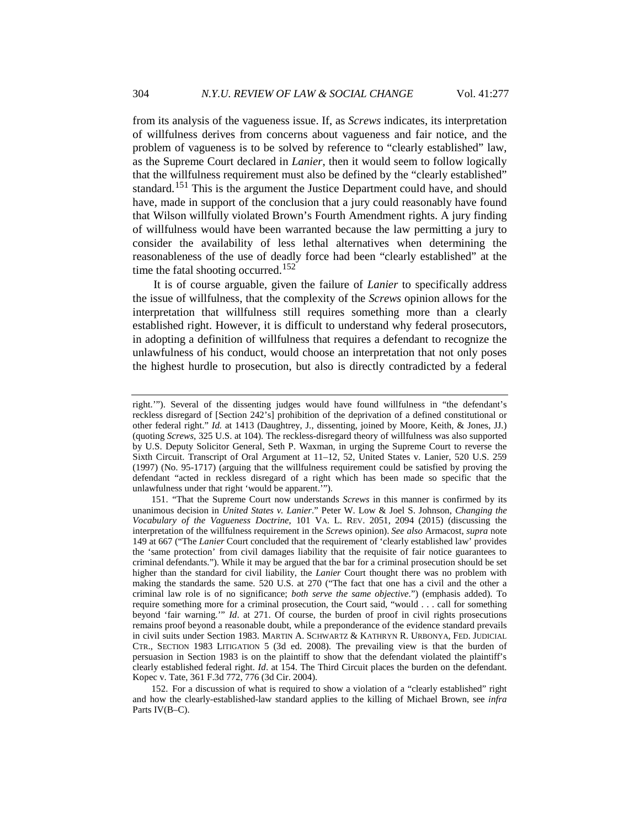<span id="page-27-2"></span>from its analysis of the vagueness issue. If, as *Screws* indicates, its interpretation of willfulness derives from concerns about vagueness and fair notice, and the problem of vagueness is to be solved by reference to "clearly established" law, as the Supreme Court declared in *Lanier*, then it would seem to follow logically that the willfulness requirement must also be defined by the "clearly established" standard.<sup>[151](#page-27-0)</sup> This is the argument the Justice Department could have, and should have, made in support of the conclusion that a jury could reasonably have found that Wilson willfully violated Brown's Fourth Amendment rights. A jury finding of willfulness would have been warranted because the law permitting a jury to consider the availability of less lethal alternatives when determining the reasonableness of the use of deadly force had been "clearly established" at the time the fatal shooting occurred.<sup>[152](#page-27-1)</sup>

It is of course arguable, given the failure of *Lanier* to specifically address the issue of willfulness, that the complexity of the *Screws* opinion allows for the interpretation that willfulness still requires something more than a clearly established right. However, it is difficult to understand why federal prosecutors, in adopting a definition of willfulness that requires a defendant to recognize the unlawfulness of his conduct, would choose an interpretation that not only poses the highest hurdle to prosecution, but also is directly contradicted by a federal

right.'"). Several of the dissenting judges would have found willfulness in "the defendant's reckless disregard of [Section 242's] prohibition of the deprivation of a defined constitutional or other federal right." *Id.* at 1413 (Daughtrey, J., dissenting, joined by Moore, Keith, & Jones, JJ.) (quoting *Screws*, 325 U.S. at 104). The reckless-disregard theory of willfulness was also supported by U.S. Deputy Solicitor General, Seth P. Waxman, in urging the Supreme Court to reverse the Sixth Circuit. Transcript of Oral Argument at 11–12, 52, United States v. Lanier, 520 U.S. 259 (1997) (No. 95-1717) (arguing that the willfulness requirement could be satisfied by proving the defendant "acted in reckless disregard of a right which has been made so specific that the unlawfulness under that right 'would be apparent.'").

<span id="page-27-0"></span><sup>151.</sup> "That the Supreme Court now understands *Screws* in this manner is confirmed by its unanimous decision in *United States v. Lanier*." Peter W. Low & Joel S. Johnson, *Changing the Vocabulary of the Vagueness Doctrine*, 101 VA. L. REV. 2051, 2094 (2015) (discussing the interpretation of the willfulness requirement in the *Screws* opinion). *See also* Armacost, *supra* note [149](#page-26-5) at 667 ("The *Lanier* Court concluded that the requirement of 'clearly established law' provides the 'same protection' from civil damages liability that the requisite of fair notice guarantees to criminal defendants."). While it may be argued that the bar for a criminal prosecution should be set higher than the standard for civil liability, the *Lanier* Court thought there was no problem with making the standards the same. 520 U.S. at 270 ("The fact that one has a civil and the other a criminal law role is of no significance; *both serve the same objective*.") (emphasis added). To require something more for a criminal prosecution, the Court said, "would . . . call for something beyond 'fair warning.'" *Id*. at 271. Of course, the burden of proof in civil rights prosecutions remains proof beyond a reasonable doubt, while a preponderance of the evidence standard prevails in civil suits under Section 1983. MARTIN A. SCHWARTZ & KATHRYN R. URBONYA, FED. JUDICIAL CTR., SECTION 1983 LITIGATION 5 (3d ed. 2008). The prevailing view is that the burden of persuasion in Section 1983 is on the plaintiff to show that the defendant violated the plaintiff's clearly established federal right. *Id*. at 154. The Third Circuit places the burden on the defendant. Kopec v. Tate, 361 F.3d 772, 776 (3d Cir. 2004).

<span id="page-27-1"></span><sup>152.</sup> For a discussion of what is required to show a violation of a "clearly established" right and how the clearly-established-law standard applies to the killing of Michael Brown, see *infra* Parts IV(B–C).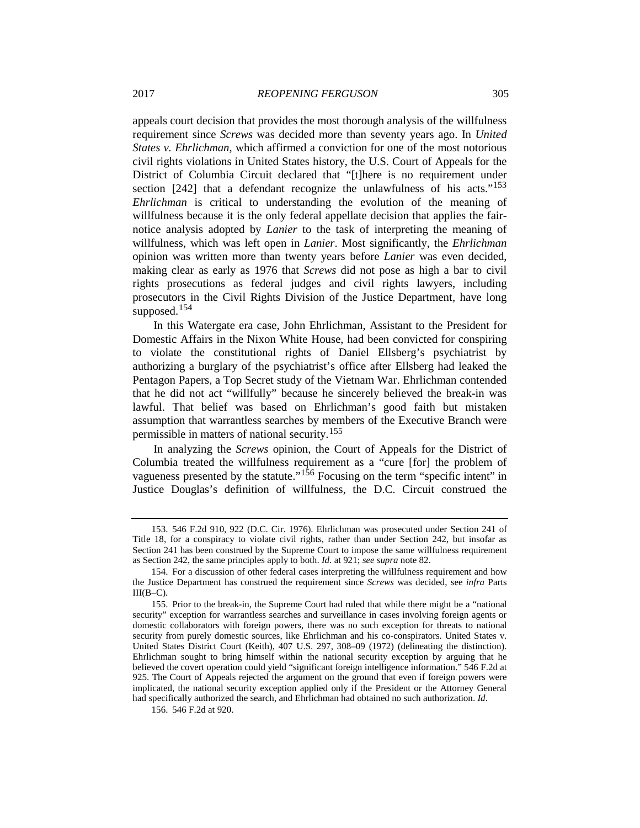appeals court decision that provides the most thorough analysis of the willfulness requirement since *Screws* was decided more than seventy years ago. In *United States v. Ehrlichman*, which affirmed a conviction for one of the most notorious civil rights violations in United States history, the U.S. Court of Appeals for the District of Columbia Circuit declared that "[t]here is no requirement under section  $[242]$  that a defendant recognize the unlawfulness of his acts."<sup>[153](#page-28-0)</sup> *Ehrlichman* is critical to understanding the evolution of the meaning of willfulness because it is the only federal appellate decision that applies the fairnotice analysis adopted by *Lanier* to the task of interpreting the meaning of willfulness, which was left open in *Lanier*. Most significantly, the *Ehrlichman* opinion was written more than twenty years before *Lanier* was even decided, making clear as early as 1976 that *Screws* did not pose as high a bar to civil rights prosecutions as federal judges and civil rights lawyers, including prosecutors in the Civil Rights Division of the Justice Department, have long supposed.<sup>[154](#page-28-1)</sup>

In this Watergate era case, John Ehrlichman, Assistant to the President for Domestic Affairs in the Nixon White House, had been convicted for conspiring to violate the constitutional rights of Daniel Ellsberg's psychiatrist by authorizing a burglary of the psychiatrist's office after Ellsberg had leaked the Pentagon Papers, a Top Secret study of the Vietnam War. Ehrlichman contended that he did not act "willfully" because he sincerely believed the break-in was lawful. That belief was based on Ehrlichman's good faith but mistaken assumption that warrantless searches by members of the Executive Branch were permissible in matters of national security.[155](#page-28-2)

In analyzing the *Screws* opinion, the Court of Appeals for the District of Columbia treated the willfulness requirement as a "cure [for] the problem of vagueness presented by the statute."[156](#page-28-3) Focusing on the term "specific intent" in Justice Douglas's definition of willfulness, the D.C. Circuit construed the

<span id="page-28-0"></span><sup>153.</sup> 546 F.2d 910, 922 (D.C. Cir. 1976). Ehrlichman was prosecuted under Section 241 of Title 18, for a conspiracy to violate civil rights, rather than under Section 242, but insofar as Section 241 has been construed by the Supreme Court to impose the same willfulness requirement as Section 242, the same principles apply to both. *Id.* at 921; *see supra* note [82.](#page-18-5)

<span id="page-28-1"></span><sup>154.</sup> For a discussion of other federal cases interpreting the willfulness requirement and how the Justice Department has construed the requirement since *Screws* was decided, see *infra* Parts  $III(B-C)$ .

<span id="page-28-2"></span><sup>155.</sup> Prior to the break-in, the Supreme Court had ruled that while there might be a "national security" exception for warrantless searches and surveillance in cases involving foreign agents or domestic collaborators with foreign powers, there was no such exception for threats to national security from purely domestic sources, like Ehrlichman and his co-conspirators. United States v. United States District Court (Keith), 407 U.S. 297, 308–09 (1972) (delineating the distinction). Ehrlichman sought to bring himself within the national security exception by arguing that he believed the covert operation could yield "significant foreign intelligence information." 546 F.2d at 925. The Court of Appeals rejected the argument on the ground that even if foreign powers were implicated, the national security exception applied only if the President or the Attorney General had specifically authorized the search, and Ehrlichman had obtained no such authorization. *Id*.

<span id="page-28-3"></span><sup>156.</sup> 546 F.2d at 920.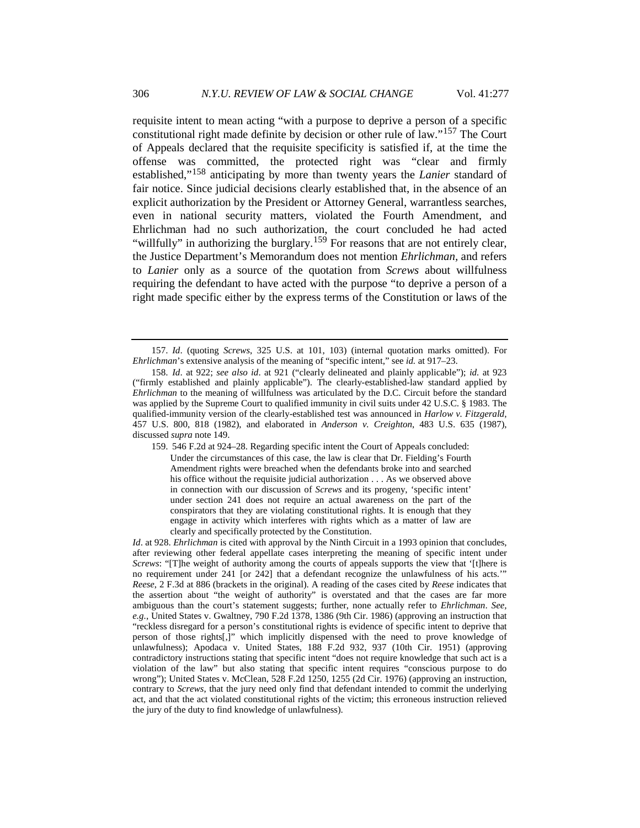requisite intent to mean acting "with a purpose to deprive a person of a specific constitutional right made definite by decision or other rule of law."[157](#page-29-0) The Court of Appeals declared that the requisite specificity is satisfied if, at the time the offense was committed, the protected right was "clear and firmly established,"[158](#page-29-1) anticipating by more than twenty years the *Lanier* standard of fair notice. Since judicial decisions clearly established that, in the absence of an explicit authorization by the President or Attorney General, warrantless searches, even in national security matters, violated the Fourth Amendment, and Ehrlichman had no such authorization, the court concluded he had acted "willfully" in authorizing the burglary.<sup>[159](#page-29-2)</sup> For reasons that are not entirely clear, the Justice Department's Memorandum does not mention *Ehrlichman,* and refers to *Lanier* only as a source of the quotation from *Screws* about willfulness requiring the defendant to have acted with the purpose "to deprive a person of a right made specific either by the express terms of the Constitution or laws of the

<span id="page-29-0"></span><sup>157.</sup> *Id*. (quoting *Screws*, 325 U.S. at 101, 103) (internal quotation marks omitted). For *Ehrlichman*'s extensive analysis of the meaning of "specific intent," see *id.* at 917–23.

<span id="page-29-2"></span><span id="page-29-1"></span><sup>158.</sup> *Id*. at 922; *see also id*. at 921 ("clearly delineated and plainly applicable"); *id.* at 923 ("firmly established and plainly applicable"). The clearly-established-law standard applied by *Ehrlichman* to the meaning of willfulness was articulated by the D.C. Circuit before the standard was applied by the Supreme Court to qualified immunity in civil suits under 42 U.S.C. § 1983. The qualified-immunity version of the clearly-established test was announced in *Harlow v. Fitzgerald*, 457 U.S. 800, 818 (1982), and elaborated in *Anderson v. Creighton*, 483 U.S. 635 (1987), discussed *supra* not[e 149.](#page-26-5)

<sup>159.</sup> 546 F.2d at 924–28. Regarding specific intent the Court of Appeals concluded: Under the circumstances of this case, the law is clear that Dr. Fielding's Fourth Amendment rights were breached when the defendants broke into and searched his office without the requisite judicial authorization  $\dots$  As we observed above in connection with our discussion of *Screws* and its progeny, 'specific intent' under section 241 does not require an actual awareness on the part of the conspirators that they are violating constitutional rights. It is enough that they engage in activity which interferes with rights which as a matter of law are clearly and specifically protected by the Constitution.

*Id*. at 928. *Ehrlichman* is cited with approval by the Ninth Circuit in a 1993 opinion that concludes, after reviewing other federal appellate cases interpreting the meaning of specific intent under *Screws*: "[T]he weight of authority among the courts of appeals supports the view that '[t]here is no requirement under 241 [or 242] that a defendant recognize the unlawfulness of his acts.' *Reese*, 2 F.3d at 886 (brackets in the original). A reading of the cases cited by *Reese* indicates that the assertion about "the weight of authority" is overstated and that the cases are far more ambiguous than the court's statement suggests; further, none actually refer to *Ehrlichman*. *See, e.g.*, United States v. Gwaltney, 790 F.2d 1378, 1386 (9th Cir. 1986) (approving an instruction that "reckless disregard for a person's constitutional rights is evidence of specific intent to deprive that person of those rights[,]" which implicitly dispensed with the need to prove knowledge of unlawfulness); Apodaca v. United States, 188 F.2d 932, 937 (10th Cir. 1951) (approving contradictory instructions stating that specific intent "does not require knowledge that such act is a violation of the law" but also stating that specific intent requires "conscious purpose to do wrong"); United States v. McClean, 528 F.2d 1250, 1255 (2d Cir. 1976) (approving an instruction, contrary to *Screws*, that the jury need only find that defendant intended to commit the underlying act, and that the act violated constitutional rights of the victim; this erroneous instruction relieved the jury of the duty to find knowledge of unlawfulness).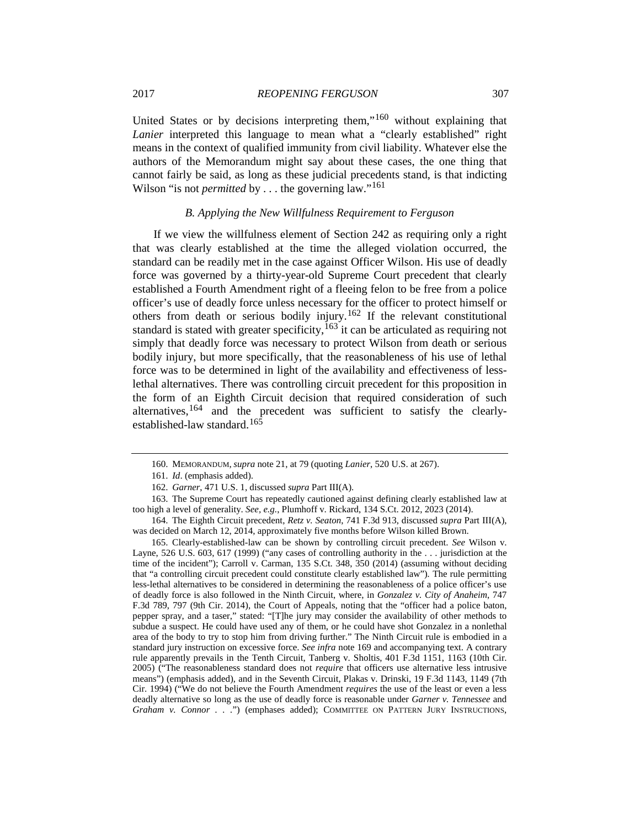United States or by decisions interpreting them,"<sup>[160](#page-30-0)</sup> without explaining that *Lanier* interpreted this language to mean what a "clearly established" right means in the context of qualified immunity from civil liability. Whatever else the authors of the Memorandum might say about these cases, the one thing that cannot fairly be said, as long as these judicial precedents stand, is that indicting Wilson "is not *permitted* by . . . the governing law."<sup>[161](#page-30-1)</sup>

## *B. Applying the New Willfulness Requirement to Ferguson*

If we view the willfulness element of Section 242 as requiring only a right that was clearly established at the time the alleged violation occurred, the standard can be readily met in the case against Officer Wilson. His use of deadly force was governed by a thirty-year-old Supreme Court precedent that clearly established a Fourth Amendment right of a fleeing felon to be free from a police officer's use of deadly force unless necessary for the officer to protect himself or others from death or serious bodily injury.[162](#page-30-2) If the relevant constitutional standard is stated with greater specificity,  $163$  it can be articulated as requiring not simply that deadly force was necessary to protect Wilson from death or serious bodily injury, but more specifically, that the reasonableness of his use of lethal force was to be determined in light of the availability and effectiveness of lesslethal alternatives. There was controlling circuit precedent for this proposition in the form of an Eighth Circuit decision that required consideration of such alternatives,  $164$  and the precedent was sufficient to satisfy the clearly-established-law standard.<sup>[165](#page-30-5)</sup>

<sup>160.</sup> MEMORANDUM, *supra* note [21,](#page-5-4) at 79 (quoting *Lanier*, 520 U.S. at 267).

<sup>161.</sup> *Id*. (emphasis added).

<sup>162.</sup> *Garner*, 471 U.S. 1, discussed *supra* Part III(A).

<span id="page-30-3"></span><span id="page-30-2"></span><span id="page-30-1"></span><span id="page-30-0"></span><sup>163.</sup> The Supreme Court has repeatedly cautioned against defining clearly established law at too high a level of generality. *See, e.g.*, Plumhoff v. Rickard, 134 S.Ct. 2012, 2023 (2014).

<span id="page-30-4"></span><sup>164.</sup> The Eighth Circuit precedent, *Retz v. Seaton*, 741 F.3d 913, discussed *supra* Part III(A), was decided on March 12, 2014, approximately five months before Wilson killed Brown.

<span id="page-30-5"></span><sup>165.</sup> Clearly-established-law can be shown by controlling circuit precedent. *See* Wilson v. Layne, 526 U.S. 603, 617 (1999) ("any cases of controlling authority in the . . . jurisdiction at the time of the incident"); Carroll v. Carman, 135 S.Ct. 348, 350 (2014) (assuming without deciding that "a controlling circuit precedent could constitute clearly established law")*.* The rule permitting less-lethal alternatives to be considered in determining the reasonableness of a police officer's use of deadly force is also followed in the Ninth Circuit, where, in *Gonzalez v. City of Anaheim*, 747 F.3d 789, 797 (9th Cir. 2014), the Court of Appeals, noting that the "officer had a police baton, pepper spray, and a taser," stated: "[T]he jury may consider the availability of other methods to subdue a suspect. He could have used any of them, or he could have shot Gonzalez in a nonlethal area of the body to try to stop him from driving further." The Ninth Circuit rule is embodied in a standard jury instruction on excessive force. *See infra* note 169 and accompanying text. A contrary rule apparently prevails in the Tenth Circuit, Tanberg v. Sholtis, 401 F.3d 1151, 1163 (10th Cir. 2005) ("The reasonableness standard does not *require* that officers use alternative less intrusive means") (emphasis added), and in the Seventh Circuit, Plakas v. Drinski, 19 F.3d 1143, 1149 (7th Cir. 1994) ("We do not believe the Fourth Amendment *requires* the use of the least or even a less deadly alternative so long as the use of deadly force is reasonable under *Garner v. Tennessee* and *Graham v. Connor . . .*") (emphases added); COMMITTEE ON PATTERN JURY INSTRUCTIONS,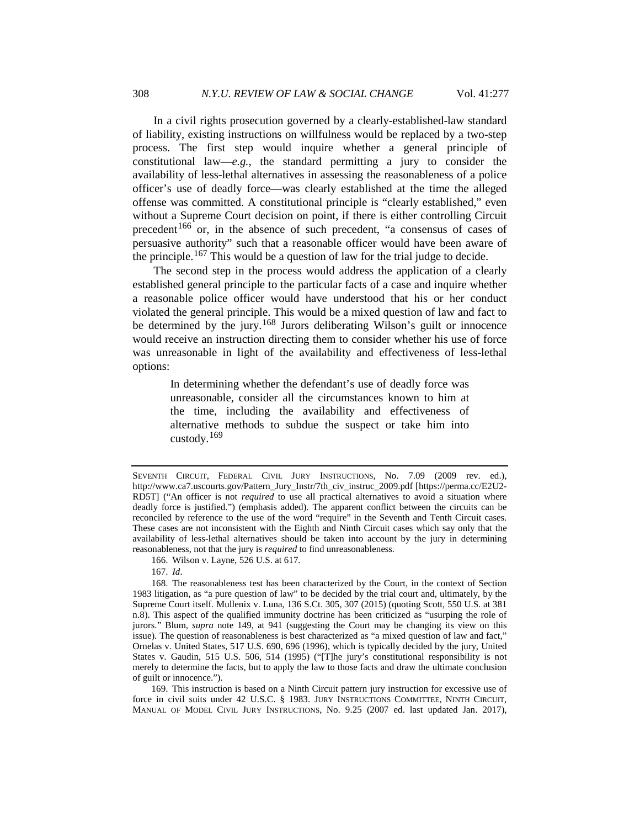In a civil rights prosecution governed by a clearly-established-law standard of liability, existing instructions on willfulness would be replaced by a two-step process. The first step would inquire whether a general principle of constitutional law—*e.g.*, the standard permitting a jury to consider the availability of less-lethal alternatives in assessing the reasonableness of a police officer's use of deadly force—was clearly established at the time the alleged offense was committed. A constitutional principle is "clearly established," even without a Supreme Court decision on point, if there is either controlling Circuit precedent<sup>[166](#page-31-0)</sup> or, in the absence of such precedent, "a consensus of cases of persuasive authority" such that a reasonable officer would have been aware of the principle.<sup>[167](#page-31-1)</sup> This would be a question of law for the trial judge to decide.

The second step in the process would address the application of a clearly established general principle to the particular facts of a case and inquire whether a reasonable police officer would have understood that his or her conduct violated the general principle. This would be a mixed question of law and fact to be determined by the jury.<sup>[168](#page-31-2)</sup> Jurors deliberating Wilson's guilt or innocence would receive an instruction directing them to consider whether his use of force was unreasonable in light of the availability and effectiveness of less-lethal options:

In determining whether the defendant's use of deadly force was unreasonable, consider all the circumstances known to him at the time, including the availability and effectiveness of alternative methods to subdue the suspect or take him into custody. $169$ 

167. *Id*.

<span id="page-31-3"></span>169. This instruction is based on a Ninth Circuit pattern jury instruction for excessive use of force in civil suits under 42 U.S.C. § 1983. JURY INSTRUCTIONS COMMITTEE, NINTH CIRCUIT, MANUAL OF MODEL CIVIL JURY INSTRUCTIONS, No. 9.25 (2007 ed. last updated Jan. 2017),

SEVENTH CIRCUIT, FEDERAL CIVIL JURY INSTRUCTIONS, No. 7.09 (2009 rev. ed.), http://www.ca7.uscourts.gov/Pattern\_Jury\_Instr/7th\_civ\_instruc\_2009.pdf [https://perma.cc/E2U2- RD5T] ("An officer is not *required* to use all practical alternatives to avoid a situation where deadly force is justified.") (emphasis added). The apparent conflict between the circuits can be reconciled by reference to the use of the word "require" in the Seventh and Tenth Circuit cases. These cases are not inconsistent with the Eighth and Ninth Circuit cases which say only that the availability of less-lethal alternatives should be taken into account by the jury in determining reasonableness, not that the jury is *required* to find unreasonableness.

<sup>166.</sup> Wilson v. Layne, 526 U.S. at 617.

<span id="page-31-2"></span><span id="page-31-1"></span><span id="page-31-0"></span><sup>168.</sup> The reasonableness test has been characterized by the Court, in the context of Section 1983 litigation, as "a pure question of law" to be decided by the trial court and, ultimately, by the Supreme Court itself. Mullenix v. Luna, 136 S.Ct. 305, 307 (2015) (quoting Scott, 550 U.S. at 381 n.8). This aspect of the qualified immunity doctrine has been criticized as "usurping the role of jurors." Blum, *supra* note [149,](#page-26-5) at 941 (suggesting the Court may be changing its view on this issue). The question of reasonableness is best characterized as "a mixed question of law and fact," Ornelas v. United States, 517 U.S. 690, 696 (1996), which is typically decided by the jury, United States v. Gaudin, 515 U.S. 506, 514 (1995) ("[T]he jury's constitutional responsibility is not merely to determine the facts, but to apply the law to those facts and draw the ultimate conclusion of guilt or innocence.").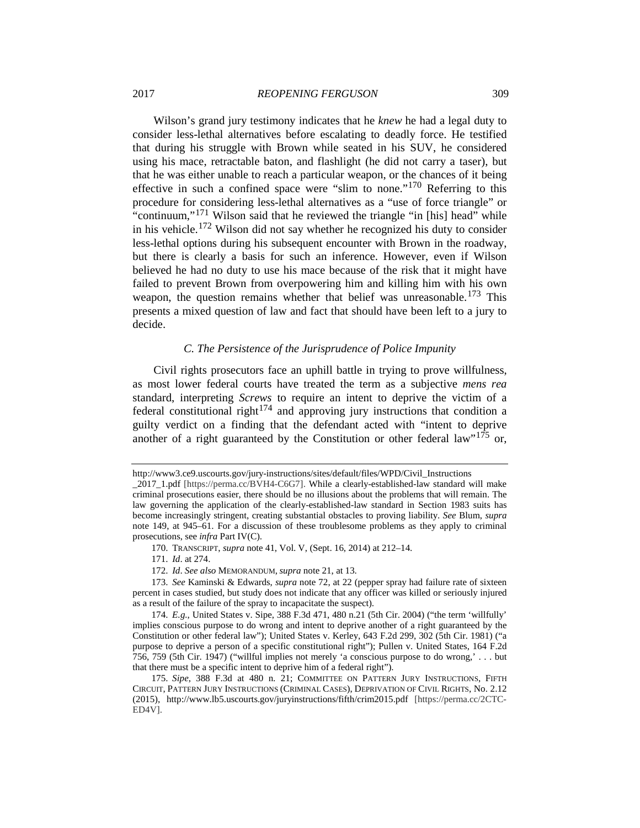Wilson's grand jury testimony indicates that he *knew* he had a legal duty to consider less-lethal alternatives before escalating to deadly force. He testified that during his struggle with Brown while seated in his SUV, he considered using his mace, retractable baton, and flashlight (he did not carry a taser), but that he was either unable to reach a particular weapon, or the chances of it being effective in such a confined space were "slim to none."[170](#page-32-0) Referring to this procedure for considering less-lethal alternatives as a "use of force triangle" or "continuum,"<sup>[171](#page-32-1)</sup> Wilson said that he reviewed the triangle "in [his] head" while in his vehicle.<sup>[172](#page-32-2)</sup> Wilson did not say whether he recognized his duty to consider less-lethal options during his subsequent encounter with Brown in the roadway, but there is clearly a basis for such an inference. However, even if Wilson believed he had no duty to use his mace because of the risk that it might have failed to prevent Brown from overpowering him and killing him with his own weapon, the question remains whether that belief was unreasonable.<sup>[173](#page-32-3)</sup> This presents a mixed question of law and fact that should have been left to a jury to decide.

## <span id="page-32-6"></span>*C. The Persistence of the Jurisprudence of Police Impunity*

Civil rights prosecutors face an uphill battle in trying to prove willfulness, as most lower federal courts have treated the term as a subjective *mens rea*  standard, interpreting *Screws* to require an intent to deprive the victim of a federal constitutional right<sup>[174](#page-32-4)</sup> and approving jury instructions that condition a guilty verdict on a finding that the defendant acted with "intent to deprive another of a right guaranteed by the Constitution or other federal law"<sup>[175](#page-32-5)</sup> or,

http://www3.ce9.uscourts.gov/jury-instructions/sites/default/files/WPD/Civil\_Instructions

\_2017\_1.pdf [https://perma.cc/BVH4-C6G7]. While a clearly-established-law standard will make criminal prosecutions easier, there should be no illusions about the problems that will remain. The law governing the application of the clearly-established-law standard in Section 1983 suits has become increasingly stringent, creating substantial obstacles to proving liability. *See* Blum, *supra* note [149,](#page-26-5) at 945–61. For a discussion of these troublesome problems as they apply to criminal prosecutions, see *infra* Part IV(C).

<sup>170.</sup> TRANSCRIPT, *supra* note [41,](#page-9-10) Vol. V, (Sept. 16, 2014) at 212–14.

<sup>171.</sup> *Id*. at 274.

<sup>172.</sup> *Id*. *See also* MEMORANDUM, *supra* note [21,](#page-5-4) at 13.

<span id="page-32-3"></span><span id="page-32-2"></span><span id="page-32-1"></span><span id="page-32-0"></span><sup>173.</sup> *See* Kaminski & Edwards, *supra* not[e 72,](#page-15-4) at 22 (pepper spray had failure rate of sixteen percent in cases studied, but study does not indicate that any officer was killed or seriously injured as a result of the failure of the spray to incapacitate the suspect).

<span id="page-32-4"></span><sup>174.</sup> *E.g.*, United States v. Sipe, 388 F.3d 471, 480 n.21 (5th Cir. 2004) ("the term 'willfully' implies conscious purpose to do wrong and intent to deprive another of a right guaranteed by the Constitution or other federal law"); United States v. Kerley, 643 F.2d 299, 302 (5th Cir. 1981) ("a purpose to deprive a person of a specific constitutional right"); Pullen v. United States, 164 F.2d 756, 759 (5th Cir. 1947) ("willful implies not merely 'a conscious purpose to do wrong,' . . . but that there must be a specific intent to deprive him of a federal right").

<span id="page-32-5"></span><sup>175.</sup> *Sipe*, 388 F.3d at 480 n. 21; COMMITTEE ON PATTERN JURY INSTRUCTIONS, FIFTH CIRCUIT, PATTERN JURY INSTRUCTIONS (CRIMINAL CASES), DEPRIVATION OF CIVIL RIGHTS, No. 2.12 (2015), http://www.lb5.uscourts.gov/juryinstructions/fifth/crim2015.pdf [https://perma.cc/2CTC-ED4V].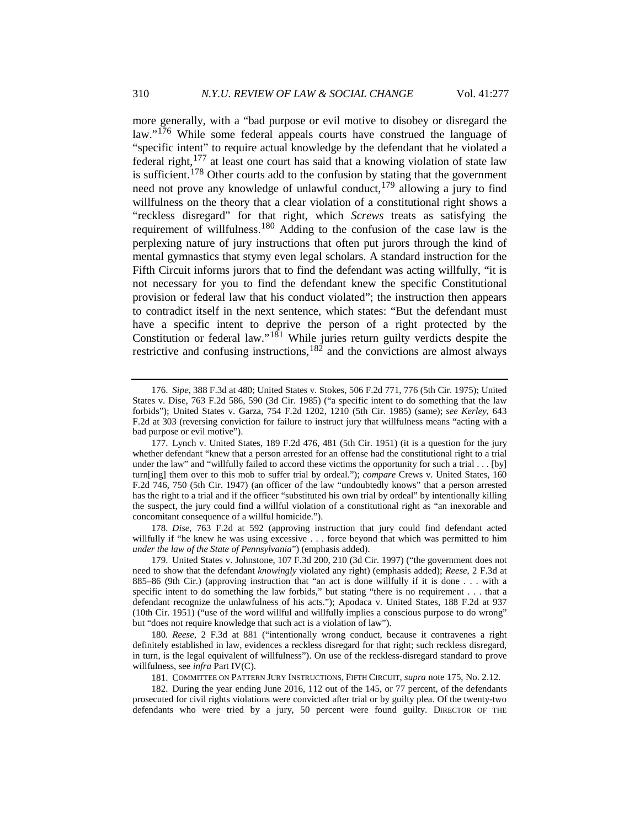more generally, with a "bad purpose or evil motive to disobey or disregard the law."<sup>[176](#page-33-0)</sup> While some federal appeals courts have construed the language of "specific intent" to require actual knowledge by the defendant that he violated a  $\int$  federal right,<sup>[177](#page-33-1)</sup> at least one court has said that a knowing violation of state law is sufficient.<sup>[178](#page-33-2)</sup> Other courts add to the confusion by stating that the government need not prove any knowledge of unlawful conduct, $179$  allowing a jury to find willfulness on the theory that a clear violation of a constitutional right shows a "reckless disregard" for that right, which *Screws* treats as satisfying the requirement of willfulness.[180](#page-33-4) Adding to the confusion of the case law is the perplexing nature of jury instructions that often put jurors through the kind of mental gymnastics that stymy even legal scholars. A standard instruction for the Fifth Circuit informs jurors that to find the defendant was acting willfully, "it is not necessary for you to find the defendant knew the specific Constitutional provision or federal law that his conduct violated"; the instruction then appears to contradict itself in the next sentence, which states: "But the defendant must have a specific intent to deprive the person of a right protected by the Constitution or federal law."<sup>[181](#page-33-5)</sup> While juries return guilty verdicts despite the restrictive and confusing instructions,  $182$  and the convictions are almost always

<span id="page-33-2"></span>178. *Dise*, 763 F.2d at 592 (approving instruction that jury could find defendant acted willfully if "he knew he was using excessive . . . force beyond that which was permitted to him *under the law of the State of Pennsylvania*") (emphasis added).

<span id="page-33-0"></span><sup>176.</sup> *Sipe*, 388 F.3d at 480; United States v. Stokes, 506 F.2d 771, 776 (5th Cir. 1975); United States v. Dise, 763 F.2d 586, 590 (3d Cir. 1985) ("a specific intent to do something that the law forbids"); United States v. Garza, 754 F.2d 1202, 1210 (5th Cir. 1985) (same); *see Kerley*, 643 F.2d at 303 (reversing conviction for failure to instruct jury that willfulness means "acting with a bad purpose or evil motive").

<span id="page-33-1"></span><sup>177.</sup> Lynch v. United States, 189 F.2d 476, 481 (5th Cir. 1951) (it is a question for the jury whether defendant "knew that a person arrested for an offense had the constitutional right to a trial under the law" and "willfully failed to accord these victims the opportunity for such a trial . . . [by] turn[ing] them over to this mob to suffer trial by ordeal."); *compare* Crews v. United States, 160 F.2d 746, 750 (5th Cir. 1947) (an officer of the law "undoubtedly knows" that a person arrested has the right to a trial and if the officer "substituted his own trial by ordeal" by intentionally killing the suspect, the jury could find a willful violation of a constitutional right as "an inexorable and concomitant consequence of a willful homicide.").

<span id="page-33-3"></span><sup>179.</sup> United States v. Johnstone, 107 F.3d 200, 210 (3d Cir. 1997) ("the government does not need to show that the defendant *knowingly* violated any right) (emphasis added); *Reese*, 2 F.3d at 885–86 (9th Cir.) (approving instruction that "an act is done willfully if it is done . . . with a specific intent to do something the law forbids," but stating "there is no requirement . . . that a defendant recognize the unlawfulness of his acts."); Apodaca v. United States, 188 F.2d at 937 (10th Cir. 1951) ("use of the word willful and willfully implies a conscious purpose to do wrong" but "does not require knowledge that such act is a violation of law").

<span id="page-33-4"></span><sup>180</sup>*. Reese*, 2 F.3d at 881 ("intentionally wrong conduct, because it contravenes a right definitely established in law, evidences a reckless disregard for that right; such reckless disregard, in turn, is the legal equivalent of willfulness"). On use of the reckless-disregard standard to prove willfulness, see *infra* Part IV(C).

<sup>181.</sup> COMMITTEE ON PATTERN JURY INSTRUCTIONS, FIFTH CIRCUIT, *supra* not[e 175,](#page-32-6) No. 2.12.

<span id="page-33-6"></span><span id="page-33-5"></span><sup>182.</sup> During the year ending June 2016, 112 out of the 145, or 77 percent, of the defendants prosecuted for civil rights violations were convicted after trial or by guilty plea. Of the twenty-two defendants who were tried by a jury, 50 percent were found guilty. DIRECTOR OF THE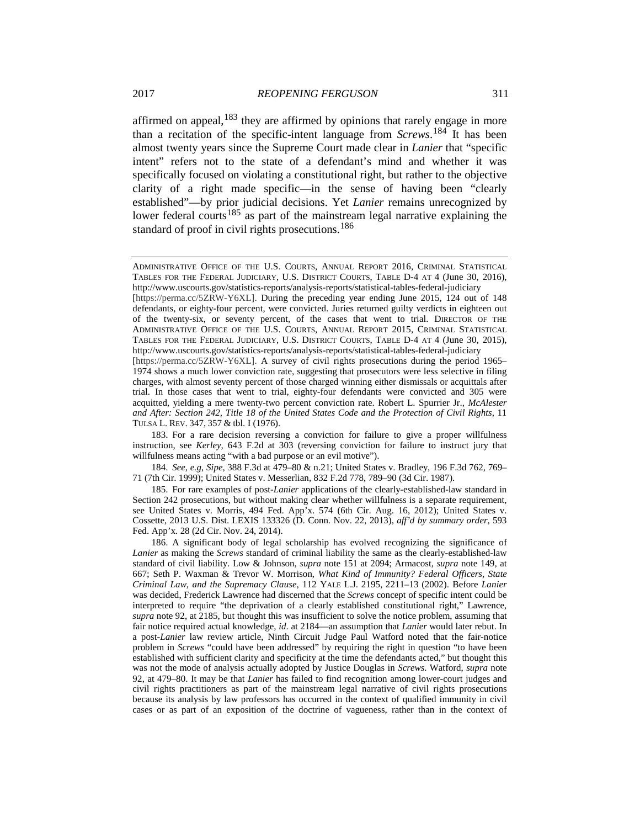affirmed on appeal, $183$  they are affirmed by opinions that rarely engage in more than a recitation of the specific-intent language from *Screws*. [184](#page-34-1) It has been almost twenty years since the Supreme Court made clear in *Lanier* that "specific intent" refers not to the state of a defendant's mind and whether it was specifically focused on violating a constitutional right, but rather to the objective clarity of a right made specific—in the sense of having been "clearly established"—by prior judicial decisions. Yet *Lanier* remains unrecognized by lower federal courts<sup>[185](#page-34-2)</sup> as part of the mainstream legal narrative explaining the standard of proof in civil rights prosecutions.<sup>[186](#page-34-3)</sup>

<span id="page-34-1"></span>184. *See, e.g*, *Sipe*, 388 F.3d at 479–80 & n.21; United States v. Bradley, 196 F.3d 762, 769– 71 (7th Cir. 1999); United States v. Messerlian, 832 F.2d 778, 789–90 (3d Cir. 1987).

<span id="page-34-2"></span>185. For rare examples of post-*Lanier* applications of the clearly-established-law standard in Section 242 prosecutions, but without making clear whether willfulness is a separate requirement, see United States v. Morris, 494 Fed. App'x. 574 (6th Cir. Aug. 16, 2012); United States v. Cossette, 2013 U.S. Dist. LEXIS 133326 (D. Conn. Nov. 22, 2013), *aff'd by summary order*, 593 Fed. App'x. 28 (2d Cir. Nov. 24, 2014).

ADMINISTRATIVE OFFICE OF THE U.S. COURTS, ANNUAL REPORT 2016, CRIMINAL STATISTICAL TABLES FOR THE FEDERAL JUDICIARY, U.S. DISTRICT COURTS, TABLE D-4 AT 4 (June 30, 2016), http://www.uscourts.gov/statistics-reports/analysis-reports/statistical-tables-federal-judiciary

<sup>[</sup>https://perma.cc/5ZRW-Y6XL]. During the preceding year ending June 2015, 124 out of 148 defendants, or eighty-four percent, were convicted. Juries returned guilty verdicts in eighteen out of the twenty-six, or seventy percent, of the cases that went to trial. DIRECTOR OF THE ADMINISTRATIVE OFFICE OF THE U.S. COURTS, ANNUAL REPORT 2015, CRIMINAL STATISTICAL TABLES FOR THE FEDERAL JUDICIARY, U.S. DISTRICT COURTS, TABLE D-4 AT 4 (June 30, 2015), http://www.uscourts.gov/statistics-reports/analysis-reports/statistical-tables-federal-judiciary

<sup>[</sup>https://perma.cc/5ZRW-Y6XL]. A survey of civil rights prosecutions during the period 1965– 1974 shows a much lower conviction rate, suggesting that prosecutors were less selective in filing charges, with almost seventy percent of those charged winning either dismissals or acquittals after trial. In those cases that went to trial, eighty-four defendants were convicted and 305 were acquitted, yielding a mere twenty-two percent conviction rate. Robert L. Spurrier Jr., *McAlester and After: Section 242, Title 18 of the United States Code and the Protection of Civil Rights*, 11 TULSA L. REV. 347, 357 & tbl. I (1976).

<span id="page-34-0"></span><sup>183.</sup> For a rare decision reversing a conviction for failure to give a proper willfulness instruction, see *Kerley*, 643 F.2d at 303 (reversing conviction for failure to instruct jury that willfulness means acting "with a bad purpose or an evil motive").

<span id="page-34-3"></span><sup>186.</sup> A significant body of legal scholarship has evolved recognizing the significance of *Lanier* as making the *Screws* standard of criminal liability the same as the clearly-established-law standard of civil liability. Low & Johnson, *supra* note [151](#page-27-2) at 2094; Armacost, *supra* note [149,](#page-26-5) at 667; Seth P. Waxman & Trevor W. Morrison, *What Kind of Immunity? Federal Officers, State Criminal Law, and the Supremacy Clause*, 112 YALE L.J. 2195, 2211–13 (2002). Before *Lanier* was decided, Frederick Lawrence had discerned that the *Screws* concept of specific intent could be interpreted to require "the deprivation of a clearly established constitutional right," Lawrence, *supra* note [92,](#page-19-7) at 2185, but thought this was insufficient to solve the notice problem, assuming that fair notice required actual knowledge, *id*. at 2184—an assumption that *Lanier* would later rebut. In a post*-Lanier* law review article, Ninth Circuit Judge Paul Watford noted that the fair-notice problem in *Screws* "could have been addressed" by requiring the right in question "to have been established with sufficient clarity and specificity at the time the defendants acted," but thought this was not the mode of analysis actually adopted by Justice Douglas in *Screws*. Watford, *supra* note [92,](#page-19-7) at 479–80. It may be that *Lanier* has failed to find recognition among lower-court judges and civil rights practitioners as part of the mainstream legal narrative of civil rights prosecutions because its analysis by law professors has occurred in the context of qualified immunity in civil cases or as part of an exposition of the doctrine of vagueness, rather than in the context of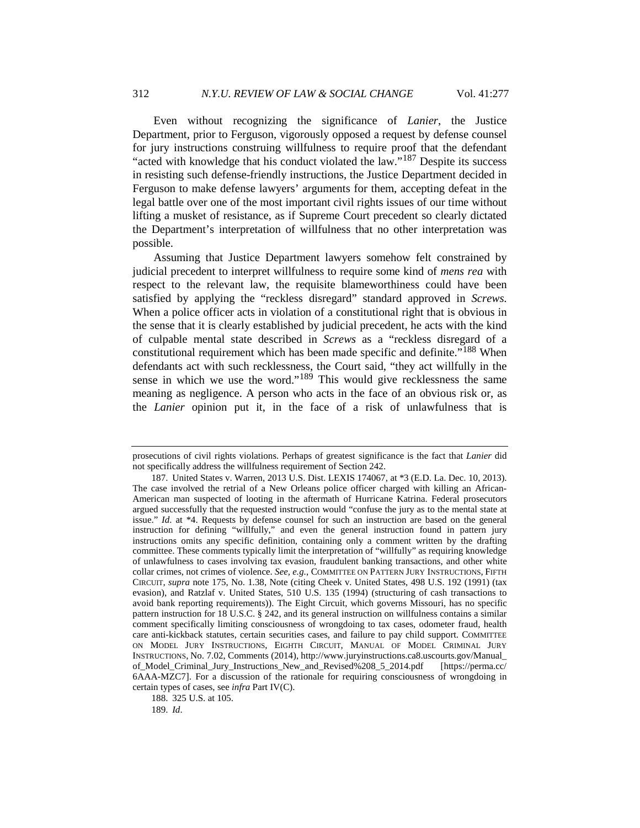Even without recognizing the significance of *Lanier*, the Justice Department, prior to Ferguson, vigorously opposed a request by defense counsel for jury instructions construing willfulness to require proof that the defendant "acted with knowledge that his conduct violated the law."<sup>[187](#page-35-0)</sup> Despite its success in resisting such defense-friendly instructions, the Justice Department decided in Ferguson to make defense lawyers' arguments for them, accepting defeat in the legal battle over one of the most important civil rights issues of our time without lifting a musket of resistance, as if Supreme Court precedent so clearly dictated the Department's interpretation of willfulness that no other interpretation was possible.

Assuming that Justice Department lawyers somehow felt constrained by judicial precedent to interpret willfulness to require some kind of *mens rea* with respect to the relevant law, the requisite blameworthiness could have been satisfied by applying the "reckless disregard" standard approved in *Screws*. When a police officer acts in violation of a constitutional right that is obvious in the sense that it is clearly established by judicial precedent, he acts with the kind of culpable mental state described in *Screws* as a "reckless disregard of a constitutional requirement which has been made specific and definite."[188](#page-35-1) When defendants act with such recklessness, the Court said, "they act willfully in the sense in which we use the word."[189](#page-35-2) This would give recklessness the same meaning as negligence. A person who acts in the face of an obvious risk or, as the *Lanier* opinion put it, in the face of a risk of unlawfulness that is

<span id="page-35-2"></span><span id="page-35-1"></span>188. 325 U.S. at 105.

189. *Id*.

prosecutions of civil rights violations. Perhaps of greatest significance is the fact that *Lanier* did not specifically address the willfulness requirement of Section 242.

<span id="page-35-0"></span><sup>187.</sup> United States v. Warren, 2013 U.S. Dist. LEXIS 174067, at \*3 (E.D. La. Dec. 10, 2013). The case involved the retrial of a New Orleans police officer charged with killing an African-American man suspected of looting in the aftermath of Hurricane Katrina. Federal prosecutors argued successfully that the requested instruction would "confuse the jury as to the mental state at issue." *Id*. at \*4. Requests by defense counsel for such an instruction are based on the general instruction for defining "willfully," and even the general instruction found in pattern jury instructions omits any specific definition, containing only a comment written by the drafting committee. These comments typically limit the interpretation of "willfully" as requiring knowledge of unlawfulness to cases involving tax evasion, fraudulent banking transactions, and other white collar crimes, not crimes of violence. *See, e.g.*, COMMITTEE ON PATTERN JURY INSTRUCTIONS, FIFTH CIRCUIT, *supra* not[e 175,](#page-32-6) No. 1.38, Note (citing Cheek v. United States, 498 U.S. 192 (1991) (tax evasion), and Ratzlaf v. United States, 510 U.S. 135 (1994) (structuring of cash transactions to avoid bank reporting requirements)). The Eight Circuit, which governs Missouri, has no specific pattern instruction for 18 U.S.C. § 242, and its general instruction on willfulness contains a similar comment specifically limiting consciousness of wrongdoing to tax cases, odometer fraud, health care anti-kickback statutes, certain securities cases, and failure to pay child support. COMMITTEE ON MODEL JURY INSTRUCTIONS, EIGHTH CIRCUIT, MANUAL OF MODEL CRIMINAL JURY INSTRUCTIONS, No. 7.02, Comments (2014), http://www.juryinstructions.ca8.uscourts.gov[/Manual\\_](http://www.juryinstructions.ca8.uscourts.gov/Manual_of_Model_Criminal_Jury_Instructions_New_and_Revised%208_5_2014.pdf) [of\\_Model\\_Criminal\\_Jury\\_Instructions\\_New\\_and\\_Revised%208\\_5\\_2014.pdf](http://www.juryinstructions.ca8.uscourts.gov/Manual_of_Model_Criminal_Jury_Instructions_New_and_Revised%208_5_2014.pdf) [https://perma.cc/ 6AAA-MZC7]. For a discussion of the rationale for requiring consciousness of wrongdoing in certain types of cases, see *infra* Part IV(C).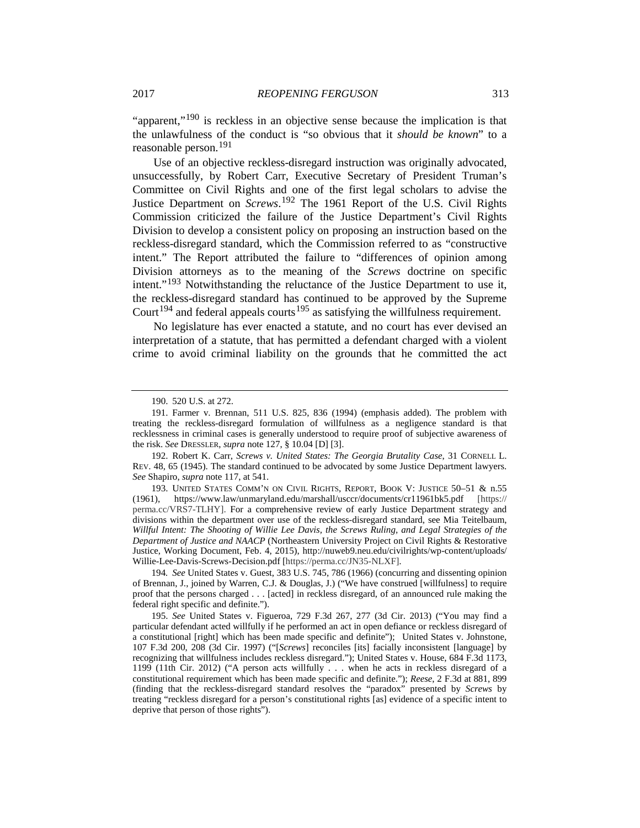"apparent,"<sup>[190](#page-36-0)</sup> is reckless in an objective sense because the implication is that the unlawfulness of the conduct is "so obvious that it *should be known*" to a reasonable person.[191](#page-36-1)

Use of an objective reckless-disregard instruction was originally advocated, unsuccessfully, by Robert Carr, Executive Secretary of President Truman's Committee on Civil Rights and one of the first legal scholars to advise the Justice Department on *Screws*. [192](#page-36-2) The 1961 Report of the U.S. Civil Rights Commission criticized the failure of the Justice Department's Civil Rights Division to develop a consistent policy on proposing an instruction based on the reckless-disregard standard, which the Commission referred to as "constructive intent." The Report attributed the failure to "differences of opinion among Division attorneys as to the meaning of the *Screws* doctrine on specific intent."<sup>[193](#page-36-3)</sup> Notwithstanding the reluctance of the Justice Department to use it, the reckless-disregard standard has continued to be approved by the Supreme Court<sup>[194](#page-36-4)</sup> and federal appeals courts<sup>[195](#page-36-5)</sup> as satisfying the willfulness requirement.

No legislature has ever enacted a statute, and no court has ever devised an interpretation of a statute, that has permitted a defendant charged with a violent crime to avoid criminal liability on the grounds that he committed the act

<span id="page-36-2"></span>192. Robert K. Carr, *Screws v. United States: The Georgia Brutality Case*, 31 CORNELL L. REV. 48, 65 (1945). The standard continued to be advocated by some Justice Department lawyers. *See* Shapiro, *supra* not[e 117,](#page-21-12) at 541.

<span id="page-36-3"></span>193. UNITED STATES COMM'N ON CIVIL RIGHTS, REPORT, BOOK V: JUSTICE 50–51 & n.55 (1961), https://www.law/unmaryland.edu/marshall/usccr/documents/cr11961bk5.pdf [https:// perma.cc/VRS7-TLHY]. For a comprehensive review of early Justice Department strategy and divisions within the department over use of the reckless-disregard standard, see Mia Teitelbaum, *Willful Intent: The Shooting of Willie Lee Davis, the Screws Ruling, and Legal Strategies of the Department of Justice and NAACP* (Northeastern University Project on Civil Rights & Restorative Justice, Working Document, Feb. 4, 2015), http://nuweb9.neu.edu/civilrights/wp-content/uploads/ Willie-Lee-Davis-Screws-Decision.pdf [https://perma.cc/JN35-NLXF]*.*

<span id="page-36-4"></span>194*. See* United States v. Guest, 383 U.S. 745, 786 (1966) (concurring and dissenting opinion of Brennan, J., joined by Warren, C.J. & Douglas, J.) ("We have construed [willfulness] to require proof that the persons charged . . . [acted] in reckless disregard, of an announced rule making the federal right specific and definite.").

<span id="page-36-5"></span>195. *See* United States v. Figueroa, 729 F.3d 267, 277 (3d Cir. 2013) ("You may find a particular defendant acted willfully if he performed an act in open defiance or reckless disregard of a constitutional [right] which has been made specific and definite"); United States v. Johnstone, 107 F.3d 200, 208 (3d Cir. 1997) ("[*Screws*] reconciles [its] facially inconsistent [language] by recognizing that willfulness includes reckless disregard."); United States v. House, 684 F.3d 1173, 1199 (11th Cir. 2012) ("A person acts willfully . . . when he acts in reckless disregard of a constitutional requirement which has been made specific and definite."); *Reese*, 2 F.3d at 881, 899 (finding that the reckless-disregard standard resolves the "paradox" presented by *Screws* by treating "reckless disregard for a person's constitutional rights [as] evidence of a specific intent to deprive that person of those rights").

<sup>190.</sup> 520 U.S. at 272.

<span id="page-36-1"></span><span id="page-36-0"></span><sup>191.</sup> Farmer v. Brennan, 511 U.S. 825, 836 (1994) (emphasis added). The problem with treating the reckless-disregard formulation of willfulness as a negligence standard is that recklessness in criminal cases is generally understood to require proof of subjective awareness of the risk. *See* DRESSLER, *supra* not[e 127,](#page-22-10) § 10.04 [D] [3].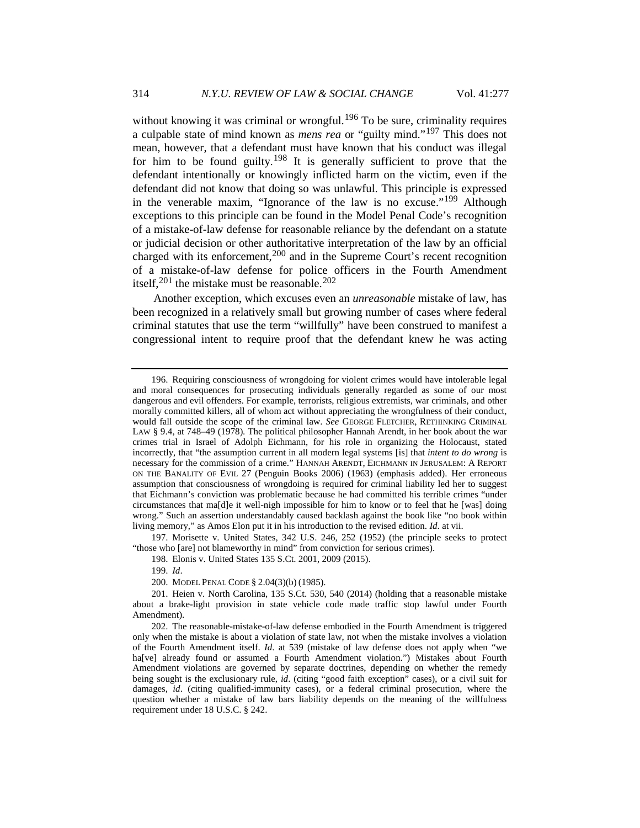without knowing it was criminal or wrongful.<sup>[196](#page-37-0)</sup> To be sure, criminality requires a culpable state of mind known as *mens rea* or "guilty mind."[197](#page-37-1) This does not mean, however, that a defendant must have known that his conduct was illegal for him to be found guilty.[198](#page-37-2) It is generally sufficient to prove that the defendant intentionally or knowingly inflicted harm on the victim, even if the defendant did not know that doing so was unlawful. This principle is expressed in the venerable maxim, "Ignorance of the law is no excuse."<sup>[199](#page-37-3)</sup> Although exceptions to this principle can be found in the Model Penal Code's recognition of a mistake-of-law defense for reasonable reliance by the defendant on a statute or judicial decision or other authoritative interpretation of the law by an official charged with its enforcement,  $200$  and in the Supreme Court's recent recognition of a mistake-of-law defense for police officers in the Fourth Amendment itself,  $201$  the mistake must be reasonable.  $202$ 

Another exception, which excuses even an *unreasonable* mistake of law, has been recognized in a relatively small but growing number of cases where federal criminal statutes that use the term "willfully" have been construed to manifest a congressional intent to require proof that the defendant knew he was acting

<span id="page-37-2"></span><span id="page-37-1"></span>197. Morisette v. United States, 342 U.S. 246, 252 (1952) (the principle seeks to protect "those who [are] not blameworthy in mind" from conviction for serious crimes).

198. Elonis v. United States 135 S.Ct. 2001, 2009 (2015).

199. *Id*.

200. MODEL PENAL CODE § 2.04(3)(b) (1985).

<span id="page-37-0"></span><sup>196.</sup> Requiring consciousness of wrongdoing for violent crimes would have intolerable legal and moral consequences for prosecuting individuals generally regarded as some of our most dangerous and evil offenders. For example, terrorists, religious extremists, war criminals, and other morally committed killers, all of whom act without appreciating the wrongfulness of their conduct, would fall outside the scope of the criminal law. *See* GEORGE FLETCHER, RETHINKING CRIMINAL LAW § 9.4, at 748–49 (1978). The political philosopher Hannah Arendt, in her book about the war crimes trial in Israel of Adolph Eichmann, for his role in organizing the Holocaust, stated incorrectly, that "the assumption current in all modern legal systems [is] that *intent to do wrong* is necessary for the commission of a crime." HANNAH ARENDT, EICHMANN IN JERUSALEM: A REPORT ON THE BANALITY OF EVIL 27 (Penguin Books 2006) (1963) (emphasis added). Her erroneous assumption that consciousness of wrongdoing is required for criminal liability led her to suggest that Eichmann's conviction was problematic because he had committed his terrible crimes "under circumstances that ma[d]e it well-nigh impossible for him to know or to feel that he [was] doing wrong." Such an assertion understandably caused backlash against the book like "no book within living memory," as Amos Elon put it in his introduction to the revised edition. *Id*. at vii.

<span id="page-37-5"></span><span id="page-37-4"></span><span id="page-37-3"></span><sup>201.</sup> Heien v. North Carolina, 135 S.Ct. 530, 540 (2014) (holding that a reasonable mistake about a brake-light provision in state vehicle code made traffic stop lawful under Fourth Amendment).

<span id="page-37-6"></span><sup>202.</sup> The reasonable-mistake-of-law defense embodied in the Fourth Amendment is triggered only when the mistake is about a violation of state law, not when the mistake involves a violation of the Fourth Amendment itself. *Id*. at 539 (mistake of law defense does not apply when "we ha[ve] already found or assumed a Fourth Amendment violation.") Mistakes about Fourth Amendment violations are governed by separate doctrines, depending on whether the remedy being sought is the exclusionary rule, *id*. (citing "good faith exception" cases), or a civil suit for damages, *id*. (citing qualified-immunity cases), or a federal criminal prosecution, where the question whether a mistake of law bars liability depends on the meaning of the willfulness requirement under 18 U.S.C. § 242.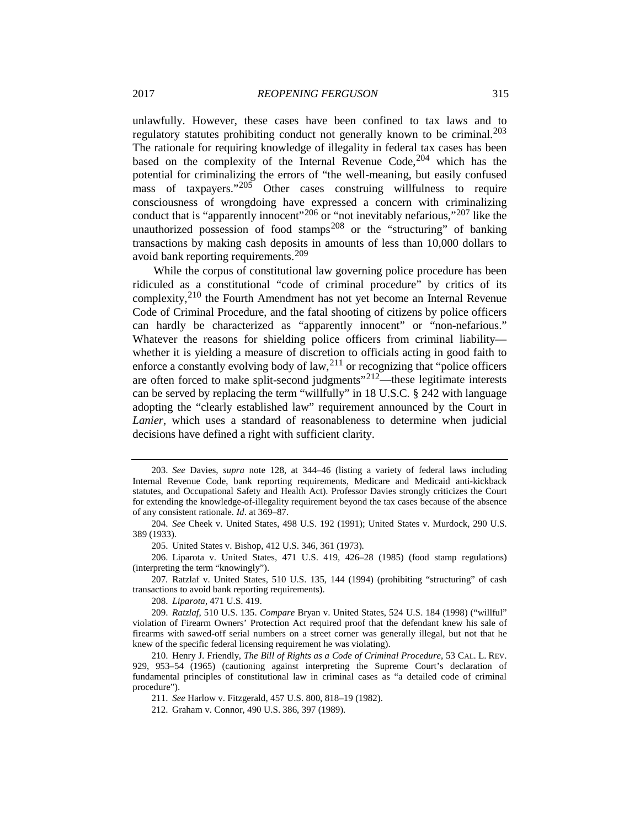unlawfully. However, these cases have been confined to tax laws and to regulatory statutes prohibiting conduct not generally known to be criminal.<sup>[203](#page-38-0)</sup> The rationale for requiring knowledge of illegality in federal tax cases has been based on the complexity of the Internal Revenue Code,  $204$  which has the potential for criminalizing the errors of "the well-meaning, but easily confused mass of taxpayers."<sup>[205](#page-38-2)</sup> Other cases construing willfulness to require consciousness of wrongdoing have expressed a concern with criminalizing conduct that is "apparently innocent"<sup>[206](#page-38-3)</sup> or "not inevitably nefarious,"<sup>[207](#page-38-4)</sup> like the unauthorized possession of food stamps<sup>[208](#page-38-5)</sup> or the "structuring" of banking transactions by making cash deposits in amounts of less than 10,000 dollars to avoid bank reporting requirements.[209](#page-38-6)

While the corpus of constitutional law governing police procedure has been ridiculed as a constitutional "code of criminal procedure" by critics of its complexity,[210](#page-38-7) the Fourth Amendment has not yet become an Internal Revenue Code of Criminal Procedure, and the fatal shooting of citizens by police officers can hardly be characterized as "apparently innocent" or "non-nefarious." Whatever the reasons for shielding police officers from criminal liability whether it is yielding a measure of discretion to officials acting in good faith to enforce a constantly evolving body of  $law$ ,<sup>[211](#page-38-8)</sup> or recognizing that "police officers" are often forced to make split-second judgments $12^{212}$  $12^{212}$  $12^{212}$ —these legitimate interests can be served by replacing the term "willfully" in 18 U.S.C. § 242 with language adopting the "clearly established law" requirement announced by the Court in *Lanier*, which uses a standard of reasonableness to determine when judicial decisions have defined a right with sufficient clarity.

<span id="page-38-3"></span><span id="page-38-2"></span>206. Liparota v. United States, 471 U.S. 419, 426–28 (1985) (food stamp regulations) (interpreting the term "knowingly").

<span id="page-38-4"></span>207*.* Ratzlaf v. United States, 510 U.S. 135, 144 (1994) (prohibiting "structuring" of cash transactions to avoid bank reporting requirements).

208. *Liparota*, 471 U.S. 419.

211. *See* Harlow v. Fitzgerald, 457 U.S. 800, 818–19 (1982).

<span id="page-38-0"></span><sup>203.</sup> *See* Davies, *supra* note [128,](#page-23-6) at 344–46 (listing a variety of federal laws including Internal Revenue Code, bank reporting requirements, Medicare and Medicaid anti-kickback statutes, and Occupational Safety and Health Act). Professor Davies strongly criticizes the Court for extending the knowledge-of-illegality requirement beyond the tax cases because of the absence of any consistent rationale. *Id*. at 369–87.

<span id="page-38-1"></span><sup>204.</sup> *See* Cheek v. United States, 498 U.S. 192 (1991); United States v. Murdock, 290 U.S. 389 (1933).

<sup>205.</sup> United States v. Bishop, 412 U.S. 346, 361 (1973).

<span id="page-38-6"></span><span id="page-38-5"></span><sup>209.</sup> *Ratzlaf*, 510 U.S. 135. *Compare* Bryan v. United States, 524 U.S. 184 (1998) ("willful" violation of Firearm Owners' Protection Act required proof that the defendant knew his sale of firearms with sawed-off serial numbers on a street corner was generally illegal, but not that he knew of the specific federal licensing requirement he was violating).

<span id="page-38-9"></span><span id="page-38-8"></span><span id="page-38-7"></span><sup>210.</sup> Henry J. Friendly, *The Bill of Rights as a Code of Criminal Procedure*, 53 CAL. L. REV. 929, 953–54 (1965) (cautioning against interpreting the Supreme Court's declaration of fundamental principles of constitutional law in criminal cases as "a detailed code of criminal procedure").

<sup>212.</sup> Graham v. Connor, 490 U.S. 386, 397 (1989).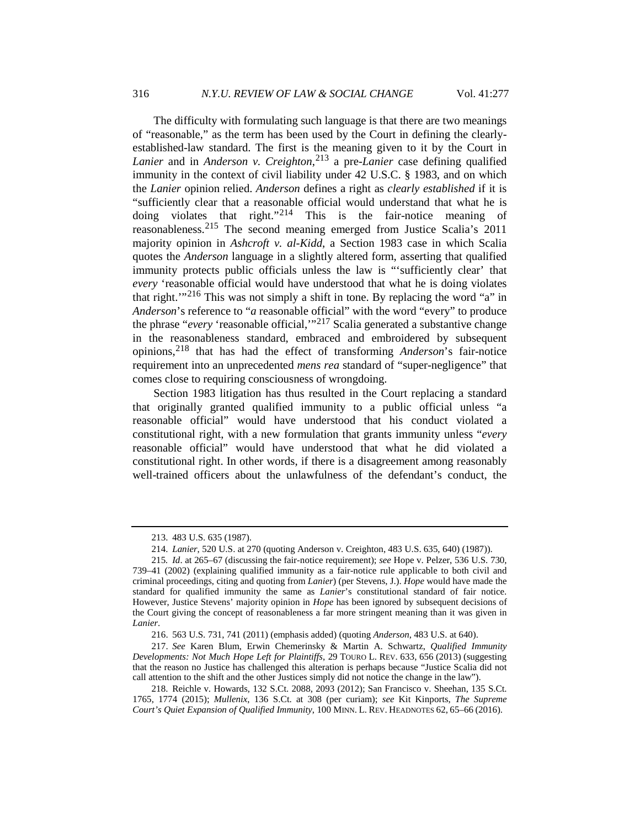The difficulty with formulating such language is that there are two meanings of "reasonable," as the term has been used by the Court in defining the clearlyestablished-law standard. The first is the meaning given to it by the Court in *Lanier* and in *Anderson v. Creighton*, [213](#page-39-0) a pre-*Lanier* case defining qualified immunity in the context of civil liability under 42 U.S.C. § 1983, and on which the *Lanier* opinion relied. *Anderson* defines a right as *clearly established* if it is "sufficiently clear that a reasonable official would understand that what he is doing violates that right."<sup>[214](#page-39-1)</sup> This is the fair-notice meaning of reasonableness.[215](#page-39-2) The second meaning emerged from Justice Scalia's 2011 majority opinion in *Ashcroft v. al-Kidd*, a Section 1983 case in which Scalia quotes the *Anderson* language in a slightly altered form, asserting that qualified immunity protects public officials unless the law is "'sufficiently clear' that *every* 'reasonable official would have understood that what he is doing violates that right.'"<sup>[216](#page-39-3)</sup> This was not simply a shift in tone. By replacing the word "a" in *Anderson*'s reference to "*a* reasonable official" with the word "every" to produce the phrase "*every* 'reasonable official,'"[217](#page-39-4) Scalia generated a substantive change in the reasonableness standard, embraced and embroidered by subsequent opinions,[218](#page-39-5) that has had the effect of transforming *Anderson*'s fair-notice requirement into an unprecedented *mens rea* standard of "super-negligence" that comes close to requiring consciousness of wrongdoing.

Section 1983 litigation has thus resulted in the Court replacing a standard that originally granted qualified immunity to a public official unless "a reasonable official" would have understood that his conduct violated a constitutional right, with a new formulation that grants immunity unless "*every* reasonable official" would have understood that what he did violated a constitutional right. In other words, if there is a disagreement among reasonably well-trained officers about the unlawfulness of the defendant's conduct, the

<sup>213.</sup> 483 U.S. 635 (1987).

<sup>214.</sup> *Lanier*, 520 U.S. at 270 (quoting Anderson v. Creighton, 483 U.S. 635, 640) (1987)).

<span id="page-39-2"></span><span id="page-39-1"></span><span id="page-39-0"></span><sup>215</sup>*. Id*. at 265–67 (discussing the fair-notice requirement); *see* Hope v. Pelzer, 536 U.S. 730, 739–41 (2002) (explaining qualified immunity as a fair-notice rule applicable to both civil and criminal proceedings, citing and quoting from *Lanier*) (per Stevens, J.). *Hope* would have made the standard for qualified immunity the same as *Lanier*'s constitutional standard of fair notice. However, Justice Stevens' majority opinion in *Hope* has been ignored by subsequent decisions of the Court giving the concept of reasonableness a far more stringent meaning than it was given in *Lanier*.

<sup>216.</sup> 563 U.S. 731, 741 (2011) (emphasis added) (quoting *Anderson*, 483 U.S. at 640).

<span id="page-39-4"></span><span id="page-39-3"></span><sup>217.</sup> *See* Karen Blum, Erwin Chemerinsky & Martin A. Schwartz, *Qualified Immunity Developments: Not Much Hope Left for Plaintiffs*, 29 TOURO L. REV. 633, 656 (2013) (suggesting that the reason no Justice has challenged this alteration is perhaps because "Justice Scalia did not call attention to the shift and the other Justices simply did not notice the change in the law").

<span id="page-39-5"></span><sup>218.</sup> Reichle v. Howards, 132 S.Ct. 2088, 2093 (2012); San Francisco v. Sheehan, 135 S.Ct. 1765, 1774 (2015); *Mullenix*, 136 S.Ct. at 308 (per curiam); *see* Kit Kinports, *The Supreme Court's Quiet Expansion of Qualified Immunity*, 100 MINN. L. REV. HEADNOTES 62, 65–66 (2016).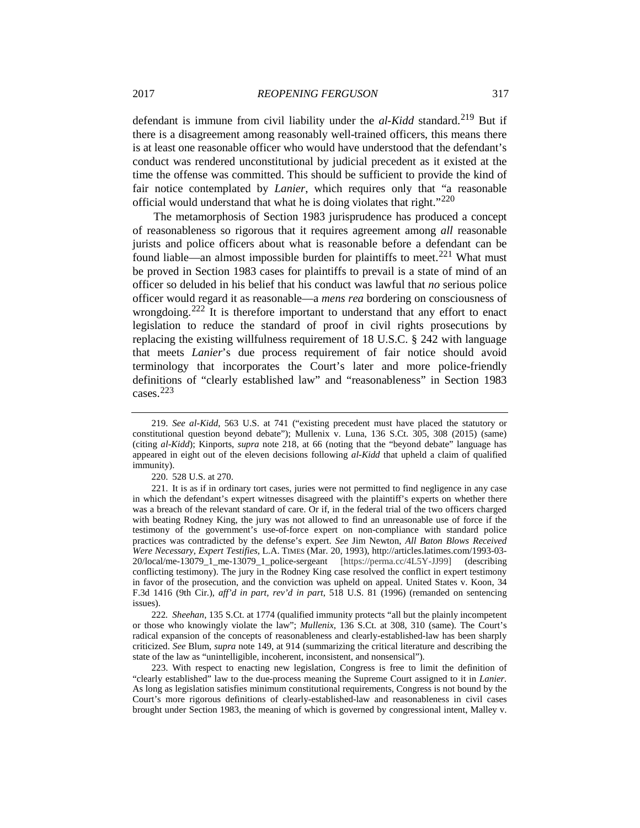defendant is immune from civil liability under the *al-Kidd* standard.<sup>[219](#page-40-0)</sup> But if there is a disagreement among reasonably well-trained officers, this means there is at least one reasonable officer who would have understood that the defendant's conduct was rendered unconstitutional by judicial precedent as it existed at the time the offense was committed. This should be sufficient to provide the kind of fair notice contemplated by *Lanier*, which requires only that "a reasonable official would understand that what he is doing violates that right."[220](#page-40-1)

The metamorphosis of Section 1983 jurisprudence has produced a concept of reasonableness so rigorous that it requires agreement among *all* reasonable jurists and police officers about what is reasonable before a defendant can be found liable—an almost impossible burden for plaintiffs to meet.<sup>[221](#page-40-2)</sup> What must be proved in Section 1983 cases for plaintiffs to prevail is a state of mind of an officer so deluded in his belief that his conduct was lawful that *no* serious police officer would regard it as reasonable—a *mens rea* bordering on consciousness of wrongdoing.[222](#page-40-3) It is therefore important to understand that any effort to enact legislation to reduce the standard of proof in civil rights prosecutions by replacing the existing willfulness requirement of 18 U.S.C. § 242 with language that meets *Lanier*'s due process requirement of fair notice should avoid terminology that incorporates the Court's later and more police-friendly definitions of "clearly established law" and "reasonableness" in Section 1983 cases.[223](#page-40-4)

<span id="page-40-3"></span>222*. Sheehan*, 135 S.Ct. at 1774 (qualified immunity protects "all but the plainly incompetent or those who knowingly violate the law"; *Mullenix*, 136 S.Ct. at 308, 310 (same). The Court's radical expansion of the concepts of reasonableness and clearly-established-law has been sharply criticized. *See* Blum, *supra* note [149,](#page-26-5) at 914 (summarizing the critical literature and describing the state of the law as "unintelligible, incoherent, inconsistent, and nonsensical").

<span id="page-40-4"></span>223. With respect to enacting new legislation, Congress is free to limit the definition of "clearly established" law to the due-process meaning the Supreme Court assigned to it in *Lanier.* As long as legislation satisfies minimum constitutional requirements, Congress is not bound by the Court's more rigorous definitions of clearly-established-law and reasonableness in civil cases brought under Section 1983, the meaning of which is governed by congressional intent, Malley v.

<span id="page-40-0"></span><sup>219.</sup> *See al-Kidd*, 563 U.S. at 741 ("existing precedent must have placed the statutory or constitutional question beyond debate"); Mullenix v. Luna, 136 S.Ct. 305, 308 (2015) (same) (citing *al-Kidd*); Kinports, *supra* note 218, at 66 (noting that the "beyond debate" language has appeared in eight out of the eleven decisions following *al-Kidd* that upheld a claim of qualified immunity).

<sup>220.</sup> 528 U.S. at 270.

<span id="page-40-2"></span><span id="page-40-1"></span><sup>221.</sup> It is as if in ordinary tort cases, juries were not permitted to find negligence in any case in which the defendant's expert witnesses disagreed with the plaintiff's experts on whether there was a breach of the relevant standard of care. Or if, in the federal trial of the two officers charged with beating Rodney King, the jury was not allowed to find an unreasonable use of force if the testimony of the government's use-of-force expert on non-compliance with standard police practices was contradicted by the defense's expert. *See* Jim Newton, *All Baton Blows Received Were Necessary, Expert Testifies*, L.A. TIMES (Mar. 20, 1993), http://articles.latimes.com/1993-03- 20/local/me-13079\_1\_me-13079\_1\_police-sergeant [https://perma.cc/4L5Y-JJ99] (describing conflicting testimony). The jury in the Rodney King case resolved the conflict in expert testimony in favor of the prosecution, and the conviction was upheld on appeal. United States v. Koon, 34 F.3d 1416 (9th Cir.), *aff'd in part, rev'd in part*, 518 U.S. 81 (1996) (remanded on sentencing issues).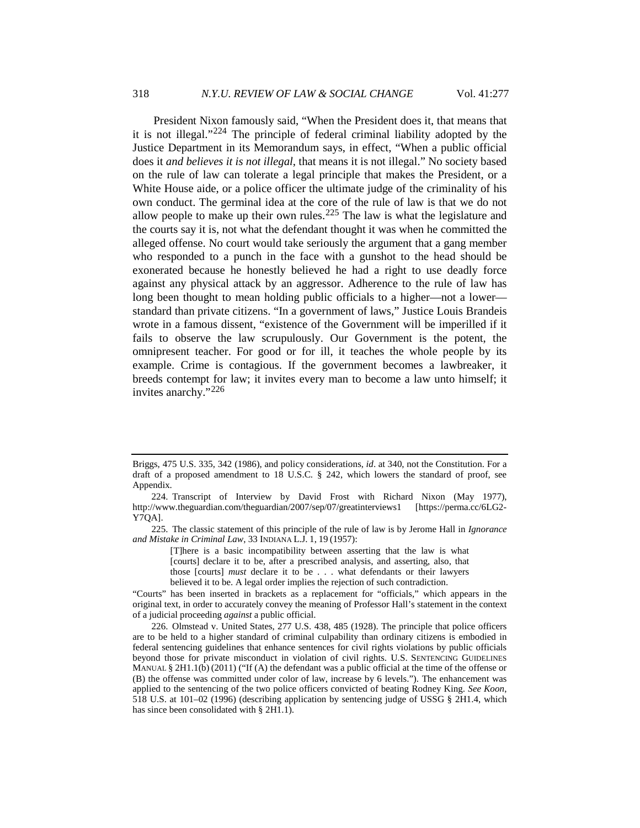President Nixon famously said, "When the President does it, that means that it is not illegal."[224](#page-41-0) The principle of federal criminal liability adopted by the Justice Department in its Memorandum says, in effect, "When a public official does it *and believes it is not illegal*, that means it is not illegal." No society based on the rule of law can tolerate a legal principle that makes the President, or a White House aide, or a police officer the ultimate judge of the criminality of his own conduct. The germinal idea at the core of the rule of law is that we do not allow people to make up their own rules.<sup>[225](#page-41-1)</sup> The law is what the legislature and the courts say it is, not what the defendant thought it was when he committed the alleged offense. No court would take seriously the argument that a gang member who responded to a punch in the face with a gunshot to the head should be exonerated because he honestly believed he had a right to use deadly force against any physical attack by an aggressor. Adherence to the rule of law has long been thought to mean holding public officials to a higher—not a lower standard than private citizens. "In a government of laws," Justice Louis Brandeis wrote in a famous dissent, "existence of the Government will be imperilled if it fails to observe the law scrupulously. Our Government is the potent, the omnipresent teacher. For good or for ill, it teaches the whole people by its example. Crime is contagious. If the government becomes a lawbreaker, it breeds contempt for law; it invites every man to become a law unto himself; it invites anarchy."[226](#page-41-2)

<span id="page-41-1"></span>225. The classic statement of this principle of the rule of law is by Jerome Hall in *Ignorance and Mistake in Criminal Law*, 33 INDIANA L.J. 1, 19 (1957):

[T]here is a basic incompatibility between asserting that the law is what [courts] declare it to be, after a prescribed analysis, and asserting, also, that those [courts] *must* declare it to be . . . what defendants or their lawyers believed it to be. A legal order implies the rejection of such contradiction.

"Courts" has been inserted in brackets as a replacement for "officials," which appears in the original text, in order to accurately convey the meaning of Professor Hall's statement in the context of a judicial proceeding *against* a public official.

<span id="page-41-2"></span>226. Olmstead v. United States, 277 U.S. 438, 485 (1928). The principle that police officers are to be held to a higher standard of criminal culpability than ordinary citizens is embodied in federal sentencing guidelines that enhance sentences for civil rights violations by public officials beyond those for private misconduct in violation of civil rights. U.S. SENTENCING GUIDELINES MANUAL § 2H1.1(b) (2011) ("If (A) the defendant was a public official at the time of the offense or (B) the offense was committed under color of law, increase by 6 levels."). The enhancement was applied to the sentencing of the two police officers convicted of beating Rodney King. *See Koon*, 518 U.S. at 101–02 (1996) (describing application by sentencing judge of USSG § 2H1.4, which has since been consolidated with § 2H1.1).

Briggs, 475 U.S. 335, 342 (1986), and policy considerations, *id*. at 340, not the Constitution. For a draft of a proposed amendment to 18 U.S.C.  $\S$  242, which lowers the standard of proof, see Appendix.

<span id="page-41-0"></span><sup>224.</sup> Transcript of Interview by David Frost with Richard Nixon (May 1977), http://www.theguardian.com/theguardian/2007/sep/07/greatinterviews1 [https://perma.cc/6LG2- Y7QA].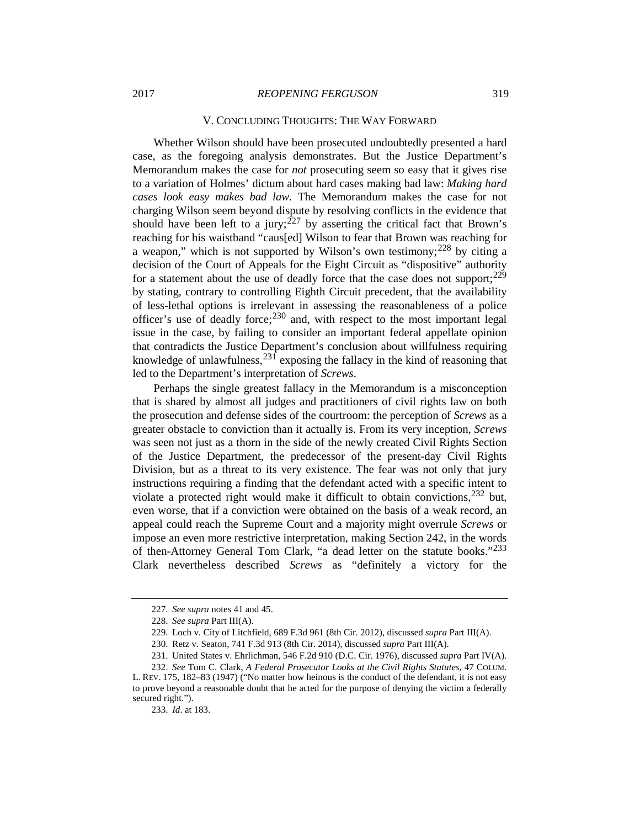#### V. CONCLUDING THOUGHTS: THE WAY FORWARD

Whether Wilson should have been prosecuted undoubtedly presented a hard case, as the foregoing analysis demonstrates. But the Justice Department's Memorandum makes the case for *not* prosecuting seem so easy that it gives rise to a variation of Holmes' dictum about hard cases making bad law: *Making hard cases look easy makes bad law.* The Memorandum makes the case for not charging Wilson seem beyond dispute by resolving conflicts in the evidence that should have been left to a jury;<sup>[227](#page-42-0)</sup> by asserting the critical fact that Brown's reaching for his waistband "caus[ed] Wilson to fear that Brown was reaching for a weapon," which is not supported by Wilson's own testimony;<sup>[228](#page-42-1)</sup> by citing a decision of the Court of Appeals for the Eight Circuit as "dispositive" authority for a statement about the use of deadly force that the case does not support;  $229$ by stating, contrary to controlling Eighth Circuit precedent, that the availability of less-lethal options is irrelevant in assessing the reasonableness of a police officer's use of deadly force;  $230$  and, with respect to the most important legal issue in the case, by failing to consider an important federal appellate opinion that contradicts the Justice Department's conclusion about willfulness requiring knowledge of unlawfulness,  $^{231}$  $^{231}$  $^{231}$  exposing the fallacy in the kind of reasoning that led to the Department's interpretation of *Screws*.

Perhaps the single greatest fallacy in the Memorandum is a misconception that is shared by almost all judges and practitioners of civil rights law on both the prosecution and defense sides of the courtroom: the perception of *Screws* as a greater obstacle to conviction than it actually is. From its very inception, *Screws*  was seen not just as a thorn in the side of the newly created Civil Rights Section of the Justice Department, the predecessor of the present-day Civil Rights Division, but as a threat to its very existence. The fear was not only that jury instructions requiring a finding that the defendant acted with a specific intent to violate a protected right would make it difficult to obtain convictions, <sup>[232](#page-42-5)</sup> but, even worse, that if a conviction were obtained on the basis of a weak record, an appeal could reach the Supreme Court and a majority might overrule *Screws* or impose an even more restrictive interpretation, making Section 242, in the words of then-Attorney General Tom Clark, "a dead letter on the statute books."<sup>[233](#page-42-6)</sup> Clark nevertheless described *Screws* as "definitely a victory for the

<sup>227.</sup> *See supra* notes 41 and 45.

<sup>228.</sup> *See supra* Part III(A).

<sup>229.</sup> Loch v. City of Litchfield, 689 F.3d 961 (8th Cir. 2012), discussed *supra* Part III(A).

<sup>230.</sup> Retz v. Seaton, 741 F.3d 913 (8th Cir. 2014), discussed *supra* Part III(A).

<sup>231.</sup> United States v. Ehrlichman, 546 F.2d 910 (D.C. Cir. 1976), discussed *supra* Part IV(A).

<span id="page-42-6"></span><span id="page-42-5"></span><span id="page-42-4"></span><span id="page-42-3"></span><span id="page-42-2"></span><span id="page-42-1"></span><span id="page-42-0"></span><sup>232.</sup> *See* Tom C. Clark, *A Federal Prosecutor Looks at the Civil Rights Statutes*, 47 COLUM. L. REV. 175, 182–83 (1947) ("No matter how heinous is the conduct of the defendant, it is not easy to prove beyond a reasonable doubt that he acted for the purpose of denying the victim a federally secured right.").

<sup>233.</sup> *Id*. at 183.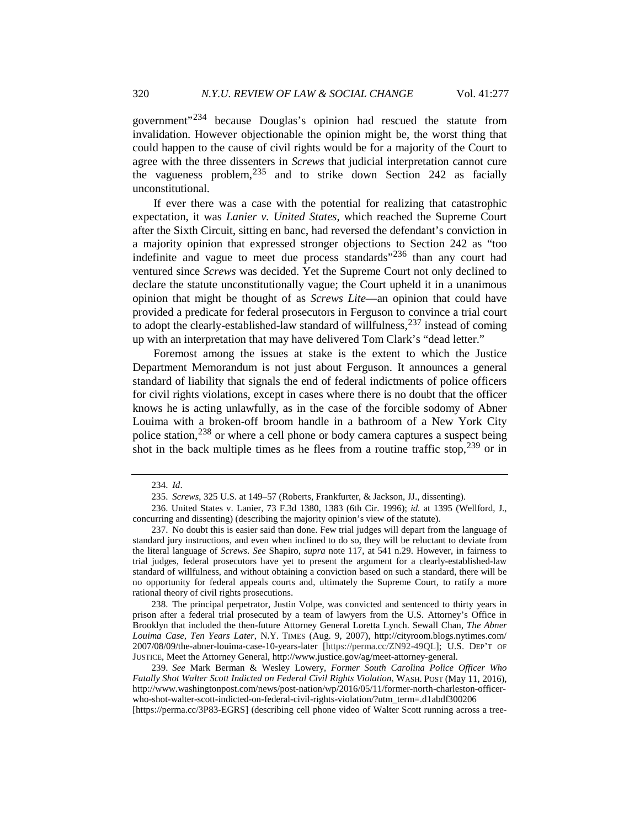government"[234](#page-43-0) because Douglas's opinion had rescued the statute from invalidation. However objectionable the opinion might be, the worst thing that could happen to the cause of civil rights would be for a majority of the Court to agree with the three dissenters in *Screws* that judicial interpretation cannot cure the vagueness problem,  $235$  and to strike down Section 242 as facially unconstitutional.

If ever there was a case with the potential for realizing that catastrophic expectation, it was *Lanier v. United States*, which reached the Supreme Court after the Sixth Circuit, sitting en banc, had reversed the defendant's conviction in a majority opinion that expressed stronger objections to Section 242 as "too indefinite and vague to meet due process standards<sup> $236$ </sup> than any court had ventured since *Screws* was decided. Yet the Supreme Court not only declined to declare the statute unconstitutionally vague; the Court upheld it in a unanimous opinion that might be thought of as *Screws Lite*—an opinion that could have provided a predicate for federal prosecutors in Ferguson to convince a trial court to adopt the clearly-established-law standard of willfulness,  $237$  instead of coming up with an interpretation that may have delivered Tom Clark's "dead letter."

Foremost among the issues at stake is the extent to which the Justice Department Memorandum is not just about Ferguson. It announces a general standard of liability that signals the end of federal indictments of police officers for civil rights violations, except in cases where there is no doubt that the officer knows he is acting unlawfully, as in the case of the forcible sodomy of Abner Louima with a broken-off broom handle in a bathroom of a New York City police station,  $238$  or where a cell phone or body camera captures a suspect being shot in the back multiple times as he flees from a routine traffic stop,  $239$  or in

<span id="page-43-4"></span>238. The principal perpetrator, Justin Volpe, was convicted and sentenced to thirty years in prison after a federal trial prosecuted by a team of lawyers from the U.S. Attorney's Office in Brooklyn that included the then-future Attorney General Loretta Lynch. Sewall Chan, *The Abner Louima Case, Ten Years Later*, N.Y. TIMES (Aug. 9, 2007), http://cityroom.blogs.nytimes.com/ 2007/08/09/the-abner-louima-case-10-years-later [https://perma.cc/ZN92-49QL]; U.S. DEP'T OF JUSTICE, Meet the Attorney General, http://www.justice.gov/ag/meet-attorney-general.

<span id="page-43-5"></span>239. *See* Mark Berman & Wesley Lowery, *Former South Carolina Police Officer Who Fatally Shot Walter Scott Indicted on Federal Civil Rights Violation*, WASH. POST (May 11, 2016), http://www.washingtonpost.com/news/post-nation/wp/2016/05/11/former-north-charleston-officerwho-shot-walter-scott-indicted-on-federal-civil-rights-violation/?utm\_term=.d1abdf300206 [https://perma.cc/3P83-EGRS] (describing cell phone video of Walter Scott running across a tree-

<sup>234.</sup> *Id*.

<sup>235.</sup> *Screws*, 325 U.S. at 149–57 (Roberts, Frankfurter, & Jackson, JJ., dissenting).

<span id="page-43-2"></span><span id="page-43-1"></span><span id="page-43-0"></span><sup>236.</sup> United States v. Lanier, 73 F.3d 1380, 1383 (6th Cir. 1996); *id.* at 1395 (Wellford, J., concurring and dissenting) (describing the majority opinion's view of the statute).

<span id="page-43-3"></span><sup>237.</sup> No doubt this is easier said than done. Few trial judges will depart from the language of standard jury instructions, and even when inclined to do so, they will be reluctant to deviate from the literal language of *Screws*. *See* Shapiro, *supra* note [117,](#page-21-12) at 541 n.29. However, in fairness to trial judges, federal prosecutors have yet to present the argument for a clearly-established-law standard of willfulness, and without obtaining a conviction based on such a standard, there will be no opportunity for federal appeals courts and, ultimately the Supreme Court, to ratify a more rational theory of civil rights prosecutions.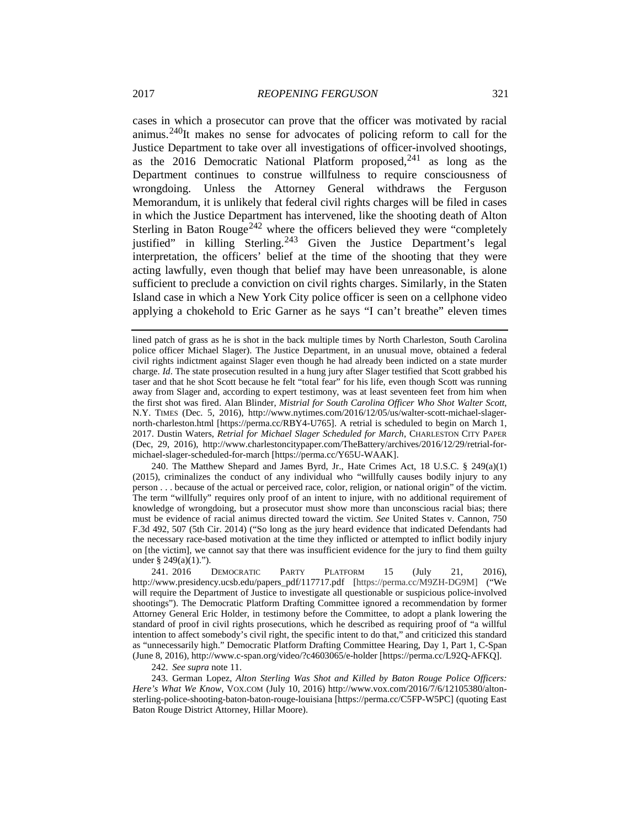cases in which a prosecutor can prove that the officer was motivated by racial animus.<sup>240</sup>It makes no sense for advocates of policing reform to call for the Justice Department to take over all investigations of officer-involved shootings, as the 2016 Democratic National Platform proposed,  $241$  as long as the Department continues to construe willfulness to require consciousness of wrongdoing. Unless the Attorney General withdraws the Ferguson Memorandum, it is unlikely that federal civil rights charges will be filed in cases in which the Justice Department has intervened, like the shooting death of Alton Sterling in Baton Rouge<sup>[242](#page-44-2)</sup> where the officers believed they were "completely" justified" in killing Sterling.<sup>[243](#page-44-3)</sup> Given the Justice Department's legal interpretation, the officers' belief at the time of the shooting that they were acting lawfully, even though that belief may have been unreasonable, is alone sufficient to preclude a conviction on civil rights charges. Similarly, in the Staten Island case in which a New York City police officer is seen on a cellphone video applying a chokehold to Eric Garner as he says "I can't breathe" eleven times

<span id="page-44-0"></span>240. The Matthew Shepard and James Byrd, Jr., Hate Crimes Act, 18 U.S.C. § 249(a)(1) (2015), criminalizes the conduct of any individual who "willfully causes bodily injury to any person . . . because of the actual or perceived race, color, religion, or national origin" of the victim. The term "willfully" requires only proof of an intent to injure, with no additional requirement of knowledge of wrongdoing, but a prosecutor must show more than unconscious racial bias; there must be evidence of racial animus directed toward the victim. *See* United States v. Cannon, 750 F.3d 492, 507 (5th Cir. 2014) ("So long as the jury heard evidence that indicated Defendants had the necessary race-based motivation at the time they inflicted or attempted to inflict bodily injury on [the victim], we cannot say that there was insufficient evidence for the jury to find them guilty under § 249(a)(1).").

<span id="page-44-1"></span>241. 2016 DEMOCRATIC PARTY PLATFORM 15 (July 21, 2016), http://www.presidency.ucsb.edu/papers\_pdf/117717.pdf [https://perma.cc/M9ZH-DG9M] ("We will require the Department of Justice to investigate all questionable or suspicious police-involved shootings"). The Democratic Platform Drafting Committee ignored a recommendation by former Attorney General Eric Holder, in testimony before the Committee, to adopt a plank lowering the standard of proof in civil rights prosecutions, which he described as requiring proof of "a willful intention to affect somebody's civil right, the specific intent to do that," and criticized this standard as "unnecessarily high." Democratic Platform Drafting Committee Hearing, Day 1, Part 1, C-Span (June 8, 2016), http://www.c-span.org/video/?c4603065/e-holder [https://perma.cc/L92Q-AFKQ].

242. *See supra* note 11.

<span id="page-44-3"></span><span id="page-44-2"></span>243. German Lopez, *Alton Sterling Was Shot and Killed by Baton Rouge Police Officers: Here's What We Know*, VOX.COM (July 10, 2016) http://www.vox.com/2016/7/6/12105380/altonsterling-police-shooting-baton-baton-rouge-louisiana [https://perma.cc/C5FP-W5PC] (quoting East Baton Rouge District Attorney, Hillar Moore).

lined patch of grass as he is shot in the back multiple times by North Charleston, South Carolina police officer Michael Slager). The Justice Department, in an unusual move, obtained a federal civil rights indictment against Slager even though he had already been indicted on a state murder charge. *Id*. The state prosecution resulted in a hung jury after Slager testified that Scott grabbed his taser and that he shot Scott because he felt "total fear" for his life, even though Scott was running away from Slager and, according to expert testimony, was at least seventeen feet from him when the first shot was fired. Alan Blinder, *Mistrial for South Carolina Officer Who Shot Walter Scott*, N.Y. TIMES (Dec. 5, 2016), http://www.nytimes.com/2016/12/05/us/walter-scott-michael-slagernorth-charleston.html [https://perma.cc/RBY4-U765]. A retrial is scheduled to begin on March 1, 2017. Dustin Waters, *Retrial for Michael Slager Scheduled for March*, CHARLESTON CITY PAPER (Dec, 29, 2016), http://www.charlestoncitypaper.com/TheBattery/archives/2016/12/29/retrial-formichael-slager-scheduled-for-march [https://perma.cc/Y65U-WAAK].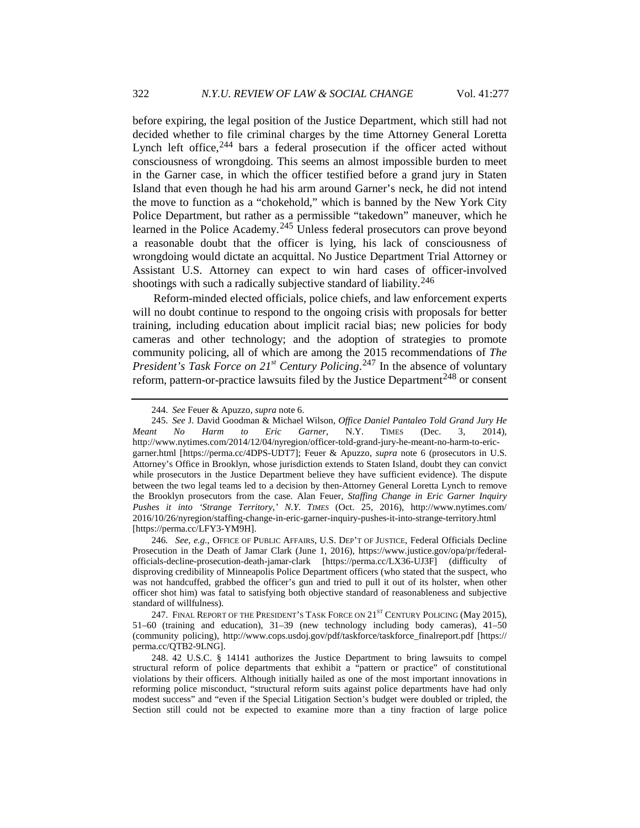before expiring, the legal position of the Justice Department, which still had not decided whether to file criminal charges by the time Attorney General Loretta Lynch left office,  $244$  bars a federal prosecution if the officer acted without consciousness of wrongdoing. This seems an almost impossible burden to meet in the Garner case, in which the officer testified before a grand jury in Staten Island that even though he had his arm around Garner's neck, he did not intend the move to function as a "chokehold," which is banned by the New York City Police Department, but rather as a permissible "takedown" maneuver, which he learned in the Police Academy.<sup>[245](#page-45-1)</sup> Unless federal prosecutors can prove beyond a reasonable doubt that the officer is lying, his lack of consciousness of wrongdoing would dictate an acquittal. No Justice Department Trial Attorney or Assistant U.S. Attorney can expect to win hard cases of officer-involved shootings with such a radically subjective standard of liability.<sup>[246](#page-45-2)</sup>

Reform-minded elected officials, police chiefs, and law enforcement experts will no doubt continue to respond to the ongoing crisis with proposals for better training, including education about implicit racial bias; new policies for body cameras and other technology; and the adoption of strategies to promote community policing, all of which are among the 2015 recommendations of *The President's Task Force on 21st Century Policing*. [247](#page-45-3) In the absence of voluntary reform, pattern-or-practice lawsuits filed by the Justice Department<sup>[248](#page-45-4)</sup> or consent

<span id="page-45-2"></span>246*. See, e.g.*, OFFICE OF PUBLIC AFFAIRS, U.S. DEP'T OF JUSTICE, Federal Officials Decline Prosecution in the Death of Jamar Clark (June 1, 2016), https://www.justice.gov/opa/pr/federalofficials-decline-prosecution-death-jamar-clark [https://perma.cc/LX36-UJ3F] (difficulty of disproving credibility of Minneapolis Police Department officers (who stated that the suspect, who was not handcuffed, grabbed the officer's gun and tried to pull it out of its holster, when other officer shot him) was fatal to satisfying both objective standard of reasonableness and subjective standard of willfulness).

<span id="page-45-3"></span>247. FINAL REPORT OF THE PRESIDENT'S TASK FORCE ON 21<sup>ST</sup> CENTURY POLICING (May 2015), 51–60 (training and education), 31–39 (new technology including body cameras), 41–50 (community policing), http://www.cops.usdoj.gov/pdf/taskforce/taskforce\_finalreport.pdf [https:// perma.cc/QTB2-9LNG].

<span id="page-45-4"></span>248. 42 U.S.C. § 14141 authorizes the Justice Department to bring lawsuits to compel structural reform of police departments that exhibit a "pattern or practice" of constitutional violations by their officers. Although initially hailed as one of the most important innovations in reforming police misconduct, "structural reform suits against police departments have had only modest success" and "even if the Special Litigation Section's budget were doubled or tripled, the Section still could not be expected to examine more than a tiny fraction of large police

<span id="page-45-5"></span><sup>244.</sup> *See* Feuer & Apuzzo, *supra* not[e 6.](#page-2-4)

<span id="page-45-1"></span><span id="page-45-0"></span><sup>245.</sup> *See* J. David Goodman & Michael Wilson, *Office Daniel Pantaleo Told Grand Jury He Meant No Harm to Eric Garner*, N.Y. TIMES (Dec. 3, 2014), http://www.nytimes.com/2014/12/04/nyregion/officer-told-grand-jury-he-meant-no-harm-to-ericgarner.html [https://perma.cc/4DPS-UDT7]; Feuer & Apuzzo, *supra* note [6](#page-2-4) (prosecutors in U.S. Attorney's Office in Brooklyn, whose jurisdiction extends to Staten Island, doubt they can convict while prosecutors in the Justice Department believe they have sufficient evidence). The dispute between the two legal teams led to a decision by then-Attorney General Loretta Lynch to remove the Brooklyn prosecutors from the case. Alan Feuer, *Staffing Change in Eric Garner Inquiry Pushes it into 'Strange Territory*,*' N.Y. TIMES* (Oct. 25, 2016), http://www.nytimes.com/ 2016/10/26/nyregion/staffing-change-in-eric-garner-inquiry-pushes-it-into-strange-territory.html [https://perma.cc/LFY3-YM9H].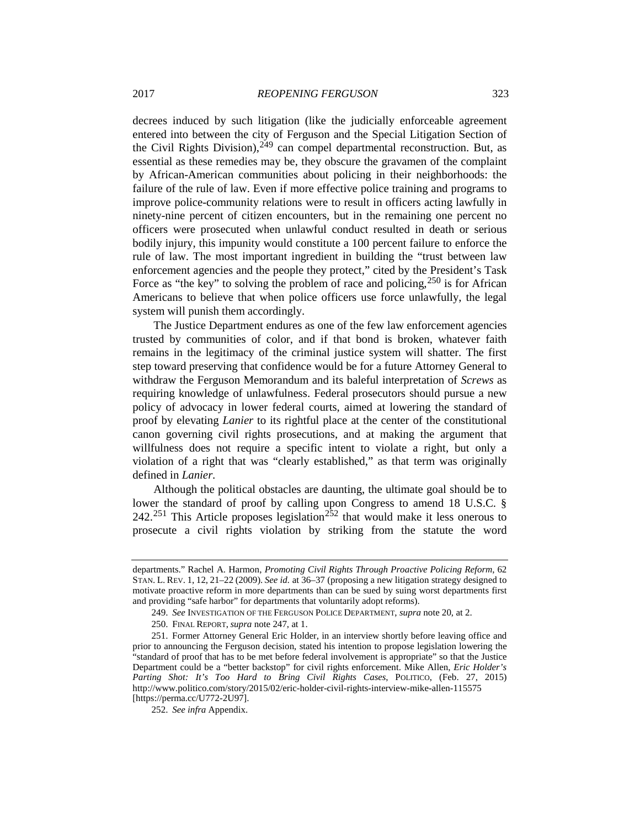decrees induced by such litigation (like the judicially enforceable agreement entered into between the city of Ferguson and the Special Litigation Section of the Civil Rights Division),  $249$  can compel departmental reconstruction. But, as essential as these remedies may be, they obscure the gravamen of the complaint by African-American communities about policing in their neighborhoods: the failure of the rule of law. Even if more effective police training and programs to improve police-community relations were to result in officers acting lawfully in ninety-nine percent of citizen encounters, but in the remaining one percent no officers were prosecuted when unlawful conduct resulted in death or serious bodily injury, this impunity would constitute a 100 percent failure to enforce the rule of law. The most important ingredient in building the "trust between law enforcement agencies and the people they protect," cited by the President's Task Force as "the key" to solving the problem of race and policing,  $250$  is for African Americans to believe that when police officers use force unlawfully, the legal system will punish them accordingly.

The Justice Department endures as one of the few law enforcement agencies trusted by communities of color, and if that bond is broken, whatever faith remains in the legitimacy of the criminal justice system will shatter. The first step toward preserving that confidence would be for a future Attorney General to withdraw the Ferguson Memorandum and its baleful interpretation of *Screws* as requiring knowledge of unlawfulness. Federal prosecutors should pursue a new policy of advocacy in lower federal courts, aimed at lowering the standard of proof by elevating *Lanier* to its rightful place at the center of the constitutional canon governing civil rights prosecutions, and at making the argument that willfulness does not require a specific intent to violate a right, but only a violation of a right that was "clearly established," as that term was originally defined in *Lanier*.

Although the political obstacles are daunting, the ultimate goal should be to lower the standard of proof by calling upon Congress to amend 18 U.S.C. § 242.<sup>[251](#page-46-2)</sup> This Article proposes legislation<sup>[252](#page-46-3)</sup> that would make it less onerous to prosecute a civil rights violation by striking from the statute the word

departments." Rachel A. Harmon, *Promoting Civil Rights Through Proactive Policing Reform*, 62 STAN. L. REV. 1, 12, 21–22 (2009). *See id.* at 36–37 (proposing a new litigation strategy designed to motivate proactive reform in more departments than can be sued by suing worst departments first and providing "safe harbor" for departments that voluntarily adopt reforms).

<sup>249.</sup> *See* INVESTIGATION OF THE FERGUSON POLICE DEPARTMENT, *supra* not[e 20,](#page-5-5) at 2.

<sup>250.</sup> FINAL REPORT, *supra* note [247,](#page-45-5) at 1.

<span id="page-46-2"></span><span id="page-46-1"></span><span id="page-46-0"></span><sup>251.</sup> Former Attorney General Eric Holder, in an interview shortly before leaving office and prior to announcing the Ferguson decision, stated his intention to propose legislation lowering the "standard of proof that has to be met before federal involvement is appropriate" so that the Justice Department could be a "better backstop" for civil rights enforcement. Mike Allen, *Eric Holder's Parting Shot: It's Too Hard to Bring Civil Rights Cases*, POLITICO, (Feb. 27, 2015) http://www.politico.com/story/2015/02/eric-holder-civil-rights-interview-mike-allen-115575 [https://perma.cc/U772-2U97].

<span id="page-46-3"></span><sup>252.</sup> *See infra* Appendix.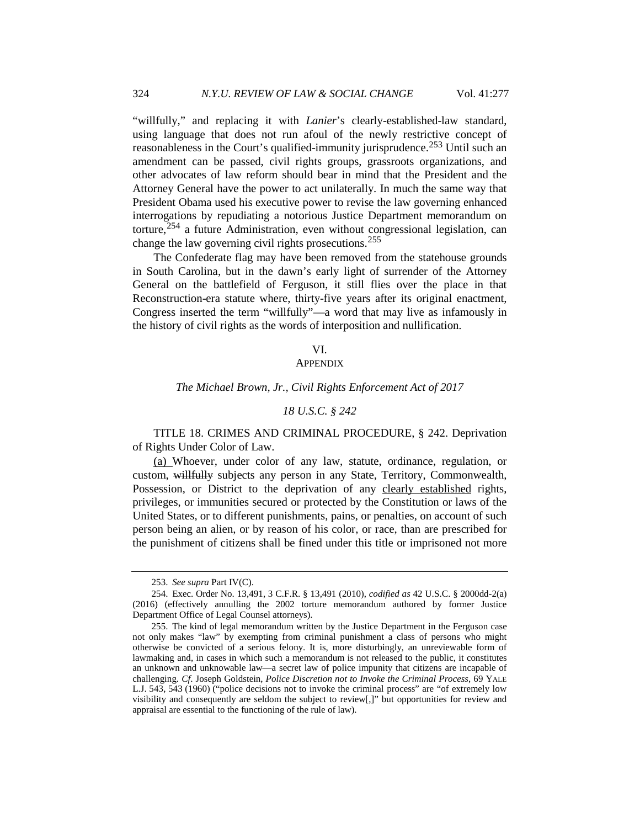"willfully," and replacing it with *Lanier*'s clearly-established-law standard, using language that does not run afoul of the newly restrictive concept of reasonableness in the Court's qualified-immunity jurisprudence.[253](#page-47-0) Until such an amendment can be passed, civil rights groups, grassroots organizations, and other advocates of law reform should bear in mind that the President and the Attorney General have the power to act unilaterally. In much the same way that President Obama used his executive power to revise the law governing enhanced interrogations by repudiating a notorious Justice Department memorandum on torture, $254$  a future Administration, even without congressional legislation, can change the law governing civil rights prosecutions.<sup>[255](#page-47-2)</sup>

The Confederate flag may have been removed from the statehouse grounds in South Carolina, but in the dawn's early light of surrender of the Attorney General on the battlefield of Ferguson, it still flies over the place in that Reconstruction-era statute where, thirty-five years after its original enactment, Congress inserted the term "willfully"—a word that may live as infamously in the history of civil rights as the words of interposition and nullification.

#### VI.

#### **APPENDIX**

#### *The Michael Brown, Jr., Civil Rights Enforcement Act of 2017*

#### *18 U.S.C. § 242*

TITLE 18. CRIMES AND CRIMINAL PROCEDURE, § 242. Deprivation of Rights Under Color of Law.

(a) Whoever, under color of any law, statute, ordinance, regulation, or custom, willfully subjects any person in any State, Territory, Commonwealth, Possession, or District to the deprivation of any clearly established rights, privileges, or immunities secured or protected by the Constitution or laws of the United States, or to different punishments, pains, or penalties, on account of such person being an alien, or by reason of his color, or race, than are prescribed for the punishment of citizens shall be fined under this title or imprisoned not more

<sup>253.</sup> *See supra* Part IV(C).

<span id="page-47-1"></span><span id="page-47-0"></span><sup>254.</sup> Exec. Order No. 13,491, 3 C.F.R. § 13,491 (2010), *codified as* 42 U.S.C. § 2000dd-2(a) (2016) (effectively annulling the 2002 torture memorandum authored by former Justice Department Office of Legal Counsel attorneys).

<span id="page-47-2"></span><sup>255.</sup> The kind of legal memorandum written by the Justice Department in the Ferguson case not only makes "law" by exempting from criminal punishment a class of persons who might otherwise be convicted of a serious felony. It is, more disturbingly, an unreviewable form of lawmaking and, in cases in which such a memorandum is not released to the public, it constitutes an unknown and unknowable law—a secret law of police impunity that citizens are incapable of challenging. *Cf*. Joseph Goldstein, *Police Discretion not to Invoke the Criminal Process*, 69 YALE L.J. 543, 543 (1960) ("police decisions not to invoke the criminal process" are "of extremely low visibility and consequently are seldom the subject to review[,]" but opportunities for review and appraisal are essential to the functioning of the rule of law).